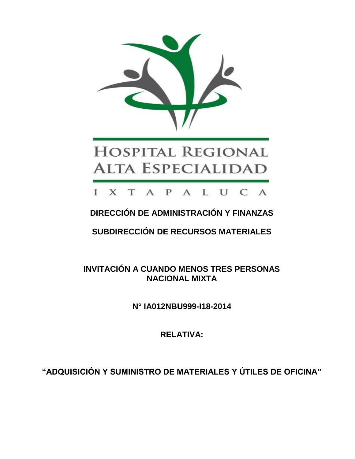

# **HOSPITAL REGIONAL ALTA ESPECIALIDAD**

## I X T A P A L U C A

## **DIRECCIÓN DE ADMINISTRACIÓN Y FINANZAS**

**SUBDIRECCIÓN DE RECURSOS MATERIALES**

**INVITACIÓN A CUANDO MENOS TRES PERSONAS NACIONAL MIXTA**

**N° IA012NBU999-I18-2014**

**RELATIVA:**

**"ADQUISICIÓN Y SUMINISTRO DE MATERIALES Y ÚTILES DE OFICINA"**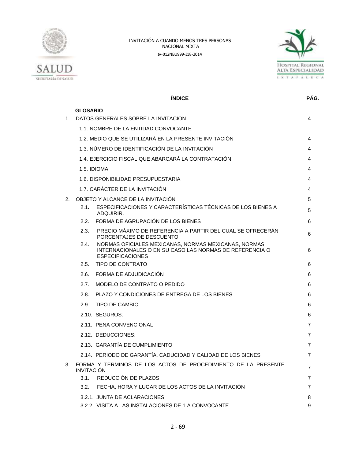



|         |                   | <b>ÍNDICE</b>                                                                                                                              | PÁG. |
|---------|-------------------|--------------------------------------------------------------------------------------------------------------------------------------------|------|
|         | <b>GLOSARIO</b>   |                                                                                                                                            |      |
| $1_{-}$ |                   | DATOS GENERALES SOBRE LA INVITACIÓN                                                                                                        | 4    |
|         |                   | 1.1. NOMBRE DE LA ENTIDAD CONVOCANTE                                                                                                       |      |
|         |                   | 1.2. MEDIO QUE SE UTILIZARÁ EN LA PRESENTE INVITACIÓN                                                                                      | 4    |
|         |                   | 1.3. NÚMERO DE IDENTIFICACIÓN DE LA INVITACIÓN                                                                                             | 4    |
|         |                   | 1.4. EJERCICIO FISCAL QUE ABARCARÁ LA CONTRATACIÓN                                                                                         | 4    |
|         |                   | 1.5. IDIOMA                                                                                                                                | 4    |
|         |                   | 1.6. DISPONIBILIDAD PRESUPUESTARIA                                                                                                         | 4    |
|         |                   | 1.7. CARÁCTER DE LA INVITACIÓN                                                                                                             | 4    |
| 2.      |                   | OBJETO Y ALCANCE DE LA INVITACIÓN                                                                                                          | 5    |
|         | 2.1.              | ESPECIFICACIONES Y CARACTERÍSTICAS TÉCNICAS DE LOS BIENES A<br>ADQUIRIR.                                                                   | 5    |
|         |                   | 2.2. FORMA DE AGRUPACIÓN DE LOS BIENES                                                                                                     | 6    |
|         | 2.3.              | PRECIO MÁXIMO DE REFERENCIA A PARTIR DEL CUAL SE OFRECERÁN<br>PORCENTAJES DE DESCUENTO                                                     | 6    |
|         | 2.4.              | NORMAS OFICIALES MEXICANAS, NORMAS MEXICANAS, NORMAS<br>INTERNACIONALES O EN SU CASO LAS NORMAS DE REFERENCIA O<br><b>ESPECIFICACIONES</b> | 6    |
|         | 2.5.              | TIPO DE CONTRATO                                                                                                                           | 6    |
|         | 2.6.              | FORMA DE ADJUDICACIÓN                                                                                                                      | 6    |
|         | 2.7.              | MODELO DE CONTRATO O PEDIDO                                                                                                                | 6    |
|         | 2.8.              | PLAZO Y CONDICIONES DE ENTREGA DE LOS BIENES                                                                                               | 6    |
|         | 2.9.              | TIPO DE CAMBIO                                                                                                                             | 6    |
|         |                   | 2.10. SEGUROS:                                                                                                                             | 6    |
|         |                   | 2.11. PENA CONVENCIONAL                                                                                                                    | 7    |
|         |                   | 2.12. DEDUCCIONES:                                                                                                                         | 7    |
|         |                   | 2.13. GARANTÍA DE CUMPLIMIENTO                                                                                                             | 7    |
|         |                   | 2.14. PERIODO DE GARANTÍA, CADUCIDAD Y CALIDAD DE LOS BIENES                                                                               | 7    |
| 3.      | <b>INVITACIÓN</b> | FORMA Y TÉRMINOS DE LOS ACTOS DE PROCEDIMIENTO DE LA PRESENTE                                                                              | 7    |
|         | 3.1.              | REDUCCIÓN DE PLAZOS                                                                                                                        | 7    |
|         | 3.2.              | FECHA, HORA Y LUGAR DE LOS ACTOS DE LA INVITACIÓN                                                                                          | 7    |
|         |                   | 3.2.1. JUNTA DE ACLARACIONES                                                                                                               | 8    |
|         |                   | 3.2.2. VISITA A LAS INSTALACIONES DE "LA CONVOCANTE                                                                                        | 9    |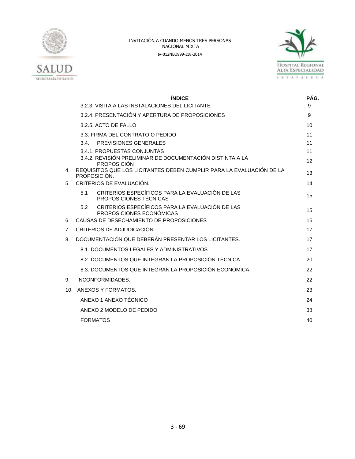



|                 | <b>ÍNDICE</b>                                                                                              | PÁG.     |
|-----------------|------------------------------------------------------------------------------------------------------------|----------|
|                 | 3.2.3. VISITA A LAS INSTALACIONES DEL LICITANTE                                                            | 9        |
|                 | 3.2.4. PRESENTACIÓN Y APERTURA DE PROPOSICIONES                                                            | 9        |
|                 | $3.2.5$ . ACTO DE FALLO                                                                                    | 10       |
|                 | 3.3. FIRMA DEL CONTRATO O PEDIDO                                                                           | 11       |
|                 | PREVISIONES GENERALES<br>3.4.                                                                              | 11       |
|                 | 3.4.1. PROPUESTAS CONJUNTAS<br>3.4.2. REVISIÓN PRELIMINAR DE DOCUMENTACIÓN DISTINTA A LA                   | 11<br>12 |
| 4.              | <b>PROPOSICIÓN</b><br>REQUISITOS QUE LOS LICITANTES DEBEN CUMPLIR PARA LA EVALUACIÓN DE LA<br>PROPOSICIÓN. | 13       |
| 5.              | CRITERIOS DE EVALUACIÓN.                                                                                   | 14       |
|                 | CRITERIOS ESPECÍFICOS PARA LA EVALUACIÓN DE LAS<br>5.1<br>PROPOSICIONES TÉCNICAS                           | 15       |
|                 | CRITERIOS ESPECÍFICOS PARA LA EVALUACIÓN DE LAS<br>5.2<br>PROPOSICIONES ECONÓMICAS                         | 15       |
| 6.              | CAUSAS DE DESECHAMIENTO DE PROPOSICIONES                                                                   | 16       |
| 7 <sub>1</sub>  | CRITERIOS DE ADJUDICACIÓN.                                                                                 | 17       |
| 8.              | DOCUMENTACIÓN QUE DEBERÁN PRESENTAR LOS LICITANTES.                                                        | 17       |
|                 | 8.1. DOCUMENTOS LEGALES Y ADMINISTRATIVOS                                                                  | 17       |
|                 | 8.2. DOCUMENTOS QUE INTEGRAN LA PROPOSICIÓN TÉCNICA                                                        | 20       |
|                 | 8.3. DOCUMENTOS QUE INTEGRAN LA PROPOSICIÓN ECONÓMICA                                                      | 22       |
| 9.              | INCONFORMIDADES.                                                                                           | 22       |
| 10 <sub>1</sub> | ANEXOS Y FORMATOS.                                                                                         | 23       |
|                 | ANEXO 1 ANEXO TÉCNICO                                                                                      | 24       |
|                 | ANEXO 2 MODELO DE PEDIDO                                                                                   | 38       |
|                 | <b>FORMATOS</b>                                                                                            | 40       |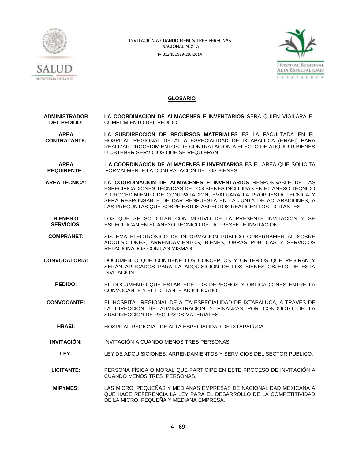



### **GLOSARIO**

**ADMINISTRADOR DEL PEDIDO: LA COORDINACIÓN DE ALMACENES E INVENTARIOS** SERÁ QUIEN VIGILARÁ EL CUMPLIMIENTO DEL PEDIDO

#### **ÁREA CONTRATANTE: LA SUBDIRECCIÓN DE RECURSOS MATERIALES** ES LA FACULTADA EN EL HOSPITAL REGIONAL DE ALTA ESPECIALIDAD DE IXTAPALUCA (HRAEI) PARA REALIZAR PROCEDIMIENTOS DE CONTRATACIÓN A EFECTO DE ADQUIRIR BIENES U OBTENER SERVICIOS QUE SE REQUIERAN.

**ÁREA REQUIRENTE : LA COORDINACIÓN DE ALMACENES E INVENTARIOS** ES EL ÁREA QUE SOLICITA FORMALMENTE LA CONTRATACIÓN DE LOS BIENES.

- **ÁREA TÉCNICA: LA COORDINACIÓN DE ALMACENES E INVENTARIOS** RESPONSABLE DE LAS ESPECIFICACIONES TÉCNICAS DE LOS BIENES INCLUIDAS EN EL ANEXO TÉCNICO Y PROCEDIMIENTO DE CONTRATACIÓN, EVALUARÁ LA PROPUESTA TÉCNICA Y SERÁ RESPONSABLE DE DAR RESPUESTA EN LA JUNTA DE ACLARACIONES, A LAS PREGUNTAS QUE SOBRE ESTOS ASPECTOS REALICEN LOS LICITANTES.
	- **BIENES O SERVICIOS:** LOS QUE SE SOLICITAN CON MOTIVO DE LA PRESENTE INVITACIÓN Y SE ESPECIFICAN EN EL ANEXO TÉCNICO DE LA PRESENTE INVITACIÓN.
- **COMPRANET:** SISTEMA ELECTRÓNICO DE INFORMACIÓN PÚBLICO GUBERNAMENTAL SOBRE ADQUISICIONES, ARRENDAMIENTOS, BIENES, OBRAS PÚBLICAS Y SERVICIOS RELACIONADOS CON LAS MISMAS.
- **CONVOCATORIA:** DOCUMENTO QUE CONTIENE LOS CONCEPTOS Y CRITERIOS QUE REGIRÁN Y SERÁN APLICADOS PARA LA ADQUISICIÓN DE LOS BIENES OBJETO DE ESTA INVITACIÓN.
	- **PEDIDO:** EL DOCUMENTO QUE ESTABLECE LOS DERECHOS Y OBLIGACIONES ENTRE LA CONVOCANTE Y EL LICITANTE ADJUDICADO.
- **CONVOCANTE:** EL HOSPITAL REGIONAL DE ALTA ESPECIALIDAD DE IXTAPALUCA, A TRAVÉS DE LA DIRECCIÓN DE ADMINISTRACIÓN Y FINANZAS POR CONDUCTO DE LA SUBDIRECCIÓN DE RECURSOS MATERIALES.
	- **HRAEI:** HOSPITAL REGIONAL DE ALTA ESPECIALIDAD DE IXTAPALUCA
- **INVITACIÓN:** INVITACIÓN A CUANDO MENOS TRES PERSONAS.
	- **LEY:** LEY DE ADQUISICIONES, ARRENDAMIENTOS Y SERVICIOS DEL SECTOR PÚBLICO.
- **LICITANTE:** PERSONA FÍSICA O MORAL QUE PARTICIPE EN ESTE PROCESO DE INVITACIÓN A CUANDO MENOS TRES ´PERSONAS.
- **MIPYMES:** LAS MICRO, PEQUEÑAS Y MEDIANAS EMPRESAS DE NACIONALIDAD MEXICANA A QUE HACE REFERENCIA LA LEY PARA EL DESARROLLO DE LA COMPETITIVIDAD DE LA MICRO, PEQUEÑA Y MEDIANA EMPRESA.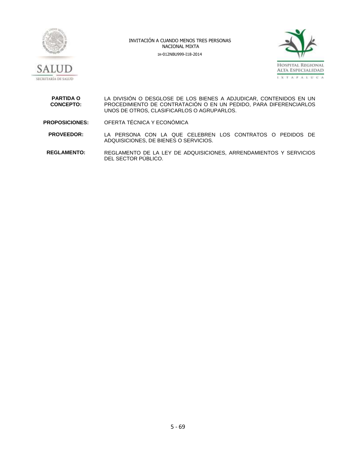



**PARTIDA O CONCEPTO:** LA DIVISIÓN O DESGLOSE DE LOS BIENES A ADJUDICAR, CONTENIDOS EN UN PROCEDIMIENTO DE CONTRATACIÓN O EN UN PEDIDO, PARA DIFERENCIARLOS UNOS DE OTROS, CLASIFICARLOS O AGRUPARLOS. **PROPOSICIONES:** OFERTA TÉCNICA Y ECONÓMICA

**PROVEEDOR:** LA PERSONA CON LA QUE CELEBREN LOS CONTRATOS O PEDIDOS DE ADQUISICIONES, DE BIENES O SERVICIOS.

**REGLAMENTO:** REGLAMENTO DE LA LEY DE ADQUISICIONES, ARRENDAMIENTOS Y SERVICIOS DEL SECTOR PÚBLICO.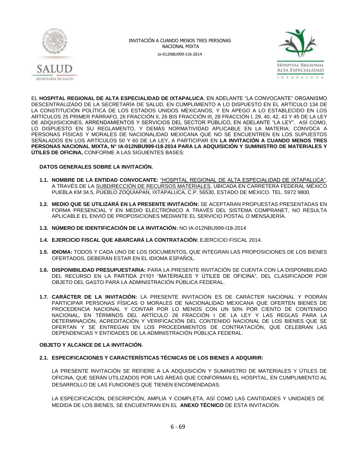



EL **HOSPITAL REGIONAL DE ALTA ESPECIALIDAD DE IXTAPALUCA**, EN ADELANTE "LA CONVOCANTE" ORGANISMO DESCENTRALIZADO DE LA SECRETARÍA DE SALUD, EN CUMPLIMIENTO A LO DISPUESTO EN EL ARTÍCULO 134 DE LA CONSTITUCION POLITICA DE LOS ESTADOS UNIDOS MEXICANOS, Y EN APEGO A LO ESTABLECIDO EN LOS ARTÍCULOS 25 PRIMER PÁRRAFO, 26 FRACCIÓN II, 26 BIS FRACCIÓN III, 28 FRACCIÓN I, 29, 40, 42, 43 Y 45 DE LA LEY DE ADQUISICIONES, ARRENDAMIENTOS Y SERVICIOS DEL SECTOR PÚBLICO, EN ADELANTE "LA LEY", ASÍ COMO, LO DISPUESTO EN SU REGLAMENTO, Y DEMÁS NORMATIVIDAD APLICABLE EN LA MATERIA; CONVOCA A PERSONAS FÍSICAS Y MORALES DE NACIONALIDAD MEXICANA QUE NO SE ENCUENTREN EN LOS SUPUESTOS SEÑALADOS EN LOS ARTÍCULOS 50 Y 60 DE LA LEY, A PARTICIPAR EN **LA INVITACIÓN A CUANDO MENOS TRES PERSONAS NACIONAL MIXTA, N° IA-012NBU999-I18-2014 PARA LA ADQUISICIÓN Y SUMINISTRO DE MATERIALES Y ÚTILES DE OFICINA,** CONFORME A LAS SIGUIENTES BASES:

### **DATOS GENERALES SOBRE LA INVITACIÓN.**

- **1.1. NOMBRE DE LA ENTIDAD CONVOCANTE:** "HOSPITAL REGIONAL DE ALTA ESPECIALIDAD DE IXTAPALUCA", A TRAVÉS DE LA SUBDIRECCIÓN DE RECURSOS MATERIALES, UBICADA EN CARRETERA FEDERAL MÉXICO PUEBLA KM 34.5, PUEBLO ZOQUIAPAN, IXTAPALUCA, C.P. 56530, ESTADO DE MÉXICO. TEL. 5972 9800.
- **1.2. MEDIO QUE SE UTILIZARÁ EN LA PRESENTE INVITACIÓN:** SE ACEPTARAN PROPUESTAS PRESENTADAS EN FORMA PRESENCIAL Y EN MEDIO ELECTRÓNICO A TRAVÉS DEL SISTEMA COMPRANET, NO RESULTA APLICABLE EL ENVIÓ DE PROPOSICIONES MEDIANTE EL SERVICIO POSTAL O MENSAJERÍA.
- **1.3. NÚMERO DE IDENTIFICACIÓN DE LA INVITACIÓN:** NO IA-012NBU999-I18-2014
- **1.4. EJERCICIO FISCAL QUE ABARCARÁ LA CONTRATACIÓN:** EJERCICIO FISCAL 2014.
- **1.5. IDIOMA:** TODOS Y CADA UNO DE LOS DOCUMENTOS, QUE INTEGRAN LAS PROPOSICIONES DE LOS BIENES OFERTADOS, DEBERÁN ESTAR EN EL IDIOMA ESPAÑOL.
- **1.6. DISPONIBILIDAD PRESUPUESTARIA:** PARA LA PRESENTE INVITACIÓN SE CUENTA CON LA DISPONIBILIDAD DEL RECURSO EN LA PARTIDA 21101 "MATERIALES Y ÚTILES DE OFICINA", DEL CLASIFICADOR POR OBJETO DEL GASTO PARA LA ADMINISTRACIÓN PÚBLICA FEDERAL.
- **1.7. CARÁCTER DE LA INVITACIÓN:** LA PRESENTE INVITACIÓN ES DE CARÁCTER NACIONAL Y PODRÁN PARTICIPAR PERSONAS FÍSICAS O MORALES DE NACIONALIDAD MEXICANA QUE OFERTEN BIENES DE PROCEDENCIA NACIONAL Y CONTAR POR LO MENOS CON UN 50% POR CIENTO DE CONTENIDO NACIONAL, EN TÉRMINOS DEL ARTÍCULO 28 FRACCIÓN I DE LA LEY Y LAS REGLAS PARA LA DETERMINACIÓN, ACREDITACIÓN Y VERIFICACIÓN DEL CONTENIDO NACIONAL DE LOS BIENES QUE SE OFERTAN Y SE ENTREGAN EN LOS PROCEDIMIENTOS DE CONTRATACIÓN, QUE CELEBRAN LAS DEPENDENCIAS Y ENTIDADES DE LA ADMINISTRACIÓN PÚBLICA FEDERAL.

### **OBJETO Y ALCANCE DE LA INVITACIÓN.**

### **2.1. ESPECIFICACIONES Y CARACTERÍSTICAS TÉCNICAS DE LOS BIENES A ADQUIRIR:**

LA PRESENTE INVITACIÓN SE REFIERE A LA ADQUISICIÓN Y SUMINISTRO DE MATERIALES Y ÚTILES DE OFICINA, QUE SERÁN UTILIZADOS POR LAS ÁREAS QUE CONFORMAN EL HOSPITAL, EN CUMPLIMIENTO AL DESARROLLO DE LAS FUNCIONES QUE TIENEN ENCOMENDADAS.

LA ESPECIFICACIÓN, DESCRIPCIÓN, AMPLIA Y COMPLETA, ASÍ COMO LAS CANTIDADES Y UNIDADES DE MEDIDA DE LOS BIENES, SE ENCUENTRAN EN EL **ANEXO TÉCNICO** DE ESTA INVITACIÓN.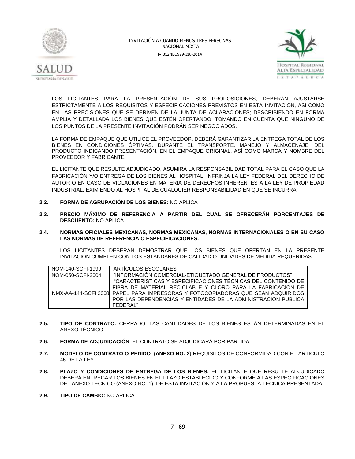



LOS LICITANTES PARA LA PRESENTACIÓN DE SUS PROPOSICIONES, DEBERÁN AJUSTARSE ESTRICTAMENTE A LOS REQUISITOS Y ESPECIFICACIONES PREVISTOS EN ESTA INVITACIÓN, ASÍ COMO EN LAS PRECISIONES QUE SE DERIVEN DE LA JUNTA DE ACLARACIONES; DESCRIBIENDO EN FORMA AMPLIA Y DETALLADA LOS BIENES QUE ESTÉN OFERTANDO, TOMANDO EN CUENTA QUE NINGUNO DE LOS PUNTOS DE LA PRESENTE INVITACIÓN PODRÁN SER NEGOCIADOS.

LA FORMA DE EMPAQUE QUE UTILICE EL PROVEEDOR, DEBERÁ GARANTIZAR LA ENTREGA TOTAL DE LOS BIENES EN CONDICIONES ÓPTIMAS, DURANTE EL TRANSPORTE, MANEJO Y ALMACENAJE, DEL PRODUCTO INDICANDO PRESENTACIÓN, EN EL EMPAQUE ORIGINAL, ASÍ COMO MARCA Y NOMBRE DEL PROVEEDOR Y FABRICANTE.

EL LICITANTE QUE RESULTE ADJUDICADO, ASUMIRÁ LA RESPONSABILIDAD TOTAL PARA EL CASO QUE LA FABRICACIÓN Y/O ENTREGA DE LOS BIENES AL HOSPITAL, INFRINJA LA LEY FEDERAL DEL DERECHO DE AUTOR O EN CASO DE VIOLACIONES EN MATERIA DE DERECHOS INHERENTES A LA LEY DE PROPIEDAD INDUSTRIAL, EXIMIENDO AL HOSPITAL DE CUALQUIER RESPONSABILIDAD EN QUE SE INCURRA.

- **2.2. FORMA DE AGRUPACIÓN DE LOS BIENES:** NO APLICA
- **2.3. PRECIO MÁXIMO DE REFERENCIA A PARTIR DEL CUAL SE OFRECERÁN PORCENTAJES DE DESCUENTO:** NO APLICA.

#### **2.4. NORMAS OFICIALES MEXICANAS, NORMAS MEXICANAS, NORMAS INTERNACIONALES O EN SU CASO LAS NORMAS DE REFERENCIA O ESPECIFICACIONES.**

LOS LICITANTES DEBERÁN DEMOSTRAR QUE LOS BIENES QUE OFERTAN EN LA PRESENTE INVITACIÓN CUMPLEN CON LOS ESTÁNDARES DE CALIDAD O UNIDADES DE MEDIDA REQUERIDAS:

| NOM-140-SCFI-1999 | ARTICULOS ESCOLARES                                                             |
|-------------------|---------------------------------------------------------------------------------|
| NOM-050-SCFI-2004 | "INFORMACIÓN COMERCIAL-ETIQUETADO GENERAL DE PRODUCTOS"                         |
|                   | "CARACTERÍSTICAS Y ESPECIFICACIONES TÉCNICAS DEL CONTENIDO DE                   |
|                   | FIBRA DE MATERIAL RECICLABLE Y CLORO PARA LA FABRICACIÓN DE                     |
|                   | NMX-AA-144-SCFI 2008 PAPEL PARA IMPRESORAS Y FOTOCOPIADORAS QUE SEAN ADQUIRIDOS |
|                   | POR LAS DEPENDENCIAS Y ENTIDADES DE LA ADMINISTRACIÓN PÚBLICA                   |
|                   | FFDFRAL"                                                                        |

- **2.5. TIPO DE CONTRATO:** CERRADO. LAS CANTIDADES DE LOS BIENES ESTÁN DETERMINADAS EN EL ANEXO TÉCNICO.
- **2.6. FORMA DE ADJUDICACIÓN**: EL CONTRATO SE ADJUDICARÁ POR PARTIDA.
- **2.7. MODELO DE CONTRATO O PEDIDO**: (**ANEXO NO. 2**) REQUISITOS DE CONFORMIDAD CON EL ARTÍCULO 45 DE LA LEY.
- **2.8. PLAZO Y CONDICIONES DE ENTREGA DE LOS BIENES:** EL LICITANTE QUE RESULTE ADJUDICADO DEBERÁ ENTREGAR LOS BIENES EN EL PLAZO ESTABLECIDO Y CONFORME A LAS ESPECIFICACIONES DEL ANEXO TÉCNICO (ANEXO NO. 1), DE ESTA INVITACIÓN Y A LA PROPUESTA TÉCNICA PRESENTADA.
- **2.9. TIPO DE CAMBIO:** NO APLICA.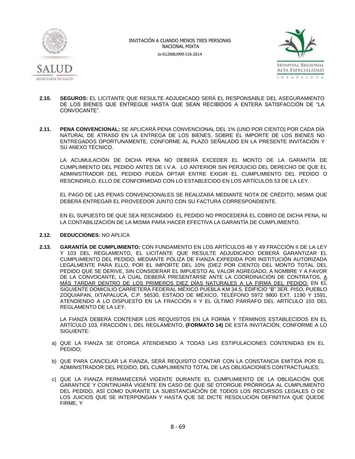



- **2.10. SEGUROS:** EL LICITANTE QUE RESULTE ADJUDICADO SERÁ EL RESPONSABLE DEL ASEGURAMIENTO DE LOS BIENES QUE ENTREGUE HASTA QUE SEAN RECIBIDOS A ENTERA SATISFACCIÓN DE "LA CONVOCANTE".
- **2.11. PENA CONVENCIONAL:** SE APLICARÁ PENA CONVENCIONAL DEL 1% (UNO POR CIENTO) POR CADA DÍA NATURAL DE ATRASO EN LA ENTREGA DE LOS BIENES, SOBRE EL IMPORTE DE LOS BIENES NO ENTREGADOS OPORTUNAMENTE, CONFORME AL PLAZO SEÑALADO EN LA PRESENTE INVITACIÓN Y SU ANEXO TÉCNICO.

LA ACUMULACIÓN DE DICHA PENA NO DEBERÁ EXCEDER EL MONTO DE LA GARANTÍA DE CUMPLIMIENTO DEL PEDIDO ANTES DE I.V.A. LO ANTERIOR SIN PERJUICIO DEL DERECHO DE QUE EL ADMINISTRADOR DEL PEDIDO PUEDA OPTAR ENTRE EXIGIR EL CUMPLIMIENTO DEL PEDIDO O RESCINDIRLO. ELLO DE CONFORMIDAD CON LO ESTABLECIDO EN LOS ARTÍCULOS 53 DE LA LEY.

EL PAGO DE LAS PENAS CONVENCIONALES SE REALIZARÁ MEDIANTE NOTA DE CRÉDITO, MISMA QUE DEBERÁ ENTREGAR EL PROVEEDOR JUNTO CON SU FACTURA CORRESPONDIENTE.

EN EL SUPUESTO DE QUE SEA RESCINDIDO EL PEDIDO NO PROCEDERÁ EL COBRO DE DICHA PENA, NI LA CONTABILIZACIÓN DE LA MISMA PARA HACER EFECTIVA LA GARANTÍA DE CUMPLIMIENTO.

- **2.12. DEDUCCIONES:** NO APLICA
- **2.13. GARANTÍA DE CUMPLIMIENTO:** CON FUNDAMENTO EN LOS ARTÍCULOS 48 Y 49 FRACCIÓN II DE LA LEY Y 103 DEL REGLAMENTO, EL LICITANTE QUE RESULTE ADJUDICADO DEBERÁ GARANTIZAR EL CUMPLIMIENTO DEL PEDIDO, MEDIANTE PÓLIZA DE FIANZA EXPEDIDA POR INSTITUCIÓN AUTORIZADA LEGALMENTE PARA ELLO, POR EL IMPORTE DEL 10% (DIEZ POR CIENTO) DEL MONTO TOTAL DEL PEDIDO QUE SE DERIVE, SIN CONSIDERAR EL IMPUESTO AL VALOR AGREGADO, A NOMBRE Y A FAVOR DE LA CONVOCANTE, LA CUAL DEBERÁ PRESENTARSE ANTE LA COORDINACIÓN DE CONTRATOS, A MÁS TARDAR DENTRO DE LOS PRIMEROS DIEZ DÍAS NATURALES A LA FIRMA DEL PEDIDO; EN EL SIGUIENTE DOMICILIO CARRETERA FEDERAL MÉXICO PUEBLA KM 34.5, EDIFICIO "B" 3ER. PISO, PUEBLO ZOQUIAPAN, IXTAPALUCA, C.P. 56530, ESTADO DE MÉXICO, TELÉFONO 5972 9800 EXT. 1190 Y 1591, ATENDIENDO A LO DISPUESTO EN LA FRACCIÓN II Y EL ÚLTIMO PÁRRAFO DEL ARTÍCULO 103 DEL REGLAMENTO DE LA LEY.

LA FIANZA DEBERÁ CONTENER LOS REQUISITOS EN LA FORMA Y TÉRMINOS ESTABLECIDOS EN EL ARTÍCULO 103, FRACCIÓN I, DEL REGLAMENTO, **(FORMATO 14)** DE ESTA INVITACIÓN, CONFORME A LO SIGUIENTE:

- a) QUE LA FIANZA SE OTORGA ATENDIENDO A TODAS LAS ESTIPULACIONES CONTENIDAS EN EL PEDIDO;
- b) QUE PARA CANCELAR LA FIANZA, SERÁ REQUISITO CONTAR CON LA CONSTANCIA EMITIDA POR EL ADMINISTRADOR DEL PEDIDO, DEL CUMPLIMIENTO TOTAL DE LAS OBLIGACIONES CONTRACTUALES;
- c) QUE LA FIANZA PERMANECERÁ VIGENTE DURANTE EL CUMPLIMIENTO DE LA OBLIGACIÓN QUE GARANTICE Y CONTINUARÁ VIGENTE EN CASO DE QUE SE OTORGUE PRÓRROGA AL CUMPLIMIENTO DEL PEDIDO, ASÍ COMO DURANTE LA SUBSTANCIACIÓN DE TODOS LOS RECURSOS LEGALES O DE LOS JUICIOS QUE SE INTERPONGAN Y HASTA QUE SE DICTE RESOLUCIÓN DEFINITIVA QUE QUEDE FIRME, Y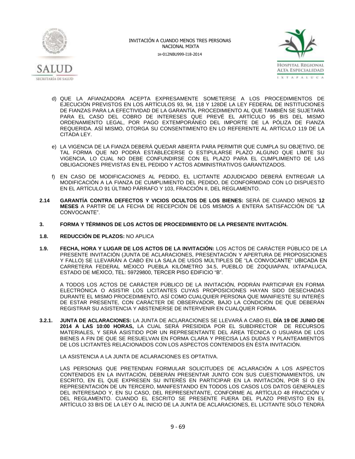



- d) QUE LA AFIANZADORA ACEPTA EXPRESAMENTE SOMETERSE A LOS PROCEDIMIENTOS DE EJECUCIÓN PREVISTOS EN LOS ARTÍCULOS 93, 94, 118 Y 128DE LA LEY FEDERAL DE INSTITUCIONES DE FIANZAS PARA LA EFECTIVIDAD DE LA GARANTÍA, PROCEDIMIENTO AL QUE TAMBIÉN SE SUJETARÁ PARA EL CASO DEL COBRO DE INTERESES QUE PREVÉ EL ARTÍCULO 95 BIS DEL MISMO ORDENAMIENTO LEGAL, POR PAGO EXTEMPORÁNEO DEL IMPORTE DE LA PÓLIZA DE FIANZA REQUERIDA. ASÍ MISMO, OTORGA SU CONSENTIMIENTO EN LO REFERENTE AL ARTÍCULO 119 DE LA CITADA LEY.
- e) LA VIGENCIA DE LA FIANZA DEBERÁ QUEDAR ABIERTA PARA PERMITIR QUE CUMPLA SU OBJETIVO, DE TAL FORMA QUE NO PODRÁ ESTABLECERSE O ESTIPULARSE PLAZO ALGUNO QUE LÍMITE SU VIGENCIA, LO CUAL NO DEBE CONFUNDIRSE CON EL PLAZO PARA EL CUMPLIMIENTO DE LAS OBLIGACIONES PREVISTAS EN EL PEDIDO Y ACTOS ADMINISTRATIVOS GARANTIZADOS.
- f) EN CASO DE MODIFICACIONES AL PEDIDO, EL LICITANTE ADJUDICADO DEBERÁ ENTREGAR LA MODIFICACIÓN A LA FIANZA DE CUMPLIMIENTO DEL PEDIDO, DE CONFORMIDAD CON LO DISPUESTO EN EL ARTÍCULO 91 ÚLTIMO PÁRRAFO Y 103, FRACCIÓN II, DEL REGLAMENTO.
- **2.14 GARANTÍA CONTRA DEFECTOS Y VICIOS OCULTOS DE LOS BIENES:** SERÁ DE CUANDO MENOS **12 MESES** A PARTIR DE LA FECHA DE RECEPCIÓN DE LOS MISMOS A ENTERA SATISFACCIÓN DE "LA CONVOCANTE".
- **3. FORMA Y TÉRMINOS DE LOS ACTOS DE PROCEDIMIENTO DE LA PRESENTE INVITACIÓN.**
- **1.8. REDUCCIÓN DE PLAZOS:** NO APLICA
- **1.9. FECHA, HORA Y LUGAR DE LOS ACTOS DE LA INVITACIÓN:** LOS ACTOS DE CARÁCTER PÚBLICO DE LA PRESENTE INVITACIÓN (JUNTA DE ACLARACIONES, PRESENTACIÓN Y APERTURA DE PROPOSICIONES Y FALLO) SE LLEVARÁN A CABO EN LA SALA DE USOS MÚLTIPLES DE "LA CONVOCANTE" UBICADA EN CARRETERA FEDERAL MÉXICO PUEBLA KILÓMETRO 34.5, PUEBLO DE ZOQUIAPAN, IXTAPALUCA, ESTADO DE MÉXICO, TEL: 59729800, TERCER PISO EDIFICIO "B".

A TODOS LOS ACTOS DE CARÁCTER PÚBLICO DE LA INVITACIÓN, PODRÁN PARTICIPAR EN FORMA ELECTRÓNICA O ASISTIR LOS LICITANTES CUYAS PROPOSICIONES HAYAN SIDO DESECHADAS DURANTE EL MISMO PROCEDIMIENTO, ASÍ COMO CUALQUIER PERSONA QUE MANIFIESTE SU INTERÉS DE ESTAR PRESENTE, CON CARÁCTER DE OBSERVADOR, BAJO LA CONDICIÓN DE QUE DEBERÁN REGISTRAR SU ASISTENCIA Y ABSTENERSE DE INTERVENIR EN CUALQUIER FORMA.

**3.2.1. JUNTA DE ACLARACIONES:** LA JUNTA DE ACLARACIONES SE LLEVARÁ A CABO EL **DÍA 19 DE JUNIO DE 2014 A LAS 10:00 HORAS,** LA CUAL SERÁ PRESIDIDA POR EL SUBDIRECTOR DE RECURSOS MATERIALES, Y SERÁ ASISTIDO POR UN REPRESENTANTE DEL ÁREA TÉCNICA O USUARIA DE LOS BIENES A FIN DE QUE SE RESUELVAN EN FORMA CLARA Y PRECISA LAS DUDAS Y PLANTEAMIENTOS DE LOS LICITANTES RELACIONADOS CON LOS ASPECTOS CONTENIDOS EN ÉSTA INVITACIÓN.

LA ASISTENCIA A LA JUNTA DE ACLARACIONES ES OPTATIVA.

LAS PERSONAS QUE PRETENDAN FORMULAR SOLICITUDES DE ACLARACIÓN A LOS ASPECTOS CONTENIDOS EN LA INVITACIÓN, DEBERÁN PRESENTAR JUNTO CON SUS CUESTIONAMIENTOS, UN ESCRITO, EN EL QUE EXPRESEN SU INTERÉS EN PARTICIPAR EN LA INVITACIÓN, POR SÍ O EN REPRESENTACIÓN DE UN TERCERO, MANIFESTANDO EN TODOS LOS CASOS LOS DATOS GENERALES DEL INTERESADO Y, EN SU CASO, DEL REPRESENTANTE, CONFORME AL ARTÍCULO 48 FRACCIÓN V DEL REGLAMENTO. CUANDO EL ESCRITO SE PRESENTE FUERA DEL PLAZO PREVISTO EN EL ARTÍCULO 33 BIS DE LA LEY O AL INICIO DE LA JUNTA DE ACLARACIONES, EL LICITANTE SÓLO TENDRÁ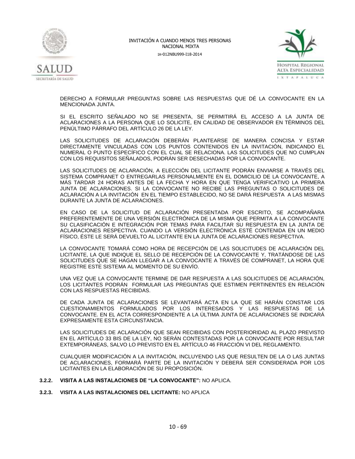



DERECHO A FORMULAR PREGUNTAS SOBRE LAS RESPUESTAS QUE DÉ LA CONVOCANTE EN LA MENCIONADA JUNTA.

SI EL ESCRITO SEÑALADO NO SE PRESENTA, SE PERMITIRÁ EL ACCESO A LA JUNTA DE ACLARACIONES A LA PERSONA QUE LO SOLICITE, EN CALIDAD DE OBSERVADOR EN TÉRMINOS DEL PENÚLTIMO PÁRRAFO DEL ARTÍCULO 26 DE LA LEY.

LAS SOLICITUDES DE ACLARACIÓN DEBERÁN PLANTEARSE DE MANERA CONCISA Y ESTAR DIRECTAMENTE VINCULADAS CON LOS PUNTOS CONTENIDOS EN LA INVITACIÓN, INDICANDO EL NUMERAL O PUNTO ESPECÍFICO CON EL CUAL SE RELACIONA. LAS SOLICITUDES QUE NO CUMPLAN CON LOS REQUISITOS SEÑALADOS, PODRÁN SER DESECHADAS POR LA CONVOCANTE.

LAS SOLICITUDES DE ACLARACIÓN, A ELECCIÓN DEL LICITANTE PODRÁN ENVIARSE A TRAVÉS DEL SISTEMA COMPRANET O ENTREGARLAS PERSONALMENTE EN EL DOMICILIO DE LA CONVOCANTE, A MÁS TARDAR 24 HORAS ANTES DE LA FECHA Y HORA EN QUE TENGA VERIFICATIVO LA PRIMERA JUNTA DE ACLARACIONES. SI LA CONVOCANTE NO RECIBE LAS PREGUNTAS O SOLICITUDES DE ACLARACIÓN A LA INVITACIÓN EN EL TIEMPO ESTABLECIDO, NO SE DARÁ RESPUESTA A LAS MISMAS DURANTE LA JUNTA DE ACLARACIONES.

EN CASO DE LA SOLICITUD DE ACLARACIÓN PRESENTADA POR ESCRITO, SE ACOMPAÑARA PREFERENTEMENTE DE UNA VERSIÓN ELECTRÓNICA DE LA MISMA QUE PERMITA A LA CONVOCANTE SU CLASIFICACIÓN E INTEGRACIÓN POR TEMAS PARA FACILITAR SU RESPUESTA EN LA JUNTA DE ACLARACIONES RESPECTIVA. CUANDO LA VERSIÓN ELECTRÓNICA ESTÉ CONTENIDA EN UN MEDIO FÍSICO, ÉSTE LE SERÁ DEVUELTO AL LICITANTE EN LA JUNTA DE ACLARACIONES RESPECTIVA.

LA CONVOCANTE TOMARÁ COMO HORA DE RECEPCIÓN DE LAS SOLICITUDES DE ACLARACIÓN DEL LICITANTE, LA QUE INDIQUE EL SELLO DE RECEPCIÓN DE LA CONVOCANTE Y, TRATÁNDOSE DE LAS SOLICITUDES QUE SE HAGAN LLEGAR A LA CONVOCANTE A TRAVÉS DE COMPRANET, LA HORA QUE REGISTRE ESTE SISTEMA AL MOMENTO DE SU ENVÍO.

UNA VEZ QUE LA CONVOCANTE TERMINE DE DAR RESPUESTA A LAS SOLICITUDES DE ACLARACIÓN, LOS LICITANTES PODRÁN FORMULAR LAS PREGUNTAS QUE ESTIMEN PERTINENTES EN RELACIÓN CON LAS RESPUESTAS RECIBIDAS.

DE CADA JUNTA DE ACLARACIONES SE LEVANTARÁ ACTA EN LA QUE SE HARÁN CONSTAR LOS CUESTIONAMIENTOS FORMULADOS POR LOS INTERESADOS Y LAS RESPUESTAS DE LA CONVOCANTE. EN EL ACTA CORRESPONDIENTE A LA ÚLTIMA JUNTA DE ACLARACIONES SE INDICARÁ EXPRESAMENTE ESTA CIRCUNSTANCIA.

LAS SOLICITUDES DE ACLARACIÓN QUE SEAN RECIBIDAS CON POSTERIORIDAD AL PLAZO PREVISTO EN EL ARTÍCULO 33 BIS DE LA LEY, NO SERÁN CONTESTADAS POR LA CONVOCANTE POR RESULTAR EXTEMPORÁNEAS, SALVO LO PREVISTO EN EL ARTÍCULO 46 FRACCIÓN VI DEL REGLAMENTO.

CUALQUIER MODIFICACIÓN A LA INVITACIÓN, INCLUYENDO LAS QUE RESULTEN DE LA O LAS JUNTAS DE ACLARACIONES, FORMARÁ PARTE DE LA INVITACIÓN Y DEBERÁ SER CONSIDERADA POR LOS LICITANTES EN LA ELABORACIÓN DE SU PROPOSICIÓN.

### **3.2.2. VISITA A LAS INSTALACIONES DE "LA CONVOCANTE":** NO APLICA.

**3.2.3. VISITA A LAS INSTALACIONES DEL LICITANTE:** NO APLICA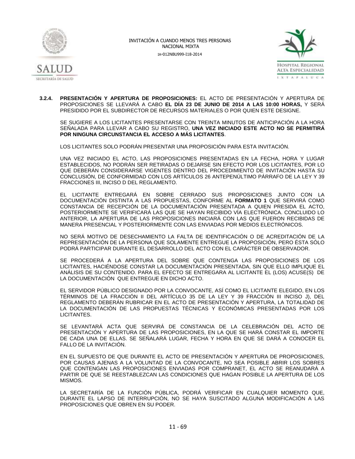



**3.2.4. PRESENTACIÓN Y APERTURA DE PROPOSICIONES:** EL ACTO DE PRESENTACIÓN Y APERTURA DE PROPOSICIONES SE LLEVARÁ A CABO **EL DÍA 23 DE JUNIO DE 2014 A LAS 10:00 HORAS,** Y SERÁ PRESIDIDO POR EL SUBDIRECTOR DE RECURSOS MATERIALES O POR QUIEN ESTE DESIGNE.

SE SUGIERE A LOS LICITANTES PRESENTARSE CON TREINTA MINUTOS DE ANTICIPACIÓN A LA HORA SEÑALADA PARA LLEVAR A CABO SU REGISTRO, **UNA VEZ INICIADO ESTE ACTO NO SE PERMITIRÁ POR NINGUNA CIRCUNSTANCIA EL ACCESO A MÁS LICITANTES**.

LOS LICITANTES SOLO PODRÁN PRESENTAR UNA PROPOSICIÓN PARA ESTA INVITACIÓN.

UNA VEZ INICIADO EL ACTO, LAS PROPOSICIONES PRESENTADAS EN LA FECHA, HORA Y LUGAR ESTABLECIDOS, NO PODRÁN SER RETIRADAS O DEJARSE SIN EFECTO POR LOS LICITANTES, POR LO QUE DEBERÁN CONSIDERARSE VIGENTES DENTRO DEL PROCEDIMIENTO DE INVITACIÓN HASTA SU CONCLUSIÓN, DE CONFORMIDAD CON LOS ARTÍCULOS 26 ANTEPENÚLTIMO PÁRRAFO DE LA LEY Y 39 FRACCIONES III, INCISO D DEL REGLAMENTO.

EL LICITANTE ENTREGARÁ EN SOBRE CERRADO SUS PROPOSICIONES JUNTO CON LA DOCUMENTACIÓN DISTINTA A LAS PROPUESTAS, CONFORME AL **FORMATO 1** QUE SERVIRÁ COMO CONSTANCIA DE RECEPCIÓN DE LA DOCUMENTACIÓN PRESENTADA A QUIEN PRESIDA EL ACTO, POSTERIORMENTE SE VERIFICARÁ LAS QUE SE HAYAN RECIBIDO VÍA ELECTRÓNICA. CONCLUIDO LO ANTERIOR, LA APERTURA DE LAS PROPOSICIONES INICIARÁ CON LAS QUE FUERON RECIBIDAS DE MANERA PRESENCIAL Y POSTERIORMENTE CON LAS ENVIADAS POR MEDIOS ELECTRÓNICOS.

NO SERÁ MOTIVO DE DESECHAMIENTO LA FALTA DE IDENTIFICACIÓN O DE ACREDITACIÓN DE LA REPRESENTACIÓN DE LA PERSONA QUE SOLAMENTE ENTREGUE LA PROPOSICIÓN, PERO ÉSTA SÓLO PODRÁ PARTICIPAR DURANTE EL DESARROLLO DEL ACTO CON EL CARÁCTER DE OBSERVADOR.

SE PROCEDERÁ A LA APERTURA DEL SOBRE QUE CONTENGA LAS PROPOSICIONES DE LOS LICITANTES, HACIÉNDOSE CONSTAR LA DOCUMENTACIÓN PRESENTADA, SIN QUE ELLO IMPLIQUE EL ANÁLISIS DE SU CONTENIDO. PARA EL EFECTO SE ENTREGARA AL LICITANTE EL (LOS) ACUSE(S) DE LA DOCUMENTACIÓN QUE ENTREGUE EN DICHO ACTO.

EL SERVIDOR PÚBLICO DESIGNADO POR LA CONVOCANTE, ASÍ COMO EL LICITANTE ELEGIDO, EN LOS TÉRMINOS DE LA FRACCIÓN II DEL ARTÍCULO 35 DE LA LEY Y 39 FRACCIÓN III INCISO J), DEL REGLAMENTO DEBERÁN RUBRICAR EN EL ACTO DE PRESENTACIÓN Y APERTURA, LA TOTALIDAD DE LA DOCUMENTACIÓN DE LAS PROPUESTAS TÉCNICAS Y ECONÓMICAS PRESENTADAS POR LOS LICITANTES.

SE LEVANTARÁ ACTA QUE SERVIRÁ DE CONSTANCIA DE LA CELEBRACIÓN DEL ACTO DE PRESENTACIÓN Y APERTURA DE LAS PROPOSICIONES, EN LA QUE SE HARÁ CONSTAR EL IMPORTE DE CADA UNA DE ELLAS. SE SEÑALARÁ LUGAR, FECHA Y HORA EN QUE SE DARÁ A CONOCER EL FALLO DE LA INVITACIÓN.

EN EL SUPUESTO DE QUE DURANTE EL ACTO DE PRESENTACIÓN Y APERTURA DE PROPOSICIONES, POR CAUSAS AJENAS A LA VOLUNTAD DE LA CONVOCANTE, NO SEA POSIBLE ABRIR LOS SOBRES QUE CONTENGAN LAS PROPOSICIONES ENVIADAS POR COMPRANET, EL ACTO SE REANUDARÁ A PARTIR DE QUE SE REESTABLEZCAN LAS CONDICIONES QUE HAGAN POSIBLE LA APERTURA DE LOS MISMOS.

LA SECRETARÍA DE LA FUNCIÓN PÚBLICA, PODRÁ VERIFICAR EN CUALQUIER MOMENTO QUE, DURANTE EL LAPSO DE INTERRUPCIÓN, NO SE HAYA SUSCITADO ALGUNA MODIFICACIÓN A LAS PROPOSICIONES QUE OBREN EN SU PODER.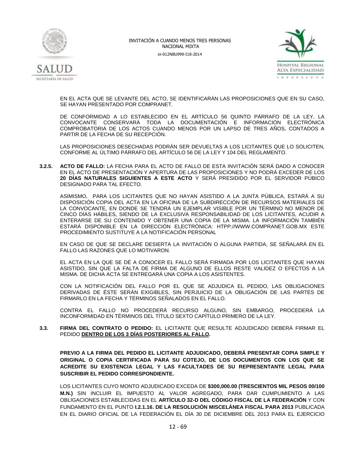



EN EL ACTA QUE SE LEVANTE DEL ACTO, SE IDENTIFICARÁN LAS PROPOSICIONES QUE EN SU CASO, SE HAYAN PRESENTADO POR COMPRANET.

DE CONFORMIDAD A LO ESTABLECIDO EN EL ARTÍCULO 56 QUINTO PÁRRAFO DE LA LEY, LA CONVOCANTE CONSERVARÁ TODA LA DOCUMENTACIÓN E INFORMACIÓN ELECTRÓNICA COMPROBATORIA DE LOS ACTOS CUANDO MENOS POR UN LAPSO DE TRES AÑOS, CONTADOS A PARTIR DE LA FECHA DE SU RECEPCIÓN.

LAS PROPOSICIONES DESECHADAS PODRÁN SER DEVUELTAS A LOS LICITANTES QUE LO SOLICITEN, CONFORME AL ÚLTIMO PÁRRAFO DEL ARTÍCULO 56 DE LA LEY Y 104 DEL REGLAMENTO.

**3.2.5. ACTO DE FALLO:** LA FECHA PARA EL ACTO DE FALLO DE ESTA INVITACIÓN SERÁ DADO A CONOCER EN EL ACTO DE PRESENTACIÓN Y APERTURA DE LAS PROPOSICIONES Y NO PODRÁ EXCEDER DE LOS **20 DÍAS NATURALES SIGUIENTES A ESTE ACTO** Y SERÁ PRESIDIDO POR EL SERVIDOR PÚBICO DESIGNADO PARA TAL EFECTO.

ASIMISMO, PARA LOS LICITANTES QUE NO HAYAN ASISTIDO A LA JUNTA PÚBLICA, ESTARÁ A SU DISPOSICIÓN COPIA DEL ACTA EN LA OFICINA DE LA SUBDIRECCIÓN DE RECURSOS MATERIALES DE LA CONVOCANTE, EN DONDE SE TENDRÁ UN EJEMPLAR VISIBLE POR UN TÉRMINO NO MENOR DE CINCO DÍAS HÁBILES, SIENDO DE LA EXCLUSIVA RESPONSABILIDAD DE LOS LICITANTES, ACUDIR A ENTERARSE DE SU CONTENIDO Y OBTENER UNA COPIA DE LA MISMA. LA INFORMACIÓN TAMBIÉN ESTARÁ DISPONIBLE EN LA DIRECCIÓN ELECTRÓNICA: HTPP:/[/WWW.COMPRANET.GOB.MX](http://www.compranet.gob.mx/) ESTE PROCEDIMIENTO SUSTITUYE A LA NOTIFICACIÓN PERSONAL

EN CASO DE QUE SE DECLARE DESIERTA LA INVITACIÓN O ALGUNA PARTIDA, SE SEÑALARÁ EN EL FALLO LAS RAZONES QUE LO MOTIVARON.

EL ACTA EN LA QUE SE DÉ A CONOCER EL FALLO SERÁ FIRMADA POR LOS LICITANTES QUE HAYAN ASISTIDO, SIN QUE LA FALTA DE FIRMA DE ALGUNO DE ELLOS RESTE VALIDEZ O EFECTOS A LA MISMA. DE DICHA ACTA SE ENTREGARÁ UNA COPIA A LOS ASISTENTES.

CON LA NOTIFICACIÓN DEL FALLO POR EL QUE SE ADJUDICA EL PEDIDO, LAS OBLIGACIONES DERIVADAS DE ÉSTE SERÁN EXIGIBLES, SIN PERJUICIO DE LA OBLIGACIÓN DE LAS PARTES DE FIRMARLO EN LA FECHA Y TÉRMINOS SEÑALADOS EN EL FALLO.

CONTRA EL FALLO NO PROCEDERÁ RECURSO ALGUNO, SIN EMBARGO, PROCEDERÁ LA INCONFORMIDAD EN TÉRMINOS DEL TÍTULO SEXTO CAPÍTULO PRIMERO DE LA LEY.

**3.3. FIRMA DEL CONTRATO O PEDIDO:** EL LICITANTE QUE RESULTE ADJUDICADO DEBERÁ FIRMAR EL PEDIDO **DENTRO DE LOS 3 DÍAS POSTERIORES AL FALLO.** 

**PREVIO A LA FIRMA DEL PEDIDO EL LICITANTE ADJUDICADO, DEBERÁ PRESENTAR COPIA SIMPLE Y ORIGINAL O COPIA CERTIFICADA PARA SU COTEJO, DE LOS DOCUMENTOS CON LOS QUE SE ACREDITE SU EXISTENCIA LEGAL Y LAS FACULTADES DE SU REPRESENTANTE LEGAL PARA SUSCRIBIR EL PEDIDO CORRESPONDIENTE.**

LOS LICITANTES CUYO MONTO ADJUDICADO EXCEDA DE **\$300,000.00 (TRESCIENTOS MIL PESOS 00/100 M.N.)** SIN INCLUIR EL IMPUESTO AL VALOR AGREGADO, PARA DAR CUMPLIMIENTO A LAS OBLIGACIONES ESTABLECIDAS EN EL **ARTÍCULO 32-D DEL CÓDIGO FISCAL DE LA FEDERACIÓN** Y CON FUNDAMENTO EN EL PUNTO **I.2.1.16. DE LA RESOLUCIÓN MISCELÁNEA FISCAL PARA 2013** PUBLICADA EN EL DIARIO OFICIAL DE LA FEDERACIÓN EL DÍA 30 DE DICIEMBRE DEL 2013 PARA EL EJERCICIO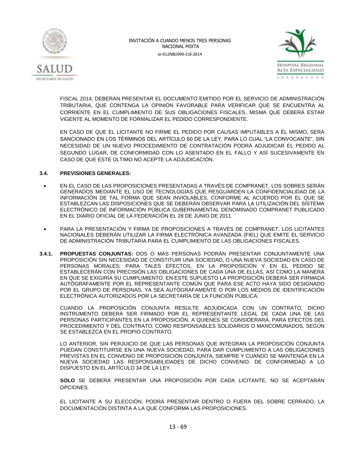



FISCAL 2014, DEBERÁN PRESENTAR EL DOCUMENTO EMITIDO POR EL SERVICIO DE ADMINISTRACIÓN TRIBUTARIA, QUE CONTENGA LA OPINIÓN FAVORABLE PARA VERIFICAR QUE SE ENCUENTRA AL CORRIENTE EN EL CUMPLIMIENTO DE SUS OBLIGACIONES FISCALES, MISMA QUE DEBERÁ ESTAR VIGENTE AL MOMENTO DE FORMALIZAR EL PEDIDO CORRESPONDIENTE.

EN CASO DE QUE EL LICITANTE NO FIRME EL PEDIDO POR CAUSAS IMPUTABLES A ÉL MISMO, SERÁ SANCIONADO EN LOS TÉRMINOS DEL ARTÍCULO 60 DE LA LEY, PARA LO CUAL "LA CONVOCANTE", SIN NECESIDAD DE UN NUEVO PROCEDIMIENTO DE CONTRATACIÓN PODRÁ ADJUDICAR EL PEDIDO AL SEGUNDO LUGAR, DE CONFORMIDAD CON LO ASENTADO EN EL FALLO Y ASÍ SUCESIVAMENTE EN CASO DE QUE ESTE ÚLTIMO NO ACEPTE LA ADJUDICACIÓN.

### **3.4. PREVISIONES GENERALES:**

- EN EL CASO DE LAS PROPOSICIONES PRESENTADAS A TRAVÉS DE COMPRANET, LOS SOBRES SERÁN GENERADOS MEDIANTE EL USO DE TECNOLOGÍAS QUE RESGUARDEN LA CONFIDENCIALIDAD DE LA INFORMACIÓN DE TAL FORMA QUE SEAN INVIOLABLES, CONFORME AL ACUERDO POR EL QUE SE ESTABLEZCAN LAS DISPOSICIONES QUE SE DEBERÁN OBSERVAR PARA LA UTILIZACIÓN DEL SISTEMA ELECTRÓNICO DE INFORMACIÓN PÚBLICA GUBERNAMENTAL DENOMINADO COMPRANET PUBLICADO EN EL DIARIO OFICIAL DE LA FEDERACIÓN EL 28 DE JUNIO DE 2011.
- PARA LA PRESENTACIÓN Y FIRMA DE PROPOSICIONES A TRAVÉS DE COMPRANET, LOS LICITANTES NACIONALES DEBERÁN UTILIZAR LA FIRMA ELECTRÓNICA AVANZADA (FIEL) QUE EMITE EL SERVICIO DE ADMINISTRACIÓN TRIBUTARIA PARA EL CUMPLIMIENTO DE LAS OBLIGACIONES FISCALES.
- **3.4.1. PROPUESTAS CONJUNTAS:** DOS O MÁS PERSONAS PODRÁN PRESENTAR CONJUNTAMENTE UNA PROPOSICIÓN SIN NECESIDAD DE CONSTITUIR UNA SOCIEDAD, O UNA NUEVA SOCIEDAD EN CASO DE PERSONAS MORALES; PARA TALES EFECTOS, EN LA PROPOSICIÓN Y EN EL PEDIDO SE ESTABLECERÁN CON PRECISIÓN LAS OBLIGACIONES DE CADA UNA DE ELLAS, ASÍ COMO LA MANERA EN QUE SE EXIGIRÍA SU CUMPLIMIENTO. EN ESTE SUPUESTO LA PROPOSICIÓN DEBERÁ SER FIRMADA AUTÓGRAFAMENTE POR EL REPRESENTANTE COMÚN QUE PARA ESE ACTO HAYA SIDO DESIGNADO POR EL GRUPO DE PERSONAS, YA SEA AUTÓGRAFAMENTE O POR LOS MEDIOS DE IDENTIFICACIÓN ELECTRÓNICA AUTORIZADOS POR LA SECRETARÍA DE LA FUNCIÓN PÚBLICA.

CUANDO LA PROPOSICIÓN CONJUNTA RESULTE ADJUDICADA CON UN CONTRATO, DICHO INSTRUMENTO DEBERÁ SER FIRMADO POR EL REPRESENTANTE LEGAL DE CADA UNA DE LAS PERSONAS PARTICIPANTES EN LA PROPOSICIÓN, A QUIENES SE CONSIDERARÁ, PARA EFECTOS DEL PROCEDIMIENTO Y DEL CONTRATO, COMO RESPONSABLES SOLIDARIOS O MANCOMUNADOS, SEGÚN SE ESTABLEZCA EN EL PROPIO CONTRATO.

LO ANTERIOR, SIN PERJUICIO DE QUE LAS PERSONAS QUE INTEGRAN LA PROPOSICIÓN CONJUNTA PUEDAN CONSTITUIRSE EN UNA NUEVA SOCIEDAD, PARA DAR CUMPLIMIENTO A LAS OBLIGACIONES PREVISTAS EN EL CONVENIO DE PROPOSICIÓN CONJUNTA, SIEMPRE Y CUANDO SE MANTENGA EN LA NUEVA SOCIEDAD LAS RESPONSABILIDADES DE DICHO CONVENIO. DE CONFORMIDAD A LO DISPUESTO EN EL ARTÍCULO 34 DE LA LEY.

**SOLO** SE DEBERÁ PRESENTAR UNA PROPOSICIÓN POR CADA LICITANTE, NO SE ACEPTARÁN OPCIONES.

EL LICITANTE A SU ELECCIÓN, PODRÁ PRESENTAR DENTRO O FUERA DEL SOBRE CERRADO, LA DOCUMENTACIÓN DISTINTA A LA QUE CONFORMA LAS PROPOSICIONES.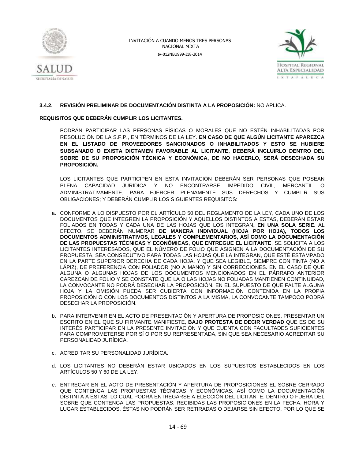



### **3.4.2. REVISIÓN PRELIMINAR DE DOCUMENTACIÓN DISTINTA A LA PROPOSICIÓN:** NO APLICA.

### **REQUISITOS QUE DEBERÁN CUMPLIR LOS LICITANTES.**

PODRÁN PARTICIPAR LAS PERSONAS FÍSICAS O MORALES QUE NO ESTÉN INHABILITADAS POR RESOLUCIÓN DE LA S.F.P., EN TÉRMINOS DE LA LEY. **EN CASO DE QUE ALGÚN LICITANTE APAREZCA EN EL LISTADO DE PROVEEDORES SANCIONADOS O INHABILITADOS Y ESTO SE HUBIERE SUBSANADO O EXISTA DICTAMEN FAVORABLE AL LICITANTE, DEBERÁ INCLUIRLO DENTRO DEL SOBRE DE SU PROPOSICIÓN TÉCNICA Y ECONÓMICA, DE NO HACERLO, SERÁ DESECHADA SU PROPOSICIÓN.**

LOS LICITANTES QUE PARTICIPEN EN ESTA INVITACIÓN DEBERÁN SER PERSONAS QUE POSEAN PLENA CAPACIDAD JURÍDICA Y NO ENCONTRARSE IMPEDIDO CIVIL, MERCANTIL O ADMINISTRATIVAMENTE, PARA EJERCER PLENAMENTE SUS DERECHOS Y CUMPLIR SUS OBLIGACIONES; Y DEBERÁN CUMPLIR LOS SIGUIENTES REQUISITOS:

- a. CONFORME A LO DISPUESTO POR EL ARTÍCULO 50 DEL REGLAMENTO DE LA LEY, CADA UNO DE LOS DOCUMENTOS QUE INTEGREN LA PROPOSICIÓN Y AQUELLOS DISTINTOS A ESTAS, DEBERÁN ESTAR FOLIADOS EN TODAS Y CADA UNA DE LAS HOJAS QUE LOS INTEGRAN**, EN UNA SOLA SERIE.** AL EFECTO, SE DEBERÁN NUMERAR **DE MANERA INDIVIDUAL (HOJA POR HOJA), TODOS LOS DOCUMENTOS ADMINISTRATIVOS, LEGALES Y COMPLEMENTARIOS, ASÍ COMO LA DOCUMENTACIÓN DE LAS PROPUESTAS TÉCNICAS Y ECONÓMICAS, QUE ENTREGUE EL LICITANTE**, SE SOLICITA A LOS LICITANTES INTERESADOS, QUE EL NÚMERO DE FOLIO QUE ASIGNEN A LA DOCUMENTACIÓN DE SU PROPUESTA, SEA CONSECUTIVO PARA TODAS LAS HOJAS QUE LA INTEGRAN, QUE ESTÉ ESTAMPADO EN LA PARTE SUPERIOR DERECHA DE CADA HOJA, Y QUE SEA LEGIBLE, SIEMPRE CON TINTA (NO A LÁPIZ), DE PREFERENCIA CON FOLIADOR (NO A MANO) Y SIN CORRECCIONES. EN EL CASO DE QUE ALGUNA O ALGUNAS HOJAS DE LOS DOCUMENTOS MENCIONADOS EN EL PÁRRAFO ANTERIOR CAREZCAN DE FOLIO Y SE CONSTATE QUE LA O LAS HOJAS NO FOLIADAS MANTIENEN CONTINUIDAD, LA CONVOCANTE NO PODRÁ DESECHAR LA PROPOSICIÓN. EN EL SUPUESTO DE QUE FALTE ALGUNA HOJA Y LA OMISIÓN PUEDA SER CUBIERTA CON INFORMACIÓN CONTENIDA EN LA PROPIA PROPOSICIÓN O CON LOS DOCUMENTOS DISTINTOS A LA MISMA, LA CONVOCANTE TAMPOCO PODRÁ DESECHAR LA PROPOSICIÓN.
- b. PARA INTERVENIR EN EL ACTO DE PRESENTACIÓN Y APERTURA DE PROPOSICIONES, PRESENTAR UN ESCRITO EN EL QUE SU FIRMANTE MANIFIESTE, **BAJO PROTESTA DE DECIR VERDAD** QUE ES DE SU INTERÉS PARTICIPAR EN LA PRESENTE INVITACIÓN Y QUE CUENTA CON FACULTADES SUFICIENTES PARA COMPROMETERSE POR SÍ O POR SU REPRESENTADA, SIN QUE SEA NECESARIO ACREDITAR SU PERSONALIDAD JURÍDICA.
- c. ACREDITAR SU PERSONALIDAD JURÍDICA.
- d. LOS LICITANTES NO DEBERÁN ESTAR UBICADOS EN LOS SUPUESTOS ESTABLECIDOS EN LOS ARTÍCULOS 50 Y 60 DE LA LEY.
- e. ENTREGAR EN EL ACTO DE PRESENTACIÓN Y APERTURA DE PROPOSICIONES EL SOBRE CERRADO QUE CONTENGA LAS PROPUESTAS TÉCNICAS Y ECONÓMICAS, ASÍ COMO LA DOCUMENTACIÓN DISTINTA A ÉSTAS, LO CUAL PODRÁ ENTREGARSE A ELECCIÓN DEL LICITANTE, DENTRO O FUERA DEL SOBRE QUE CONTENGA LAS PROPUESTAS; RECIBIDAS LAS PROPOSICIONES EN LA FECHA, HORA Y LUGAR ESTABLECIDOS, ÉSTAS NO PODRÁN SER RETIRADAS O DEJARSE SIN EFECTO, POR LO QUE SE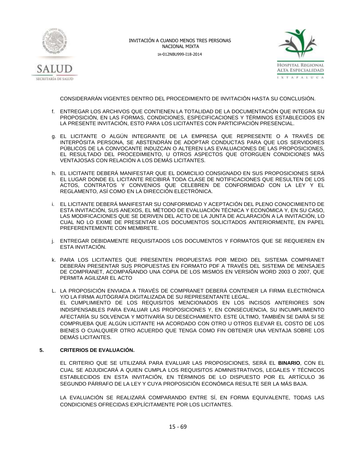



CONSIDERARÁN VIGENTES DENTRO DEL PROCEDIMIENTO DE INVITACIÓN HASTA SU CONCLUSIÓN.

- f. ENTREGAR LOS ARCHIVOS QUE CONTIENEN LA TOTALIDAD DE LA DOCUMENTACIÓN QUE INTEGRA SU PROPOSICIÓN, EN LAS FORMAS, CONDICIONES, ESPECIFICACIONES Y TÉRMINOS ESTABLECIDOS EN LA PRESENTE INVITACIÓN, ESTO PARA LOS LICITANTES CON PARTICIPACIÓN PRESENCIAL.
- g. EL LICITANTE O ALGÚN INTEGRANTE DE LA EMPRESA QUE REPRESENTE O A TRAVÉS DE INTERPÓSITA PERSONA, SE ABSTENDRÁN DE ADOPTAR CONDUCTAS PARA QUE LOS SERVIDORES PÚBLICOS DE LA CONVOCANTE INDUZCAN O ALTEREN LAS EVALUACIONES DE LAS PROPOSICIONES, EL RESULTADO DEL PROCEDIMIENTO, U OTROS ASPECTOS QUE OTORGUEN CONDICIONES MÁS VENTAJOSAS CON RELACIÓN A LOS DEMÁS LICITANTES.
- h. EL LICITANTE DEBERÁ MANIFESTAR QUE EL DOMICILIO CONSIGNADO EN SUS PROPOSICIONES SERÁ EL LUGAR DONDE EL LICITANTE RECIBIRÁ TODA CLASE DE NOTIFICACIONES QUE RESULTEN DE LOS ACTOS, CONTRATOS Y CONVENIOS QUE CELEBREN DE CONFORMIDAD CON LA LEY Y EL REGLAMENTO, ASÍ COMO EN LA DIRECCIÓN ELECTRÓNICA.
- i. EL LICITANTE DEBERÁ MANIFESTAR SU CONFORMIDAD Y ACEPTACIÓN DEL PLENO CONOCIMIENTO DE ESTA INVITACIÓN, SUS ANEXOS, EL MÉTODO DE EVALUACIÓN TÉCNICA Y ECONÓMICA Y, EN SU CASO, LAS MODIFICACIONES QUE SE DERIVEN DEL ACTO DE LA JUNTA DE ACLARACIÓN A LA INVITACIÓN, LO CUAL NO LO EXIME DE PRESENTAR LOS DOCUMENTOS SOLICITADOS ANTERIORMENTE, EN PAPEL PREFERENTEMENTE CON MEMBRETE.
- j. ENTREGAR DEBIDAMENTE REQUISITADOS LOS DOCUMENTOS Y FORMATOS QUE SE REQUIEREN EN ESTA INVITACIÓN.
- k. PARA LOS LICITANTES QUE PRESENTEN PROPUESTAS POR MEDIO DEL SISTEMA COMPRANET DEBERÁN PRESENTAR SUS PROPUESTAS EN FORMATO PDF A TRAVÉS DEL SISTEMA DE MENSAJES DE COMPRANET, ACOMPAÑANDO UNA COPIA DE LOS MISMOS EN VERSIÓN WORD 2003 O 2007, QUE PERMITA AGILIZAR EL ACTO
- L. LA PROPOSICIÓN ENVIADA A TRAVÉS DE COMPRANET DEBERÁ CONTENER LA FIRMA ELECTRÓNICA Y/O LA FIRMA AUTÓGRAFA DIGITALIZADA DE SU REPRESENTANTE LEGAL. EL CUMPLIMIENTO DE LOS REQUISITOS MENCIONADOS EN LOS INCISOS ANTERIORES SON INDISPENSABLES PARA EVALUAR LAS PROPOSICIONES Y, EN CONSECUENCIA, SU INCUMPLIMIENTO AFECTARÍA SU SOLVENCIA Y MOTIVARÍA SU DESECHAMIENTO. ESTE ÚLTIMO, TAMBIÉN SE DARÁ SI SE COMPRUEBA QUE ALGÚN LICITANTE HA ACORDADO CON OTRO U OTROS ELEVAR EL COSTO DE LOS BIENES O CUALQUIER OTRO ACUERDO QUE TENGA COMO FIN OBTENER UNA VENTAJA SOBRE LOS DEMÁS LICITANTES.

#### **5. CRITERIOS DE EVALUACIÓN.**

EL CRITERIO QUE SE UTILIZARÁ PARA EVALUAR LAS PROPOSICIONES, SERÁ EL **BINARIO**, CON EL CUAL SE ADJUDICARÁ A QUIEN CUMPLA LOS REQUISITOS ADMINISTRATIVOS, LEGALES Y TÉCNICOS ESTABLECIDOS EN ESTA INVITACIÓN, EN TÉRMINOS DE LO DISPUESTO POR EL ARTÍCULO 36 SEGUNDO PÁRRAFO DE LA LEY Y CUYA PROPOSICIÓN ECONÓMICA RESULTE SER LA MÁS BAJA.

LA EVALUACIÓN SE REALIZARÁ COMPARANDO ENTRE SÍ, EN FORMA EQUIVALENTE, TODAS LAS CONDICIONES OFRECIDAS EXPLÍCITAMENTE POR LOS LICITANTES.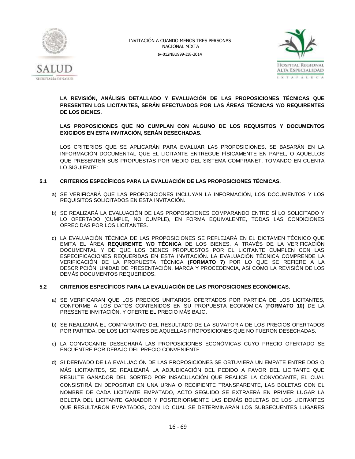



**LA REVISIÓN, ANÁLISIS DETALLADO Y EVALUACIÓN DE LAS PROPOSICIONES TÉCNICAS QUE PRESENTEN LOS LICITANTES, SERÁN EFECTUADOS POR LAS ÁREAS TÉCNICAS Y/O REQUIRENTES DE LOS BIENES.**

### **LAS PROPOSICIONES QUE NO CUMPLAN CON ALGUNO DE LOS REQUISITOS Y DOCUMENTOS EXIGIDOS EN ESTA INVITACIÓN, SERÁN DESECHADAS.**

LOS CRITERIOS QUE SE APLICARÁN PARA EVALUAR LAS PROPOSICIONES, SE BASARÁN EN LA INFORMACIÓN DOCUMENTAL QUE EL LICITANTE ENTREGUE FÍSICAMENTE EN PAPEL, O AQUELLOS QUE PRESENTEN SUS PROPUESTAS POR MEDIO DEL SISTEMA COMPRANET, TOMANDO EN CUENTA LO SIGUIENTE:

### **5.1 CRITERIOS ESPECÍFICOS PARA LA EVALUACIÓN DE LAS PROPOSICIONES TÉCNICAS.**

- a) SE VERIFICARÁ QUE LAS PROPOSICIONES INCLUYAN LA INFORMACIÓN, LOS DOCUMENTOS Y LOS REQUISITOS SOLICITADOS EN ESTA INVITACIÓN.
- b) SE REALIZARÁ LA EVALUACIÓN DE LAS PROPOSICIONES COMPARANDO ENTRE SÍ LO SOLICITADO Y LO OFERTADO (CUMPLE, NO CUMPLE), EN FORMA EQUIVALENTE, TODAS LAS CONDICIONES OFRECIDAS POR LOS LICITANTES.
- c) LA EVALUACIÓN TÉCNICA DE LAS PROPOSICIONES SE REFLEJARÁ EN EL DICTAMEN TÉCNICO QUE EMITA EL ÁREA **REQUIRENTE Y/O TÉCNICA** DE LOS BIENES, A TRAVÉS DE LA VERIFICACIÓN DOCUMENTAL Y DE QUE LOS BIENES PROPUESTOS POR EL LICITANTE CUMPLEN CON LAS ESPECIFICACIONES REQUERIDAS EN ESTA INVITACIÓN. LA EVALUACIÓN TÉCNICA COMPRENDE LA VERIFICACIÓN DE LA PROPUESTA TÉCNICA **(FORMATO 7)** POR LO QUE SE REFIERE A LA DESCRIPCIÓN, UNIDAD DE PRESENTACIÓN, MARCA Y PROCEDENCIA, ASÍ COMO LA REVISIÓN DE LOS DEMÁS DOCUMENTOS REQUERIDOS.

### **5.2 CRITERIOS ESPECÍFICOS PARA LA EVALUACIÓN DE LAS PROPOSICIONES ECONÓMICAS.**

- a) SE VERIFICARAN QUE LOS PRECIOS UNITARIOS OFERTADOS POR PARTIDA DE LOS LICITANTES, CONFORME A LOS DATOS CONTENIDOS EN SU PROPUESTA ECONÓMICA (**FORMATO 10)** DE LA PRESENTE INVITACIÓN, Y OFERTE EL PRECIO MÁS BAJO.
- b) SE REALIZARÁ EL COMPARATIVO DEL RESULTADO DE LA SUMATORIA DE LOS PRECIOS OFERTADOS POR PARTIDA, DE LOS LICITANTES DE AQUELLAS PROPOSICIONES QUE NO FUERON DESECHADAS.
- c) LA CONVOCANTE DESECHARÁ LAS PROPOSICIONES ECONÓMICAS CUYO PRECIO OFERTADO SE ENCUENTRE POR DEBAJO DEL PRECIO CONVENIENTE.
- d) SI DERIVADO DE LA EVALUACIÓN DE LAS PROPOSICIONES SE OBTUVIERA UN EMPATE ENTRE DOS O MÁS LICITANTES, SE REALIZARÁ LA ADJUDICACIÓN DEL PEDIDO A FAVOR DEL LICITANTE QUE RESULTE GANADOR DEL SORTEO POR INSACULACIÓN QUE REALICE LA CONVOCANTE, EL CUAL CONSISTIRÁ EN DEPOSITAR EN UNA URNA O RECIPIENTE TRANSPARENTE, LAS BOLETAS CON EL NOMBRE DE CADA LICITANTE EMPATADO, ACTO SEGUIDO SE EXTRAERÁ EN PRIMER LUGAR LA BOLETA DEL LICITANTE GANADOR Y POSTERIORMENTE LAS DEMÁS BOLETAS DE LOS LICITANTES QUE RESULTARON EMPATADOS, CON LO CUAL SE DETERMINARÁN LOS SUBSECUENTES LUGARES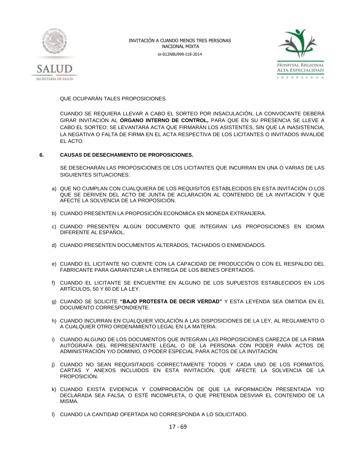



QUE OCUPARÁN TALES PROPOSICIONES.

CUANDO SE REQUIERA LLEVAR A CABO EL SORTEO POR INSACULACIÓN, LA CONVOCANTE DEBERÁ GIRAR INVITACIÓN AL **ÓRGANO INTERNO DE CONTROL,** PARA QUE EN SU PRESENCIA SE LLEVE A CABO EL SORTEO; SE LEVANTARÁ ACTA QUE FIRMARÁN LOS ASISTENTES, SIN QUE LA INASISTENCIA, LA NEGATIVA O FALTA DE FIRMA EN EL ACTA RESPECTIVA DE LOS LICITANTES O INVITADOS INVALIDE EL ACTO.

### **6. CAUSAS DE DESECHAMIENTO DE PROPOSICIONES.**

SE DESECHARÁN LAS PROPOSICIONES DE LOS LICITANTES QUE INCURRAN EN UNA O VARIAS DE LAS SIGUIENTES SITUACIONES:

- a) QUE NO CUMPLAN CON CUALQUIERA DE LOS REQUISITOS ESTABLECIDOS EN ESTA INVITACIÓN O LOS QUE SE DERIVEN DEL ACTO DE JUNTA DE ACLARACIÓN AL CONTENIDO DE LA INVITACIÓN Y QUE AFECTE LA SOLVENCIA DE LA PROPOSICIÓN.
- b) CUANDO PRESENTEN LA PROPOSICIÓN ECONÓMICA EN MONEDA EXTRANJERA.
- c) CUANDO PRESENTEN ALGÚN DOCUMENTO QUE INTEGRAN LAS PROPOSICIONES EN IDIOMA DIFERENTE AL ESPAÑOL.
- d) CUANDO PRESENTEN DOCUMENTOS ALTERADOS, TACHADOS O ENMENDADOS.
- e) CUANDO EL LICITANTE NO CUENTE CON LA CAPACIDAD DE PRODUCCIÓN O CON EL RESPALDO DEL FABRICANTE PARA GARANTIZAR LA ENTREGA DE LOS BIENES OFERTADOS.
- f) CUANDO EL LICITANTE SE ENCUENTRE EN ALGUNO DE LOS SUPUESTOS ESTABLECIDOS EN LOS ARTÍCULOS, 50 Y 60 DE LA LEY.
- g) CUANDO SE SOLICITE **"BAJO PROTESTA DE DECIR VERDAD"** Y ESTA LEYENDA SEA OMITIDA EN EL DOCUMENTO CORRESPONDIENTE.
- h) CUANDO INCURRAN EN CUALQUIER VIOLACIÓN A LAS DISPOSICIONES DE LA LEY, AL REGLAMENTO O A CUALQUIER OTRO ORDENAMIENTO LEGAL EN LA MATERIA.
- i) CUANDO ALGUNO DE LOS DOCUMENTOS QUE INTEGRAN LAS PROPOSICIONES CAREZCA DE LA FIRMA AUTÓGRAFA DEL REPRESENTANTE LEGAL O DE LA PERSONA CON PODER PARA ACTOS DE ADMINISTRACIÓN Y/O DOMINIO, O PODER ESPECIAL PARA ACTOS DE LA INVITACIÓN.
- j) CUANDO NO SEAN REQUISITADOS CORRECTAMENTE TODOS Y CADA UNO DE LOS FORMATOS, CARTAS Y ANEXOS INCLUIDOS EN ESTA INVITACIÓN, QUE AFECTE LA SOLVENCIA DE LA PROPOSICIÓN.
- k) CUANDO EXISTA EVIDENCIA Y COMPROBACIÓN DE QUE LA INFORMACIÓN PRESENTADA Y/O DECLARADA SEA FALSA, O ESTÉ INCOMPLETA, O QUE PRETENDA DESVIAR EL CONTENIDO DE LA MISMA.
- l) CUANDO LA CANTIDAD OFERTADA NO CORRESPONDA A LO SOLICITADO.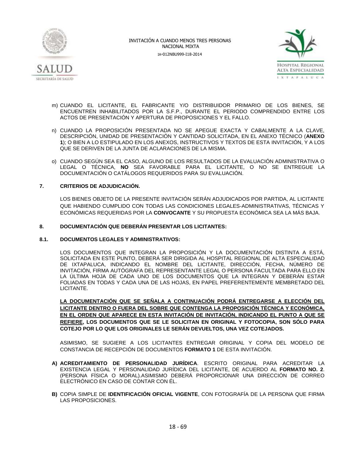



- m) CUANDO EL LICITANTE, EL FABRICANTE Y/O DISTRIBUIDOR PRIMARIO DE LOS BIENES, SE ENCUENTREN INHABILITADOS POR LA S.F.P., DURANTE EL PERIODO COMPRENDIDO ENTRE LOS ACTOS DE PRESENTACIÓN Y APERTURA DE PROPOSICIONES Y EL FALLO.
- n) CUANDO LA PROPOSICIÓN PRESENTADA NO SE APEGUE EXACTA Y CABALMENTE A LA CLAVE, DESCRIPCIÓN, UNIDAD DE PRESENTACIÓN Y CANTIDAD SOLICITADA, EN EL ANEXO TÉCNICO (**ANEXO 1**); O BIEN A LO ESTIPULADO EN LOS ANEXOS, INSTRUCTIVOS Y TEXTOS DE ESTA INVITACIÓN, Y A LOS QUE SE DERIVEN DE LA JUNTA DE ACLARACIONES DE LA MISMA.
- o) CUANDO SEGÚN SEA EL CASO, ALGUNO DE LOS RESULTADOS DE LA EVALUACIÓN ADMINISTRATIVA O LEGAL O TÉCNICA, **NO** SEA FAVORABLE PARA EL LICITANTE, O NO SE ENTREGUE LA DOCUMENTACIÓN O CATÁLOGOS REQUERIDOS PARA SU EVALUACIÓN.

### **7. CRITERIOS DE ADJUDICACIÓN.**

LOS BIENES OBJETO DE LA PRESENTE INVITACIÓN SERÁN ADJUDICADOS POR PARTIDA, AL LICITANTE QUE HABIENDO CUMPLIDO CON TODAS LAS CONDICIONES LEGALES-ADMINISTRATIVAS, TÉCNICAS Y ECONÓMICAS REQUERIDAS POR LA **CONVOCANTE** Y SU PROPUESTA ECONÓMICA SEA LA MÁS BAJA.

### **8. DOCUMENTACIÓN QUE DEBERÁN PRESENTAR LOS LICITANTES:**

#### **8.1. DOCUMENTOS LEGALES Y ADMINISTRATIVOS:**

LOS DOCUMENTOS QUE INTEGRAN LA PROPOSICIÓN Y LA DOCUMENTACIÓN DISTINTA A ESTÁ, SOLICITADA EN ESTE PUNTO, DEBERÁ SER DIRIGIDA AL HOSPITAL REGIONAL DE ALTA ESPECIALIDAD DE IXTAPALUCA, INDICANDO EL NOMBRE DEL LICITANTE, DIRECCIÓN, FECHA, NÚMERO DE INVITACIÓN, FIRMA AUTÓGRAFA DEL REPRESENTANTE LEGAL O PERSONA FACULTADA PARA ELLO EN LA ÚLTIMA HOJA DE CADA UNO DE LOS DOCUMENTOS QUE LA INTEGRAN Y DEBERÁN ESTAR FOLIADAS EN TODAS Y CADA UNA DE LAS HOJAS, EN PAPEL PREFERENTEMENTE MEMBRETADO DEL LICITANTE.

**LA DOCUMENTACIÓN QUE SE SEÑALA A CONTINUACIÓN PODRÁ ENTREGARSE A ELECCIÓN DEL LICITANTE DENTRO O FUERA DEL SOBRE QUE CONTENGA LA PROPOSICIÓN TÉCNICA Y ECONÓMICA, EN EL ORDEN QUE APARECE EN ESTA INVITACIÓN DE INVITACIÓN, INDICANDO EL PUNTO A QUE SE REFIERE, LOS DOCUMENTOS QUE SE LE SOLICITAN EN ORIGINAL Y FOTOCOPIA, SON SÓLO PARA COTEJO POR LO QUE LOS ORIGINALES LE SERÁN DEVUELTOS, UNA VEZ COTEJADOS.** 

ASIMISMO, SE SUGIERE A LOS LICITANTES ENTREGAR ORIGINAL Y COPIA DEL MODELO DE CONSTANCIA DE RECEPCIÓN DE DOCUMENTOS **FORMATO 1** DE ESTA INVITACIÓN.

- **A) ACREDITAMIENTO DE PERSONALIDAD JURÍDICA**. ESCRITO ORIGINAL PARA ACREDITAR LA EXISTENCIA LEGAL Y PERSONALIDAD JURÍDICA DEL LICITANTE, DE ACUERDO AL **FORMATO NO. 2**. (PERSONA FÍSICA O MORAL).ASIMISMO DEBERÁ PROPORCIONAR UNA DIRECCIÓN DE CORREO ELECTRÓNICO EN CASO DE CONTAR CON ÉL.
- **B)** COPIA SIMPLE DE **IDENTIFICACIÓN OFICIAL VIGENTE**, CON FOTOGRAFÍA DE LA PERSONA QUE FIRMA LAS PROPOSICIONES.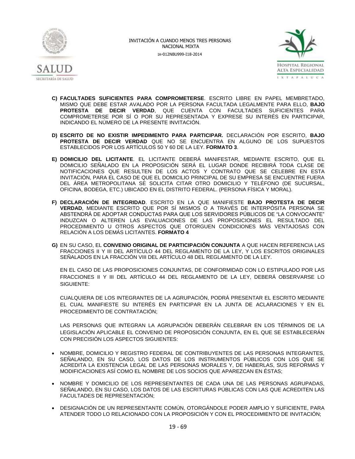



- **C) FACULTADES SUFICIENTES PARA COMPROMETERSE**. ESCRITO LIBRE EN PAPEL MEMBRETADO, MISMO QUE DEBE ESTAR AVALADO POR LA PERSONA FACULTADA LEGALMENTE PARA ELLO, **BAJO PROTESTA DE DECIR VERDAD**, QUE CUENTA CON FACULTADES SUFICIENTES PARA COMPROMETERSE POR SÍ O POR SU REPRESENTADA Y EXPRESE SU INTERÉS EN PARTICIPAR, INDICANDO EL NÚMERO DE LA PRESENTE INVITACIÓN.
- **D) ESCRITO DE NO EXISTIR IMPEDIMENTO PARA PARTICIPAR.** DECLARACIÓN POR ESCRITO, **BAJO PROTESTA DE DECIR VERDAD** QUE NO SE ENCUENTRA EN ALGUNO DE LOS SUPUESTOS ESTABLECIDOS POR LOS ARTÍCULOS 50 Y 60 DE LA LEY. **FORMATO 3**.
- **E) DOMICILIO DEL LICITANTE**. EL LICITANTE DEBERÁ MANIFESTAR, MEDIANTE ESCRITO, QUE EL DOMICILIO SEÑALADO EN LA PROPOSICIÓN SERÁ EL LUGAR DONDE RECIBIRÁ TODA CLASE DE NOTIFICACIONES QUE RESULTEN DE LOS ACTOS Y CONTRATO QUE SE CELEBRE EN ESTA INVITACIÓN, PARA EL CASO DE QUE EL DOMICILIO PRINCIPAL DE SU EMPRESA SE ENCUENTRE FUERA DEL ÁREA METROPOLITANA SE SOLICITA CITAR OTRO DOMICILIO Y TELÉFONO (DE SUCURSAL, OFICINA, BODEGA, ETC.) UBICADO EN EL DISTRITO FEDERAL. (PERSONA FÍSICA Y MORAL).
- **F) DECLARACIÓN DE INTEGRIDAD**. ESCRITO EN LA QUE MANIFIESTE **BAJO PROTESTA DE DECIR VERDAD**, MEDIANTE ESCRITO QUE POR SÍ MISMOS O A TRAVÉS DE INTERPÓSITA PERSONA SE ABSTENDRÁ DE ADOPTAR CONDUCTAS PARA QUE LOS SERVIDORES PÚBLICOS DE "LA CONVOCANTE" INDUZCAN O ALTEREN LAS EVALUACIONES DE LAS PROPOSICIONES EL RESULTADO DEL PROCEDIMIENTO U OTROS ASPECTOS QUE OTORGUEN CONDICIONES MÁS VENTAJOSAS CON RELACIÓN A LOS DEMÁS LICITANTES. **FORMATO 4**
- **G)** EN SU CASO, EL **CONVENIO ORIGINAL DE PARTICIPACIÓN CONJUNTA** A QUE HACEN REFERENCIA LAS FRACCIONES II Y III DEL ARTÍCULO 44 DEL REGLAMENTO DE LA LEY, Y LOS ESCRITOS ORIGINALES SEÑALADOS EN LA FRACCIÓN VIII DEL ARTÍCULO 48 DEL REGLAMENTO DE LA LEY.

EN EL CASO DE LAS PROPOSICIONES CONJUNTAS, DE CONFORMIDAD CON LO ESTIPULADO POR LAS FRACCIONES II Y III DEL ARTÍCULO 44 DEL REGLAMENTO DE LA LEY, DEBERÁ OBSERVARSE LO SIGUIENTE:

CUALQUIERA DE LOS INTEGRANTES DE LA AGRUPACIÓN, PODRÁ PRESENTAR EL ESCRITO MEDIANTE EL CUAL MANIFIESTE SU INTERÉS EN PARTICIPAR EN LA JUNTA DE ACLARACIONES Y EN EL PROCEDIMIENTO DE CONTRATACIÓN;

LAS PERSONAS QUE INTEGRAN LA AGRUPACIÓN DEBERÁN CELEBRAR EN LOS TÉRMINOS DE LA LEGISLACIÓN APLICABLE EL CONVENIO DE PROPOSICIÓN CONJUNTA, EN EL QUE SE ESTABLECERÁN CON PRECISIÓN LOS ASPECTOS SIGUIENTES:

- NOMBRE, DOMICILIO Y REGISTRO FEDERAL DE CONTRIBUYENTES DE LAS PERSONAS INTEGRANTES, SEÑALANDO, EN SU CASO, LOS DATOS DE LOS INSTRUMENTOS PÚBLICOS CON LOS QUE SE ACREDITA LA EXISTENCIA LEGAL DE LAS PERSONAS MORALES Y, DE HABERLAS, SUS REFORMAS Y MODIFICACIONES ASÍ COMO EL NOMBRE DE LOS SOCIOS QUE APAREZCAN EN ÉSTAS;
- NOMBRE Y DOMICILIO DE LOS REPRESENTANTES DE CADA UNA DE LAS PERSONAS AGRUPADAS, SEÑALANDO, EN SU CASO, LOS DATOS DE LAS ESCRITURAS PÚBLICAS CON LAS QUE ACREDITEN LAS FACULTADES DE REPRESENTACIÓN;
- DESIGNACIÓN DE UN REPRESENTANTE COMÚN, OTORGÁNDOLE PODER AMPLIO Y SUFICIENTE, PARA ATENDER TODO LO RELACIONADO CON LA PROPOSICIÓN Y CON EL PROCEDIMIENTO DE INVITACIÓN;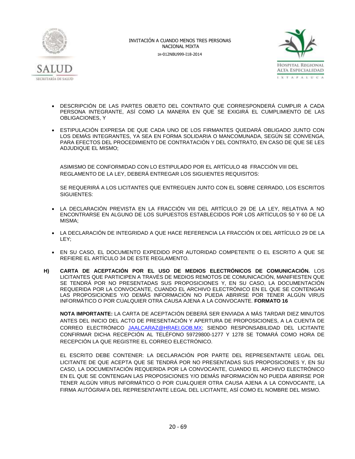



- DESCRIPCIÓN DE LAS PARTES OBJETO DEL CONTRATO QUE CORRESPONDERÁ CUMPLIR A CADA PERSONA INTEGRANTE, ASÍ COMO LA MANERA EN QUE SE EXIGIRÁ EL CUMPLIMIENTO DE LAS OBLIGACIONES, Y
- ESTIPULACIÓN EXPRESA DE QUE CADA UNO DE LOS FIRMANTES QUEDARÁ OBLIGADO JUNTO CON LOS DEMÁS INTEGRANTES, YA SEA EN FORMA SOLIDARIA O MANCOMUNADA, SEGÚN SE CONVENGA, PARA EFECTOS DEL PROCEDIMIENTO DE CONTRATACIÓN Y DEL CONTRATO, EN CASO DE QUE SE LES ADJUDIQUE EL MISMO;

ASIMISMO DE CONFORMIDAD CON LO ESTIPULADO POR EL ARTÍCULO 48 FRACCIÓN VIII DEL REGLAMENTO DE LA LEY, DEBERÁ ENTREGAR LOS SIGUIENTES REQUISITOS:

SE REQUERIRÁ A LOS LICITANTES QUE ENTREGUEN JUNTO CON EL SOBRE CERRADO, LOS ESCRITOS SIGUIENTES:

- LA DECLARACIÓN PREVISTA EN LA FRACCIÓN VIII DEL ARTÍCULO 29 DE LA LEY, RELATIVA A NO ENCONTRARSE EN ALGUNO DE LOS SUPUESTOS ESTABLECIDOS POR LOS ARTÍCULOS 50 Y 60 DE LA MISMA;
- LA DECLARACIÓN DE INTEGRIDAD A QUE HACE REFERENCIA LA FRACCIÓN IX DEL ARTÍCULO 29 DE LA LEY;
- EN SU CASO, EL DOCUMENTO EXPEDIDO POR AUTORIDAD COMPETENTE O EL ESCRITO A QUE SE REFIERE EL ARTÍCULO 34 DE ESTE REGLAMENTO.
- **H) CARTA DE ACEPTACIÓN POR EL USO DE MEDIOS ELECTRÓNICOS DE COMUNICACIÓN.** LOS LICITANTES QUE PARTICIPEN A TRAVÉS DE MEDIOS REMOTOS DE COMUNICACIÓN, MANIFIESTEN QUE SE TENDRÁ POR NO PRESENTADAS SUS PROPOSICIONES Y, EN SU CASO, LA DOCUMENTACIÓN REQUERIDA POR LA CONVOCANTE, CUANDO EL ARCHIVO ELECTRÓNICO EN EL QUE SE CONTENGAN LAS PROPOSICIONES Y/O DEMÁS INFORMACIÓN NO PUEDA ABRIRSE POR TENER ALGÚN VIRUS INFORMÁTICO O POR CUALQUIER OTRA CAUSA AJENA A LA CONVOCANTE. **FORMATO 16**

**NOTA IMPORTANTE:** LA CARTA DE ACEPTACIÓN DEBERÁ SER ENVIADA A MÁS TARDAR DIEZ MINUTOS ANTES DEL INICIO DEL ACTO DE PRESENTACIÓN Y APERTURA DE PROPOSICIONES, A LA CUENTA DE CORREO ELECTRÓNICO [JAALCARAZ@HRAEI.GOB.MX;](mailto:JAALCARAZ@HRAEI.GOB.MX) SIENDO RESPONSABILIDAD DEL LICITANTE CONFIRMAR DICHA RECEPCIÓN AL TELÉFONO 59729800-1277 Y 1278 SE TOMARÁ COMO HORA DE RECEPCIÓN LA QUE REGISTRE EL CORREO ELECTRÓNICO.

EL ESCRITO DEBE CONTENER: LA DECLARACIÓN POR PARTE DEL REPRESENTANTE LEGAL DEL LICITANTE DE QUE ACEPTA QUE SE TENDRÁ POR NO PRESENTADAS SUS PROPOSICIONES Y, EN SU CASO, LA DOCUMENTACIÓN REQUERIDA POR LA CONVOCANTE, CUANDO EL ARCHIVO ELECTRÓNICO EN EL QUE SE CONTENGAN LAS PROPOSICIONES Y/O DEMÁS INFORMACIÓN NO PUEDA ABRIRSE POR TENER ALGÚN VIRUS INFORMÁTICO O POR CUALQUIER OTRA CAUSA AJENA A LA CONVOCANTE, LA FIRMA AUTÓGRAFA DEL REPRESENTANTE LEGAL DEL LICITANTE, ASÍ COMO EL NOMBRE DEL MISMO.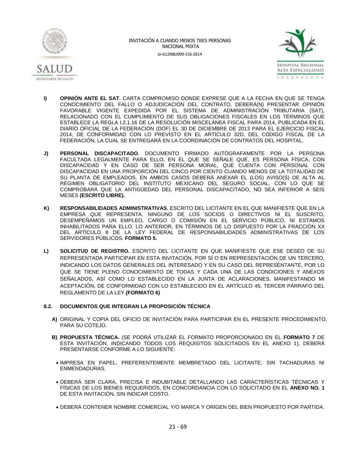



- **I) OPINIÓN ANTE EL SAT.** CARTA COMPROMISO DONDE EXPRESE QUE A LA FECHA EN QUE SE TENGA CONOCIMIENTO DEL FALLO O ADJUDICACIÓN DEL CONTRATO, DEBERÁ(N) PRESENTAR OPINIÓN FAVORABLE VIGENTE EXPEDIDA POR EL SISTEMA DE ADMINISTRACIÓN TRIBUTARIA (SAT), RELACIONADO CON EL CUMPLIMIENTO DE SUS OBLIGACIONES FISCALES EN LOS TÉRMINOS QUE ESTABLECE LA REGLA I.2.1.16 DE LA RESOLUCIÓN MISCELÁNEA FISCAL PARA 2014, PUBLICADA EN EL DIARIO OFICIAL DE LA FEDERACIÓN (DOF) EL 30 DE DICIEMBRE DE 2013 PARA EL EJERCICIO FISCAL 2014, DE CONFORMIDAD CON LO PREVISTO EN EL ARTÍCULO 32D, DEL CÓDIGO FISCAL DE LA FEDERACIÓN, LA CUAL SE ENTREGARÁ EN LA COORDINACIÓN DE CONTRATOS DEL HOSPITAL.
- **J) PERSONAL DISCAPACITADO**. DOCUMENTO FIRMADO AUTÓGRAFAMENTE POR LA PERSONA FACULTADA LEGALMENTE PARA ELLO, EN EL QUE SE SEÑALE QUE, ES PERSONA FÍSICA, CON DISCAPACIDAD Y EN CASO DE SER PERSONA MORAL, QUE CUENTA CON PERSONAL CON DISCAPACIDAD EN UNA PROPORCIÓN DEL CINCO POR CIENTO CUANDO MENOS DE LA TOTALIDAD DE SU PLANTA DE EMPLEADOS, EN AMBOS CASOS DEBERÁ ANEXAR EL (LOS) AVISO(S) DE ALTA AL RÉGIMEN OBLIGATORIO DEL INSTITUTO MEXICANO DEL SEGURO SOCIAL, CON LO QUE SE COMPROBARÁ QUE LA ANTIGÜEDAD DEL PERSONAL DISCAPACITADO, NO SEA INFERIOR A SEIS MESES **(ESCRITO LIBRE).**
- **K) RESPONSABILIDADES ADMINISTRATIVAS.** ESCRITO DEL LICITANTE EN EL QUE MANIFIESTE QUE EN LA EMPRESA QUE REPRESENTA, NINGUNO DE LOS SOCIOS O DIRECTIVOS NI EL SUSCRITO, DESEMPEÑAMOS UN EMPLEO, CARGO O COMISIÓN EN EL SERVICIO PÚBLICO, NI ESTAMOS INHABILITADOS PARA ELLO. LO ANTERIOR, EN TÉRMINOS DE LO DISPUESTO POR LA FRACCIÓN XX DEL ARTÍCULO 8 DE LA LEY FEDERAL DE RESPONSABILIDADES ADMINISTRATIVAS DE LOS SERVIDORES PÚBLICOS. **FORMATO 5.**
- **L) SOLICITUD DE REGISTRO.** ESCRITO DEL LICITANTE EN QUE MANIFIESTE QUE ESE DESEO DE SU REPRESENTADA PARTICIPAR EN ESTA INVITACIÓN, POR SÍ O EN REPRESENTACIÓN DE UN TERCERO, INDICANDO LOS DATOS GENERALES DEL INTERESADO Y EN SU CASO DEL REPRESENTANTE, POR LO QUE SE TIENE PLENO CONOCIMIENTO DE TODAS Y CADA UNA DE LAS CONDICIONES Y ANEXOS SEÑALADOS, ASÍ COMO LO ESTABLECIDO EN LA JUNTA DE ACLARACIONES, MANIFESTANDO MI ACEPTACIÓN, DE CONFORMIDAD CON LO ESTABLECIDO EN EL ARTÍCULO 45, TERCER PÁRRAFO DEL REGLAMENTO DE LA LEY.**(FORMATO 6)**

### **8.2. DOCUMENTOS QUE INTEGRAN LA PROPOSICIÓN TÉCNICA**

- **A)** ORIGINAL Y COPIA DEL OFICIO DE INVITACIÓN PARA PARTICIPAR EN EL PRESENTE PROCEDIMIENTO, PARA SU COTEJO.
- **B) PROPUESTA TÉCNICA.** (SE PODRÁ UTILIZAR EL FORMATO PROPORCIONADO EN EL **FORMATO 7** DE ESTA INVITACIÓN, INDICANDO TODOS LOS REQUISITOS SOLICITADOS EN EL ANEXO 1), DEBERÁ PRESENTARSE CONFORME A LO SIGUIENTE:
- IMPRESA EN PAPEL, PREFERENTEMENTE MEMBRETADO DEL LICITANTE, SIN TACHADURAS NI ENMENDADURAS.
- DEBERÁ SER CLARA, PRECISA E INDUBITABLE DETALLANDO LAS CARACTERÍSTICAS TÉCNICAS Y FÍSICAS DE LOS BIENES REQUERIDOS, EN CONCORDANCIA CON LO SOLICITADO EN EL **ANEXO NO. 1** DE ESTA INVITACIÓN, SIN INDICAR COSTO.
- DEBERÁ CONTENER NOMBRE COMERCIAL Y/O MARCA Y ORIGEN DEL BIEN PROPUESTO POR PARTIDA.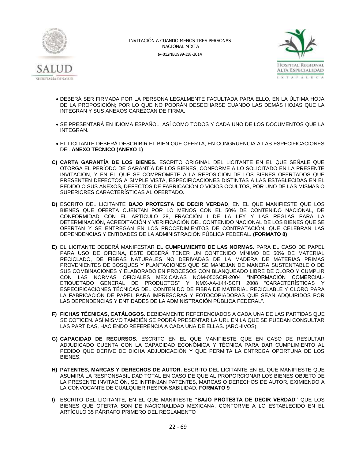



- DEBERÁ SER FIRMADA POR LA PERSONA LEGALMENTE FACULTADA PARA ELLO, EN LA ÚLTIMA HOJA DE LA PROPOSICIÓN; POR LO QUE NO PODRÁN DESECHARSE CUANDO LAS DEMÁS HOJAS QUE LA INTEGRAN Y SUS ANEXOS CAREZCAN DE FIRMA.
- SE PRESENTARÁ EN IDIOMA ESPAÑOL, ASÍ COMO TODOS Y CADA UNO DE LOS DOCUMENTOS QUE LA INTEGRAN.
- EL LICITANTE DEBERÁ DESCRIBIR EL BIEN QUE OFERTA, EN CONGRUENCIA A LAS ESPECIFICACIONES DEL **ANEXO TÉCNICO (ANEXO 1)**
- **C) CARTA GARANTÍA DE LOS BIENES**. ESCRITO ORIGINAL DEL LICITANTE EN EL QUE SEÑALE QUE OTORGA EL PERÍODO DE GARANTÍA DE LOS BIENES, CONFORME A LO SOLICITADO EN LA PRESENTE INVITACIÓN, Y EN EL QUE SE COMPROMETE A LA REPOSICIÓN DE LOS BIENES OFERTADOS QUE PRESENTEN DEFECTOS A SIMPLE VISTA, ESPECIFICACIONES DISTINTAS A LAS ESTABLECIDAS EN EL PEDIDO O SUS ANEXOS, DEFECTOS DE FABRICACIÓN O VICIOS OCULTOS, POR UNO DE LAS MISMAS O SUPERIORES CARACTERÍSTICAS AL OFERTADO.
- **D)** ESCRITO DEL LICITANTE **BAJO PROTESTA DE DECIR VERDAD**, EN EL QUE MANIFIESTE QUE LOS BIENES QUE OFERTA CUENTAN POR LO MENOS CON EL 50% DE CONTENIDO NACIONAL, DE CONFORMIDAD CON EL ARTÍCULO 28, FRACCIÓN I DE LA LEY Y LAS REGLAS PARA LA DETERMINACIÓN, ACREDITACIÓN Y VERIFICACIÓN DEL CONTENIDO NACIONAL DE LOS BIENES QUE SE OFERTAN Y SE ENTREGAN EN LOS PROCEDIMIENTOS DE CONTRATACIÓN, QUE CELEBRAN LAS DEPENDENCIAS Y ENTIDADES DE LA ADMINISTRACIÓN PÚBLICA FEDERAL. **(FORMATO 8)**
- **E)** EL LICITANTE DEBERÁ MANIFESTAR EL **CUMPLIMIENTO DE LAS NORMAS.** PARA EL CASO DE PAPEL PARA USO DE OFICINA, ÉSTE DEBERÁ TENER UN CONTENIDO MÍNIMO DE 50% DE MATERIAL RECICLADO, DE FIBRAS NATURALES NO DERIVADAS DE LA MADERA DE MATERIAS PRIMAS PROVENIENTES DE BOSQUES Y PLANTACIONES QUE SE MANEJAN DE MANERA SUSTENTABLE O DE SUS COMBINACIONES Y ELABORADO EN PROCESOS CON BLANQUEADO LIBRE DE CLORO Y CUMPLIR CON LAS NORMAS OFICIALES MEXICANAS NOM-050SCFI-2004 "INFORMACIÓN COMERCIAL-ETIQUETADO GENERAL DE PRODUCTOS" Y NMX-AA-144-SCFI 2008 "CARACTERÍSTICAS Y ESPECIFICACIONES TÉCNICAS DEL CONTENIDO DE FIBRA DE MATERIAL RECICLABLE Y CLORO PARA LA FABRICACIÓN DE PAPEL PARA IMPRESORAS Y FOTOCOPIADORAS QUE SEAN ADQUIRIDOS POR LAS DEPENDENCIAS Y ENTIDADES DE LA ADMINISTRACIÓN PÚBLICA FEDERAL".
- **F) FICHAS TÉCNICAS, CATÁLOGOS**. DEBIDAMENTE REFERENCIADOS A CADA UNA DE LAS PARTIDAS QUE SE COTICEN. ASÍ MISMO TAMBIÉN SE PODRÁ PRESENTAR LA URL EN LA QUE SE PUEDAN CONSULTAR LAS PARTIDAS, HACIENDO REFERENCIA A CADA UNA DE ELLAS. (ARCHIVOS).
- **G) CAPACIDAD DE RECURSOS.** ESCRITO EN EL QUE MANIFIESTE QUE EN CASO DE RESULTAR ADJUDICADO CUENTA CON LA CAPACIDAD ECONÓMICA Y TÉCNICA PARA DAR CUMPLIMIENTO AL PEDIDO QUE DERIVE DE DICHA ADJUDICACIÓN Y QUE PERMITA LA ENTREGA OPORTUNA DE LOS BIENES.
- **H) PATENTES, MARCAS Y DERECHOS DE AUTOR.** ESCRITO DEL LICITANTE EN EL QUE MANIFIESTE QUE ASUMIRÁ LA RESPONSABILIDAD TOTAL EN CASO DE QUE AL PROPORCIONAR LOS BIENES OBJETO DE LA PRESENTE INVITACIÓN, SE INFRINJAN PATENTES, MARCAS O DERECHOS DE AUTOR, EXIMIENDO A LA CONVOCANTE DE CUALQUIER RESPONSABILIDAD. **FORMATO 9**
- **I)** ESCRITO DEL LICITANTE, EN EL QUE MANIFIESTE **"BAJO PROTESTA DE DECIR VERDAD"** QUE LOS BIENES QUE OFERTA SON DE NACIONALIDAD MEXICANA, CONFORME A LO ESTABLECIDO EN EL ARTÍCULO 35 PÁRRAFO PRIMERO DEL REGLAMENTO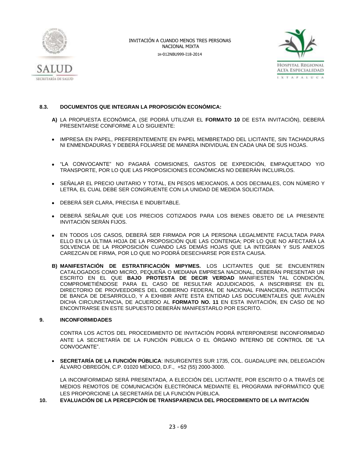



### **8.3. DOCUMENTOS QUE INTEGRAN LA PROPOSICIÓN ECONÓMICA:**

- **A)** LA PROPUESTA ECONÓMICA, (SE PODRÁ UTILIZAR EL **FORMATO 10** DE ESTA INVITACIÓN), DEBERÁ PRESENTARSE CONFORME A LO SIGUIENTE:
- IMPRESA EN PAPEL, PREFERENTEMENTE EN PAPEL MEMBRETADO DEL LICITANTE, SIN TACHADURAS NI ENMENDADURAS Y DEBERÁ FOLIARSE DE MANERA INDIVIDUAL EN CADA UNA DE SUS HOJAS.
- "LA CONVOCANTE" NO PAGARÁ COMISIONES, GASTOS DE EXPEDICIÓN, EMPAQUETADO Y/O TRANSPORTE, POR LO QUE LAS PROPOSICIONES ECONÓMICAS NO DEBERÁN INCLUIRLOS.
- **SEÑALAR EL PRECIO UNITARIO Y TOTAL, EN PESOS MEXICANOS, A DOS DECIMALES, CON NÚMERO Y** LETRA, EL CUAL DEBE SER CONGRUENTE CON LA UNIDAD DE MEDIDA SOLICITADA.
- DEBERÁ SER CLARA, PRECISA E INDUBITABLE.
- DEBERÁ SEÑALAR QUE LOS PRECIOS COTIZADOS PARA LOS BIENES OBJETO DE LA PRESENTE INVITACIÓN SERÁN FIJOS.
- EN TODOS LOS CASOS, DEBERÁ SER FIRMADA POR LA PERSONA LEGALMENTE FACULTADA PARA ELLO EN LA ÚLTIMA HOJA DE LA PROPOSICIÓN QUE LAS CONTENGA; POR LO QUE NO AFECTARÁ LA SOLVENCIA DE LA PROPOSICIÓN CUANDO LAS DEMÁS HOJAS QUE LA INTEGRAN Y SUS ANEXOS CAREZCAN DE FIRMA, POR LO QUE NO PODRÁ DESECHARSE POR ESTA CAUSA.
- **B) MANIFESTACIÓN DE ESTRATIFICACIÓN MIPYMES.** LOS LICITANTES QUE SE ENCUENTREN CATALOGADOS COMO MICRO, PEQUEÑA O MEDIANA EMPRESA NACIONAL, DEBERÁN PRESENTAR UN ESCRITO EN EL QUE **BAJO PROTESTA DE DECIR VERDAD** MANIFIESTEN TAL CONDICIÓN, COMPROMETIÉNDOSE PARA EL CASO DE RESULTAR ADJUDICADOS, A INSCRIBIRSE EN EL DIRECTORIO DE PROVEEDORES DEL GOBIERNO FEDERAL DE NACIONAL FINANCIERA, INSTITUCIÓN DE BANCA DE DESARROLLO, Y A EXHIBIR ANTE ESTA ENTIDAD LAS DOCUMENTALES QUE AVALEN DICHA CIRCUNSTANCIA, DE ACUERDO AL **FORMATO NO. 11** EN ESTA INVITACIÓN, EN CASO DE NO ENCONTRARSE EN ESTE SUPUESTO DEBERÁN MANIFESTARLO POR ESCRITO.

#### **9. INCONFORMIDADES**

CONTRA LOS ACTOS DEL PROCEDIMIENTO DE INVITACIÓN PODRÁ INTERPONERSE INCONFORMIDAD ANTE LA SECRETARÍA DE LA FUNCIÓN PÚBLICA O EL ÓRGANO INTERNO DE CONTROL DE "LA CONVOCANTE".

 **SECRETARÍA DE LA FUNCIÓN PÚBLICA**: INSURGENTES SUR 1735, COL. GUADALUPE INN, DELEGACIÓN ÁLVARO OBREGÓN, C.P. 01020 MÉXICO, D.F., +52 (55) 2000-3000.

LA INCONFORMIDAD SERÁ PRESENTADA, A ELECCIÓN DEL LICITANTE, POR ESCRITO O A TRAVÉS DE MEDIOS REMOTOS DE COMUNICACIÓN ELECTRÓNICA MEDIANTE EL PROGRAMA INFORMÁTICO QUE LES PROPORCIONE LA SECRETARÍA DE LA FUNCIÓN PÚBLICA.

**10. EVALUACIÓN DE LA PERCEPCIÓN DE TRANSPARENCIA DEL PROCEDIMIENTO DE LA INVITACIÓN**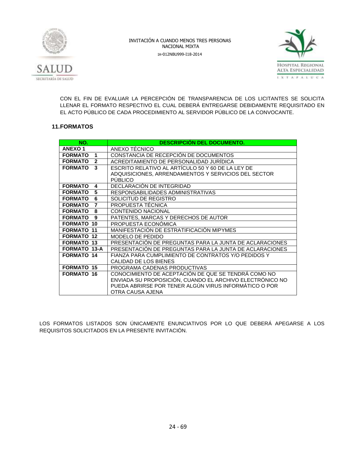



CON EL FIN DE EVALUAR LA PERCEPCIÓN DE TRANSPARENCIA DE LOS LICITANTES SE SOLICITA LLENAR EL FORMATO RESPECTIVO EL CUAL DEBERÁ ENTREGARSE DEBIDAMENTE REQUISITADO EN EL ACTO PÚBLICO DE CADA PROCEDIMIENTO AL SERVIDOR PÚBLICO DE LA CONVOCANTE.

### **11.FORMATOS**

| NO.                            | <b>DESCRIPCIÓN DEL DOCUMENTO.</b>                        |
|--------------------------------|----------------------------------------------------------|
| <b>ANEXO1</b>                  | ANEXO TÉCNICO                                            |
| <b>FORMATO</b><br>1            | CONSTANCIA DE RECEPCIÓN DE DOCUMENTOS                    |
| <b>FORMATO</b><br>$\mathbf{2}$ | ACREDITAMIENTO DE PERSONALIDAD JURIDICA                  |
| 3<br><b>FORMATO</b>            | ESCRITO RELATIVO AL ARTÍCULO 50 Y 60 DE LA LEY DE        |
|                                | ADQUISICIONES, ARRENDAMIENTOS Y SERVICIOS DEL SECTOR     |
|                                | <b>PUBLICO</b>                                           |
| <b>FORMATO</b><br>4            | DECLARACIÓN DE INTEGRIDAD                                |
| <b>FORMATO</b><br>5            | RESPONSABILIDADES ADMINISTRATIVAS                        |
| 6<br><b>FORMATO</b>            | SOLICITUD DE REGISTRO                                    |
| <b>FORMATO</b><br>7            | PROPUESTA TÉCNICA                                        |
| <b>FORMATO</b><br>8            | <b>CONTENIDO NACIONAL</b>                                |
| <b>FORMATO</b><br>9            | PATENTES, MARCAS Y DERECHOS DE AUTOR                     |
| <b>FORMATO 10</b>              | PROPUESTA ECONÓMICA                                      |
| <b>FORMATO 11</b>              | MANIFESTACIÓN DE ESTRATIFICACIÓN MIPYMES                 |
| <b>FORMATO 12</b>              | MODELO DE PEDIDO                                         |
| <b>FORMATO 13</b>              | PRESENTACIÓN DE PREGUNTAS PARA LA JUNTA DE ACLARACIONES  |
| <b>FORMATO 13-A</b>            | PRESENTACIÓN DE PREGUNTAS PARA LA JUNTA DE ACLARACIONES  |
| <b>FORMATO 14</b>              | FIANZA PARA CUMPLIMIENTO DE CONTRATOS Y/O PEDIDOS Y      |
|                                | CALIDAD DE LOS BIENES                                    |
| <b>FORMATO 15</b>              | PROGRAMA CADENAS PRODUCTIVAS                             |
| <b>FORMATO 16</b>              | CONOCIMIENTO DE ACEPTACIÓN DE QUE SE TENDRA COMO NO      |
|                                | ENVIADA SU PROPOSICIÓN, CUANDO EL ARCHIVO ELECTRÓNICO NO |
|                                | PUEDA ABRIRSE POR TENER ALGÚN VIRUS INFORMÁTICO O POR    |
|                                | OTRA CAUSA AJENA                                         |

LOS FORMATOS LISTADOS SON ÚNICAMENTE ENUNCIATIVOS POR LO QUE DEBERÁ APEGARSE A LOS REQUISITOS SOLICITADOS EN LA PRESENTE INVITACIÓN.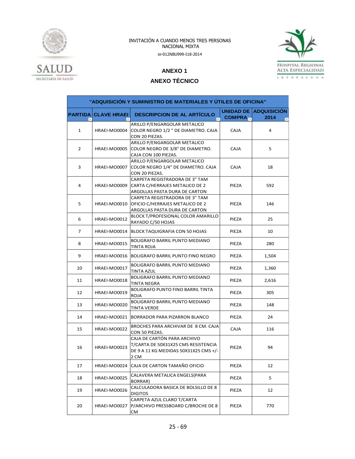



**ANEXO 1**

### **ANEXO TÉCNICO**

| "ADQUISICIÓN Y SUMINISTRO DE MATERIALES Y ÚTILES DE OFICINA" |                            |                                                                                                                     |                                   |                            |  |
|--------------------------------------------------------------|----------------------------|---------------------------------------------------------------------------------------------------------------------|-----------------------------------|----------------------------|--|
|                                                              | <b>PARTIDA CLAVE HRAEI</b> | <b>DESCRIPCION DE AL ARTÍCULO</b>                                                                                   | <b>UNIDAD DE</b><br><b>COMPRA</b> | <b>ADQUISICION</b><br>2014 |  |
| $\mathbf{1}$                                                 | HRAEI-MO0004               | ARILLO P/ENGARGOLAR METALICO<br>COLOR NEGRO 1/2" DE DIAMETRO. CAJA<br>CON 20 PIEZAS.                                | <b>CAJA</b>                       | 4                          |  |
| 2                                                            | HRAEI-MO0005               | ARILLO P/ENGARGOLAR METALICO<br>COLOR NEGRO DE 3/8" DE DIAMETRO.<br>CAJA CON 100 PIEZAS.                            | <b>CAJA</b>                       | 5                          |  |
| 3                                                            | HRAEI-MO0007               | ARILLO P/ENGARGOLAR METALICO<br>COLOR NEGRO 1/4" DE DIAMETRO. CAJA<br>CON 20 PIEZAS.                                | <b>CAJA</b>                       | 18                         |  |
| 4                                                            | HRAEI-MO0009               | CARPETA REGISTRADORA DE 3" TAM<br>CARTA C/HERRAJES METALICO DE 2<br>ARGOLLAS PASTA DURA DE CARTON                   | PIEZA                             | 592                        |  |
| 5                                                            | HRAEI-MO0010               | CARPETA REGISTRADORA DE 3" TAM<br>OFICIO C/HERRAJES METALICO DE 2<br>ARGOLLAS PASTA DURA DE CARTON                  | PIEZA                             | 146                        |  |
| 6                                                            | HRAEI-MO0012               | BLOCK T/PROFESIONAL COLOR AMARILLO<br>RAYADO C/50 HOJAS                                                             | PIEZA                             | 25                         |  |
| 7                                                            | HRAEI-MO0014               | BLOCK TAQUIGRAFIA CON 50 HOJAS                                                                                      | PIEZA                             | 10                         |  |
| 8                                                            | HRAEI-MO0015               | BOLIGRAFO BARRIL PUNTO MEDIANO<br>TINTA ROJA                                                                        | PIEZA                             | 280                        |  |
| 9                                                            | HRAEI-MO0016               | BOLIGRAFO BARRIL PUNTO FINO NEGRO                                                                                   | PIEZA                             | 1,504                      |  |
| 10                                                           | HRAEI-MO0017               | BOLIGRAFO BARRIL PUNTO MEDIANO<br><b>TINTA AZUL</b>                                                                 | PIEZA                             | 1,360                      |  |
| 11                                                           | HRAEI-MO0018               | BOLIGRAFO BARRIL PUNTO MEDIANO<br>TINTA NEGRA                                                                       | PIEZA                             | 2,616                      |  |
| 12                                                           | HRAEI-MO0019               | <b>BOLIGRAFO PUNTO FINO BARRIL TINTA</b><br>ROJA                                                                    | PIEZA                             | 305                        |  |
| 13                                                           | HRAEI-MO0020               | BOLIGRAFO BARRIL PUNTO MEDIANO<br>TINTA VERDE                                                                       | PIEZA                             | 148                        |  |
| 14                                                           | HRAEI-MO0021               | BORRADOR PARA PIZARRON BLANCO                                                                                       | PIEZA                             | 24                         |  |
| 15                                                           | HRAEI-MO0022               | BROCHES PARA ARCHIVAR DE 8 CM. CAJA<br>CON 50 PIEZAS.                                                               | <b>CAJA</b>                       | 116                        |  |
| 16                                                           | HRAEI-MO0023               | CAJA DE CARTÓN PARA ARCHIVO<br>T/CARTA DE 50X31X25 CMS RESISTENCIA<br>DE 9 A 11 KG MEDIDAS 50X31X25 CMS +/-<br>2 CM | PIEZA                             | 94                         |  |
| 17                                                           | HRAEI-MO0024               | CAJA DE CARTON TAMAÑO OFICIO                                                                                        | PIEZA                             | 12                         |  |
| 18                                                           | HRAEI-MO0025               | CALAVERA METALICA ENGELS(PARA<br>BORRAR)                                                                            | PIEZA                             | 5                          |  |
| 19                                                           | HRAEI-MO0026               | CALCULADORA BASICA DE BOLSILLO DE 8<br><b>DIGITOS</b>                                                               | PIEZA                             | 12                         |  |
| 20                                                           | HRAEI-MO0027               | CARPETA AZUL CLARO T/CARTA<br>P/ARCHIVO PRESSBOARD C/BROCHE DE 8<br>СM                                              | PIEZA                             | 770                        |  |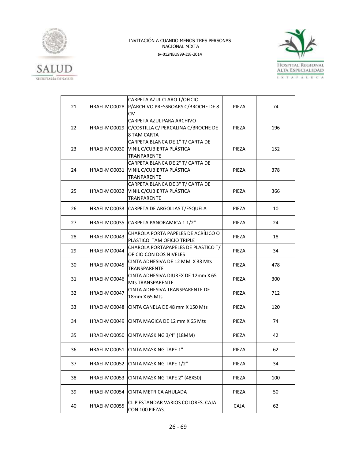



|    |                    | CARPETA AZUL CLARO T/OFICIO            |       |     |
|----|--------------------|----------------------------------------|-------|-----|
| 21 | HRAEI-MO0028       | P/ARCHIVO PRESSBOARS C/BROCHE DE 8     | PIEZA | 74  |
|    |                    | <b>CM</b>                              |       |     |
|    |                    | CARPETA AZUL PARA ARCHIVO              |       |     |
| 22 | HRAEI-MO0029       | C/COSTILLA C/ PERCALINA C/BROCHE DE    | PIEZA | 196 |
|    |                    | 8 TAM CARTA                            |       |     |
|    |                    | CARPETA BLANCA DE 1" T/ CARTA DE       |       |     |
| 23 | HRAEI-MO0030       | VINIL C/CUBIERTA PLÁSTICA              | PIEZA | 152 |
|    | <b>TRANPARENTE</b> |                                        |       |     |
|    |                    | CARPETA BLANCA DE 2" T/ CARTA DE       |       |     |
| 24 | HRAEI-MO0031       | VINIL C/CUBIERTA PLÁSTICA              | PIEZA | 378 |
|    |                    | <b>TRANPARENTE</b>                     |       |     |
|    |                    | CARPETA BLANCA DE 3" T/ CARTA DE       |       |     |
|    |                    |                                        |       |     |
| 25 | HRAEI-MO0032       | VINIL C/CUBIERTA PLÁSTICA              | PIEZA | 366 |
|    |                    | <b>TRANPARENTE</b>                     |       |     |
| 26 | HRAEI-MO0033       | CARPETA DE ARGOLLAS T/ESQUELA          | PIEZA | 10  |
|    |                    |                                        |       |     |
| 27 |                    | HRAEI-MO0035 CARPETA PANORAMICA 11/2"  | PIEZA | 24  |
|    |                    |                                        |       |     |
| 28 | HRAEI-MO0043       | CHAROLA PORTA PAPELES DE ACRÍLICO O    | PIEZA | 18  |
|    |                    | PLASTICO TAM OFICIO TRIPLE             |       |     |
|    |                    | CHAROLA PORTAPAPELES DE PLASTICO T/    |       |     |
| 29 | HRAEI-MO0044       | OFICIO CON DOS NIVELES                 | PIEZA | 34  |
|    |                    | CINTA ADHESIVA DE 12 MM X 33 Mts       |       |     |
| 30 | HRAEI-MO0045       | TRANSPARENTE                           | PIEZA | 478 |
|    |                    | CINTA ADHESIVA DIUREX DE 12mm X 65     |       |     |
| 31 | HRAEI-MO0046       | <b>Mts TRANSPARENTE</b>                | PIEZA | 300 |
|    |                    | CINTA ADHESIVA TRANSPARENTE DE         |       |     |
| 32 | HRAEI-MO0047       | 18mm X 65 Mts                          | PIEZA | 712 |
|    |                    |                                        |       |     |
| 33 | HRAEI-MO0048       | CINTA CANELA DE 48 mm X 150 Mts        | PIEZA | 120 |
|    |                    |                                        |       |     |
| 34 | HRAEI-MO0049       | CINTA MAGICA DE 12 mm X 65 Mts         | PIEZA | 74  |
|    |                    |                                        |       |     |
| 35 |                    | HRAEI-MO0050 CINTA MASKING 3/4" (18MM) | PIEZA | 42  |
|    |                    |                                        |       |     |
| 36 |                    | HRAEI-MO0051 CINTA MASKING TAPE 1"     | PIEZA | 62  |
|    |                    |                                        |       |     |
| 37 | HRAEI-MO0052       | CINTA MASKING TAPE 1/2"                | PIEZA | 34  |
|    |                    |                                        |       |     |
|    |                    |                                        |       |     |
| 38 | HRAEI-MO0053       | CINTA MASKING TAPE 2" (48X50)          | PIEZA | 100 |
|    |                    |                                        |       |     |
| 39 | HRAEI-MO0054       | CINTA METRICA AHULADA                  | PIEZA | 50  |
|    |                    | CLIP ESTANDAR VARIOS COLORES. CAJA     |       |     |
| 40 | HRAEI-MO0055       | CON 100 PIEZAS.                        | CAJA  | 62  |
|    |                    |                                        |       |     |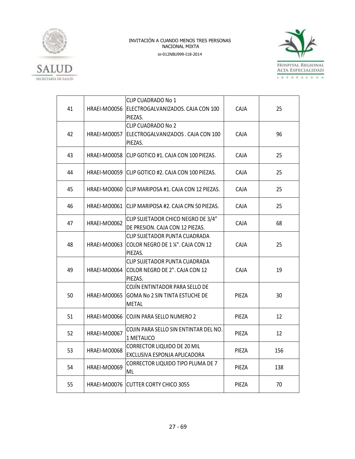



| 41 | HRAEI-MO0056 | CLIP CUADRADO No 1<br>ELECTROGALVANIZADOS. CAJA CON 100<br>PIEZAS.                      | <b>CAJA</b> | 25  |
|----|--------------|-----------------------------------------------------------------------------------------|-------------|-----|
| 42 | HRAEI-MO0057 | <b>CLIP CUADRADO No 2</b><br>ELECTROGALVANIZADOS. CAJA CON 100<br>PIEZAS.               | <b>CAJA</b> | 96  |
| 43 |              | HRAEI-MO0058 CLIP GOTICO #1. CAJA CON 100 PIEZAS.                                       | <b>CAJA</b> | 25  |
| 44 |              | HRAEI-MO0059 CLIP GOTICO #2. CAJA CON 100 PIEZAS.                                       | CAJA        | 25  |
| 45 |              | HRAEI-MO0060 ICLIP MARIPOSA #1. CAJA CON 12 PIEZAS.                                     | CAJA        | 25  |
| 46 |              | HRAEI-MO0061 CLIP MARIPOSA #2. CAJA CPN 50 PIEZAS.                                      | CAJA        | 25  |
| 47 | HRAEI-MO0062 | CLIP SUJETADOR CHICO NEGRO DE 3/4"<br>DE PRESION. CAJA CON 12 PIEZAS.                   | <b>CAJA</b> | 68  |
| 48 | HRAEI-MO0063 | CLIP SUJETADOR PUNTA CUADRADA<br>COLOR NEGRO DE 1 ¼". CAJA CON 12<br>PIEZAS.            | <b>CAJA</b> | 25  |
| 49 | HRAEI-MO0064 | CLIP SUJETADOR PUNTA CUADRADA<br>COLOR NEGRO DE 2". CAJA CON 12<br>PIEZAS.              | CAJA        | 19  |
| 50 | HRAEI-MO0065 | COJÍN ENTINTADOR PARA SELLO DE<br><b>GOMA No 2 SIN TINTA ESTUCHE DE</b><br><b>METAL</b> | PIEZA       | 30  |
| 51 |              | HRAEI-MO0066 COJIN PARA SELLO NUMERO 2                                                  | PIEZA       | 12  |
| 52 | HRAEI-MO0067 | COJIN PARA SELLO SIN ENTINTAR DEL NO.<br>1 METALICO                                     | PIEZA       | 12  |
| 53 | HRAEI-MO0068 | <b>CORRECTOR LIQUIDO DE 20 MIL</b><br>EXCLUSIVA ESPONJA APLICADORA                      | PIEZA       | 156 |
| 54 | HRAEI-MO0069 | CORRECTOR LIQUIDO TIPO PLUMA DE 7<br>ML                                                 | PIEZA       | 138 |
| 55 |              | HRAEI-MO0076 CUTTER CORTY CHICO 3055                                                    | PIEZA       | 70  |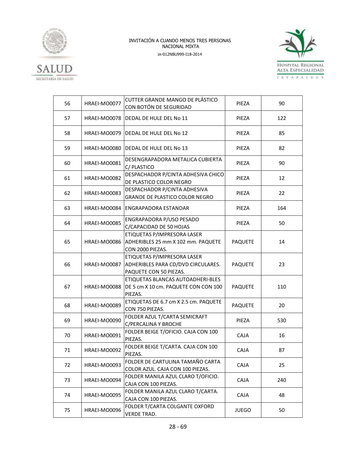



| 56 | HRAEI-MO0077 | CUTTER GRANDE MANGO DE PLÁSTICO<br>CON BOTÓN DE SEGURIDAD                                   | PIEZA          | 90  |
|----|--------------|---------------------------------------------------------------------------------------------|----------------|-----|
| 57 | HRAEI-MO0078 | DEDAL DE HULE DEL No 11                                                                     | PIEZA          | 122 |
| 58 | HRAEI-MO0079 | DEDAL DE HULE DEL No 12                                                                     | PIEZA          | 85  |
| 59 | HRAEI-MO0080 | DEDAL DE HULE DEL No 13                                                                     | PIEZA          | 82  |
| 60 | HRAEI-MO0081 | DESENGRAPADORA METALICA CUBIERTA<br>C/PLASTICO                                              | PIEZA          | 90  |
| 61 | HRAEI-MO0082 | DESPACHADOR P/CINTA ADHESIVA CHICO<br>DE PLASTICO COLOR NEGRO                               | PIEZA          | 12  |
| 62 | HRAEI-MO0083 | DESPACHADOR P/CINTA ADHESIVA<br>GRANDE DE PLASTICO COLOR NEGRO                              | PIEZA          | 22  |
| 63 | HRAEI-MO0084 | <b>ENGRAPADORA ESTANDAR</b>                                                                 | PIEZA          | 164 |
| 64 | HRAEI-MO0085 | ENGRAPADORA P/USO PESADO<br>C/CAPACIDAD DE 50 HOJAS                                         | PIEZA          | 50  |
| 65 | HRAEI-MO0086 | ETIQUETAS P/IMPRESORA LASER<br>ADHERIBLES 25 mm X 102 mm. PAQUETE<br>CON 2000 PIEZAS.       | <b>PAQUETE</b> | 14  |
| 66 | HRAEI-MO0087 | ETIQUETAS P/IMPRESORA LASER<br>ADHERIBLES PARA CD/DVD CIRCULARES.<br>PAQUETE CON 50 PIEZAS. | <b>PAQUETE</b> | 23  |
| 67 | HRAEI-MO0088 | ETIQUETAS BLANCAS AUTOADHERI-BLES<br>DE 5 cm X 10 cm. PAQUETE CON CON 100<br>PIEZAS.        | PAQUETE        | 110 |
| 68 | HRAEI-MO0089 | ETIQUETAS DE 6.7 cm X 2.5 cm. PAQUETE<br>CON 750 PIEZAS.                                    | <b>PAQUETE</b> | 20  |
| 69 | HRAEI-MO0090 | FOLDER AZUL T/CARTA SEMICRAFT<br>C/PERCALINA Y BROCHE                                       | PIEZA          | 530 |
| 70 | HRAEI-MO0091 | FOLDER BEIGE T/OFICIO. CAJA CON 100<br>PIEZAS.                                              | <b>CAJA</b>    | 16  |
| 71 | HRAEI-MO0092 | FOLDER BEIGE T/CARTA. CAJA CON 100<br>PIEZAS.                                               | CAJA           | 87  |
| 72 | HRAEI-MO0093 | FOLDER DE CARTULINA TAMAÑO CARTA<br>COLOR AZUL. CAJA CON 100 PIEZAS.                        | CAJA           | 25  |
| 73 | HRAEI-MO0094 | FOLDER MANILA AZUL CLARO T/OFICIO.<br>CAJA CON 100 PIEZAS.                                  | CAJA           | 240 |
| 74 | HRAEI-MO0095 | FOLDER MANILA AZUL CLARO T/CARTA.<br>CAJA CON 100 PIEZAS.                                   | <b>CAJA</b>    | 48  |
| 75 | HRAEI-MO0096 | FOLDER T/CARTA COLGANTE OXFORD<br><b>VERDE TRAD.</b>                                        | <b>JUEGO</b>   | 50  |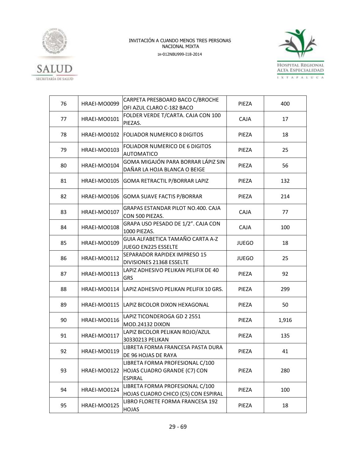



| 76 | HRAEI-MO0099 | CARPETA PRESBOARD BACO C/BROCHE<br>OFI AZUL CLARO C-182 BACO                      | PIEZA        | 400   |
|----|--------------|-----------------------------------------------------------------------------------|--------------|-------|
| 77 | HRAEI-MO0101 | FOLDER VERDE T/CARTA. CAJA CON 100<br>PIEZAS.                                     | <b>CAJA</b>  | 17    |
| 78 | HRAEI-MO0102 | <b>FOLIADOR NUMERICO 8 DIGITOS</b>                                                | PIEZA        | 18    |
| 79 | HRAEI-MO0103 | <b>FOLIADOR NUMERICO DE 6 DIGITOS</b><br><b>AUTOMATICO</b>                        | PIEZA        | 25    |
| 80 | HRAEI-MO0104 | GOMA MIGAJÓN PARA BORRAR LÁPIZ SIN<br>DAÑAR LA HOJA BLANCA O BEIGE                | PIEZA        | 56    |
| 81 | HRAEI-MO0105 | GOMA RETRACTIL P/BORRAR LAPIZ                                                     | PIEZA        | 132   |
| 82 | HRAEI-MO0106 | <b>GOMA SUAVE FACTIS P/BORRAR</b>                                                 | PIEZA        | 214   |
| 83 | HRAEI-MO0107 | GRAPAS ESTANDAR PILOT NO.400. CAJA<br>CON 500 PIEZAS.                             | <b>CAJA</b>  | 77    |
| 84 | HRAEI-MO0108 | GRAPA USO PESADO DE 1/2". CAJA CON<br>1000 PIEZAS.                                | <b>CAJA</b>  | 100   |
| 85 | HRAEI-MO0109 | GUIA ALFABETICA TAMAÑO CARTA A-Z<br>JUEGO EN225 ESSELTE                           | <b>JUEGO</b> | 18    |
| 86 | HRAEI-MO0112 | SEPARADOR RAPIDEX IMPRESO 15<br>DIVISIONES 21368 ESSELTE                          | <b>JUEGO</b> | 25    |
| 87 | HRAEI-MO0113 | LAPIZ ADHESIVO PELIKAN PELIFIX DE 40<br><b>GRS</b>                                | PIEZA        | 92    |
| 88 | HRAEI-MO0114 | LAPIZ ADHESIVO PELIKAN PELIFIX 10 GRS.                                            | PIEZA        | 299   |
| 89 | HRAEI-MO0115 | LAPIZ BICOLOR DIXON HEXAGONAL                                                     | PIEZA        | 50    |
| 90 | HRAEI-MO0116 | LAPIZ TICONDEROGA GD 2 2551<br><b>MOD.24132 DIXON</b>                             | PIEZA        | 1,916 |
| 91 | HRAEI-MO0117 | LAPIZ BICOLOR PELIKAN ROJO/AZUL<br>30330213 PELIKAN                               | PIEZA        | 135   |
| 92 | HRAEI-MO0119 | LIBRETA FORMA FRANCESA PASTA DURA<br>DE 96 HOJAS DE RAYA                          | PIEZA        | 41    |
| 93 | HRAEI-MO0122 | LIBRETA FORMA PROFESIONAL C/100<br>HOJAS CUADRO GRANDE (C7) CON<br><b>ESPIRAL</b> | PIEZA        | 280   |
| 94 | HRAEI-MO0124 | LIBRETA FORMA PROFESIONAL C/100<br>HOJAS CUADRO CHICO (C5) CON ESPIRAL            | PIEZA        | 100   |
| 95 | HRAEI-MO0125 | LIBRO FLORETE FORMA FRANCESA 192<br>HOJAS                                         | PIEZA        | 18    |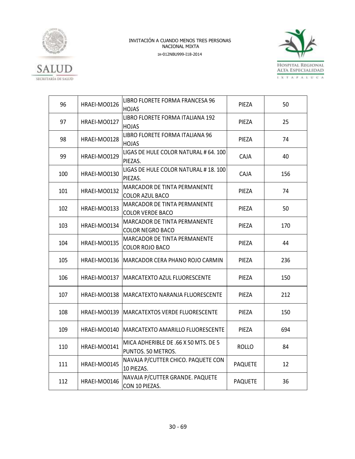



| 96  | HRAEI-MO0126 | LIBRO FLORETE FORMA FRANCESA 96                            | PIEZA          | 50  |
|-----|--------------|------------------------------------------------------------|----------------|-----|
|     |              | <b>HOJAS</b><br>LIBRO FLORETE FORMA ITALIANA 192           |                |     |
| 97  | HRAEI-MO0127 | HOJAS                                                      | PIEZA          | 25  |
| 98  | HRAEI-MO0128 | LIBRO FLORETE FORMA ITALIANA 96<br><b>HOJAS</b>            | PIEZA          | 74  |
| 99  | HRAEI-MO0129 | LIGAS DE HULE COLOR NATURAL # 64. 100<br>PIEZAS.           | <b>CAJA</b>    | 40  |
| 100 | HRAEI-MO0130 | LIGAS DE HULE COLOR NATURAL #18.100<br>PIEZAS.             | <b>CAJA</b>    | 156 |
| 101 | HRAEI-MO0132 | MARCADOR DE TINTA PERMANENTE<br><b>COLOR AZUL BACO</b>     | PIEZA          | 74  |
| 102 | HRAEI-MO0133 | MARCADOR DE TINTA PERMANENTE<br><b>COLOR VERDE BACO</b>    | PIEZA          | 50  |
| 103 | HRAEI-MO0134 | MARCADOR DE TINTA PERMANENTE<br><b>COLOR NEGRO BACO</b>    | PIEZA          | 170 |
| 104 | HRAEI-MO0135 | MARCADOR DE TINTA PERMANENTE<br>COLOR ROJO BACO            | PIEZA          | 44  |
| 105 |              | HRAEI-MO0136   MARCADOR CERA PHANO ROJO CARMIN             | PIEZA          | 236 |
| 106 | HRAEI-MO0137 | MARCATEXTO AZUL FLUORESCENTE                               | PIEZA          | 150 |
| 107 |              | HRAEI-MO0138   MARCATEXTO NARANJA FLUORESCENTE             | PIEZA          | 212 |
| 108 | HRAEI-MO0139 | <b>MARCATEXTOS VERDE FLUORESCENTE</b>                      | PIEZA          | 150 |
| 109 | HRAEI-MO0140 | MARCATEXTO AMARILLO FLUORESCENTE                           | PIEZA          | 694 |
| 110 | HRAEI-MO0141 | MICA ADHERIBLE DE .66 X 50 MTS. DE 5<br>PUNTOS. 50 METROS. | <b>ROLLO</b>   | 84  |
| 111 | HRAEI-MO0145 | NAVAJA P/CUTTER CHICO. PAQUETE CON<br>10 PIEZAS.           | <b>PAQUETE</b> | 12  |
| 112 | HRAEI-MO0146 | NAVAJA P/CUTTER GRANDE. PAQUETE<br>CON 10 PIEZAS.          | <b>PAQUETE</b> | 36  |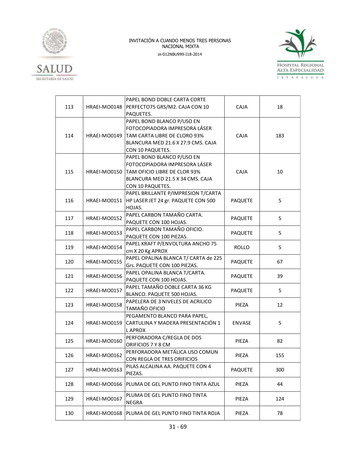



|     |                     | PAPEL BOND DOBLE CARTA CORTE         |                |     |
|-----|---------------------|--------------------------------------|----------------|-----|
| 113 | HRAEI-MO0148        | PERFECTO75 GRS/M2. CAJA CON 10       | <b>CAJA</b>    | 18  |
|     |                     | PAQUETES.                            |                |     |
|     |                     | PAPEL BOND BLANCO P/USO EN           |                |     |
|     |                     | FOTOCOPIADORA IMPRESORA LÁSER        |                |     |
| 114 | HRAEI-MO0149        | TAM CARTA LIBRE DE CLORO 93%         | CAJA           | 183 |
|     |                     | BLANCURA MED 21.6 X 27.9 CMS. CAJA   |                |     |
|     |                     | CON 10 PAQUETES.                     |                |     |
|     |                     | PAPEL BOND BLANCO P/USO EN           |                |     |
|     |                     | FOTOCOPIADORA IMPRESORA LÁSER        |                |     |
| 115 | HRAEI-MO0150        | TAM OFICIO LIBRE DE CLOR 93%         | CAJA           | 10  |
|     |                     | BLANCURA MED 21.5 X 34 CMS. CAJA     |                |     |
|     |                     | CON 10 PAQUETES.                     |                |     |
|     |                     | PAPEL BRILLANTE P/IMPRESION T/CARTA  |                |     |
| 116 | HRAEI-MO0151        | HP LASER JET 24 gr. PAQUETE CON 500  | <b>PAQUETE</b> | 5   |
|     |                     | HOJAS.                               |                |     |
|     |                     | PAPEL CARBON TAMAÑO CARTA.           |                |     |
| 117 | HRAEI-MO0152        | PAQUETE CON 100 HOJAS.               | <b>PAQUETE</b> | 5   |
|     |                     | PAPEL CARBON TAMAÑO OFICIO.          | <b>PAQUETE</b> |     |
| 118 | HRAEI-MO0153        | PAQUETE CON 100 PIEZAS.              |                | 5   |
|     | HRAEI-MO0154        | PAPEL KRAFT P/ENVOLTURA ANCHO 75     |                |     |
| 119 |                     | cm X 20 Kg APROX                     | <b>ROLLO</b>   | 5   |
|     |                     | PAPEL OPALINA BLANCA T/ CARTA de 225 |                |     |
| 120 | <b>HRAEI-MO0155</b> | Grs. PAQUETE CON 100 PIEZAS.         | <b>PAQUETE</b> | 67  |
|     | HRAEI-MO0156        | PAPEL OPALINA BLANCA T/CARTA.        |                |     |
| 121 |                     | PAQUETE CON 100 HOJAS.               | <b>PAQUETE</b> | 39  |
|     |                     | PAPEL TAMAÑO DOBLE CARTA 36 KG       |                |     |
| 122 | HRAEI-MO0157        | BLANCO. PAQUETE 500 HOJAS.           | <b>PAQUETE</b> | 5   |
|     |                     | PAPELERA DE 3 NIVELES DE ACRILICO    |                |     |
| 123 | HRAEI-MO0158        | TAMAÑO OFICIO                        | PIEZA          | 12  |
|     |                     | PEGAMENTO BLANCO PARA PAPEL,         |                |     |
| 124 | HRAEI-MO0159        | CARTULINA Y MADERA PRESENTACIÓN 1    | <b>ENVASE</b>  | 5   |
|     |                     | L APROX                              |                |     |
|     |                     | PERFORADORA C/REGLA DE DOS           |                |     |
| 125 | HRAEI-MO0160        | ORIFICIOS 7 Y 8 CM                   | PIEZA          | 82  |
|     |                     | PERFORADORA METÁLICA USO COMUN       |                |     |
| 126 | HRAEI-MO0162        | CON REGLA DE TRES ORIFICIOS          | PIEZA          | 155 |
|     |                     | PILAS ALCALINA AA. PAQUETE CON 4     |                |     |
| 127 | HRAEI-MO0163        | PIEZAS.                              | <b>PAQUETE</b> | 300 |
|     |                     |                                      |                |     |
| 128 | HRAEI-MO0166        | PLUMA DE GEL PUNTO FINO TINTA AZUL   | PIEZA          | 44  |
|     |                     | PLUMA DE GEL PUNTO FINO TINTA        |                |     |
| 129 | HRAEI-MO0167        | NEGRA                                | PIEZA          | 124 |
|     |                     |                                      |                |     |
| 130 | HRAEI-MO0168        | PLUMA DE GEL PUNTO FINO TINTA ROJA   | PIEZA          | 78  |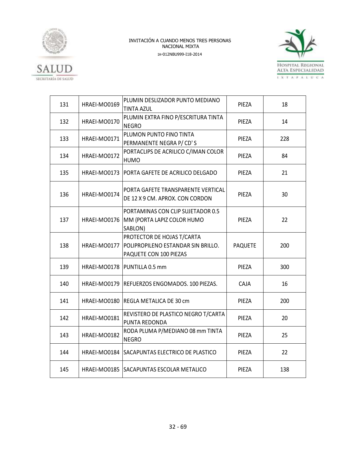



| 131 | HRAEI-MO0169 | PLUMIN DESLIZADOR PUNTO MEDIANO<br><b>TINTA AZUL</b>                                       | PIEZA          | 18  |
|-----|--------------|--------------------------------------------------------------------------------------------|----------------|-----|
| 132 | HRAEI-MO0170 | PLUMIN EXTRA FINO P/ESCRITURA TINTA<br><b>NEGRO</b>                                        | PIEZA          | 14  |
| 133 | HRAEI-MO0171 | PLUMON PUNTO FINO TINTA<br>PERMANENTE NEGRA P/CD'S                                         | PIEZA          | 228 |
| 134 | HRAEI-MO0172 | PORTACLIPS DE ACRILICO C/IMAN COLOR<br><b>HUMO</b>                                         | PIEZA          | 84  |
| 135 | HRAEI-MO0173 | IPORTA GAFETE DE ACRILICO DELGADO                                                          | PIEZA          | 21  |
| 136 | HRAEI-MO0174 | PORTA GAFETE TRANSPARENTE VERTICAL<br>DE 12 X 9 CM. APROX. CON CORDON                      | PIEZA          | 30  |
| 137 | HRAEI-MO0176 | PORTAMINAS CON CLIP SUJETADOR 0.5<br>MM (PORTA LAPIZ COLOR HUMO<br>SABLON)                 | PIEZA          | 22  |
| 138 | HRAEI-MO0177 | PROTECTOR DE HOJAS T/CARTA<br>POLIPROPILENO ESTANDAR SIN BRILLO.<br>PAQUETE CON 100 PIEZAS | <b>PAQUETE</b> | 200 |
| 139 |              | HRAEI-MO0178   PUNTILLA 0.5 mm                                                             | PIEZA          | 300 |
| 140 | HRAEI-MO0179 | REFUERZOS ENGOMADOS. 100 PIEZAS.                                                           | CAJA           | 16  |
| 141 |              | HRAEI-MO0180 REGLA METALICA DE 30 cm                                                       | PIEZA          | 200 |
| 142 | HRAEI-MO0181 | REVISTERO DE PLASTICO NEGRO T/CARTA<br>PUNTA REDONDA                                       | PIEZA          | 20  |
| 143 | HRAEI-MO0182 | RODA PLUMA P/MEDIANO 08 mm TINTA<br><b>NEGRO</b>                                           | PIEZA          | 25  |
| 144 |              | HRAEI-MO0184 SACAPUNTAS ELECTRICO DE PLASTICO                                              | PIEZA          | 22  |
| 145 |              | HRAEI-MO0185 SACAPUNTAS ESCOLAR METALICO                                                   | PIEZA          | 138 |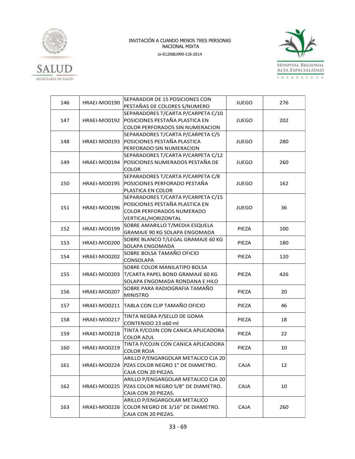



| 146 | HRAEI-MO0190 | SEPARADOR DE 15 POSICIONES CON            | <b>JUEGO</b> | 276 |
|-----|--------------|-------------------------------------------|--------------|-----|
|     |              | PESTAÑAS DE COLORES S/NUMERO              |              |     |
|     |              | SEPARADORES T/CARTA P/CARPETA C/10        |              |     |
| 147 | HRAEI-MO0192 | POSICIONES PESTAÑA PLASTICA EN            | <b>JUEGO</b> | 202 |
|     |              | COLOR PERFORADOS SIN NUMERACION           |              |     |
|     |              | SEPARADORES T/CARTA P/CARPETA C/5         |              |     |
| 148 | HRAEI-MO0193 | POSICIONES PESTAÑA PLASTICA               | <b>JUEGO</b> | 280 |
|     |              | PERFORADO SIN NUMERACION                  |              |     |
|     |              | SEPARADORES T/CARTA P/CARPETA C/12        |              |     |
| 149 | HRAEI-MO0194 | POSICIONES NUMERADOS PESTAÑA DE           | <b>JUEGO</b> | 260 |
|     |              | <b>COLOR</b>                              |              |     |
|     |              | SEPARADORES T/CARTA P/CARPETA C/8         |              |     |
| 150 | HRAEI-MO0195 | POSICIONES PERFORADO PESTAÑA              | <b>JUEGO</b> | 162 |
|     |              | PLASTICA EN COLOR                         |              |     |
|     |              | SEPARADORES T/CARTA P/CARPETA C/15        |              |     |
|     |              | POSICIONES PESTAÑA PLASTICA EN            |              |     |
| 151 | HRAEI-MO0196 | COLOR PERFORADOS NUMERADO                 | <b>JUEGO</b> | 36  |
|     |              | VERTICAL/HORIZONTAL                       |              |     |
|     |              | SOBRE AMARILLO T/MEDIA ESQUELA            |              |     |
| 152 | HRAEI-MO0199 | GRAMAJE 90 KG SOLAPA ENGOMADA             | PIEZA        | 100 |
|     | HRAEI-MO0200 | SOBRE BLANCO T/LEGAL GRAMAJE 60 KG        |              |     |
| 153 |              | SOLAPA ENGOMADA                           | PIEZA        | 180 |
| 154 | HRAEI-MO0202 | SOBRE BOLSA TAMAÑO OFICIO                 | PIEZA        | 120 |
|     |              | CONSOLAPA                                 |              |     |
|     |              | SOBRE COLOR MANILATIPO BOLSA              |              |     |
| 155 | HRAEI-MO0203 | T/CARTA PAPEL BOND GRAMAJE 60 KG          | PIEZA        | 426 |
|     |              | SOLAPA ENGOMADA RONDANA E HILO            |              |     |
| 156 | HRAEI-MO0207 | SOBRE PARA RADIOGRAFIA TAMAÑO             | PIEZA        | 20  |
|     |              | <b>MINISTRO</b>                           |              |     |
| 157 |              | HRAEI-MO0211 TABLA CON CLIP TAMAÑO OFICIO | PIEZA        | 46  |
|     |              |                                           |              |     |
| 158 | HRAEI-MO0217 | TINTA NEGRA P/SELLO DE GOMA               | PIEZA        | 18  |
|     |              | CONTENIDO 23 o60 ml                       |              |     |
| 159 | HRAEI-MO0218 | TINTA P/COJIN CON CANICA APLICADORA       | PIEZA        | 22  |
|     |              | <b>COLOR AZUL</b>                         |              |     |
| 160 | HRAEI-MO0219 | TINTA P/COJIN CON CANICA APLICADORA       | PIEZA        | 10  |
|     |              | <b>COLOR ROJA</b>                         |              |     |
|     |              | ARILLO P/ENGARGOLAR METALICO CJA 20       |              |     |
| 161 | HRAEI-MO0224 | PZAS COLOR NEGRO 1" DE DIAMETRO.          | <b>CAJA</b>  | 12  |
|     |              | CAJA CON 20 PIEZAS.                       |              |     |
|     |              | ARILLO P/ENGARGOLAR METALICO CJA 20       |              |     |
| 162 | HRAEI-MO0225 | PZAS COLOR NEGRO 5/8" DE DIAMETRO.        | <b>CAJA</b>  | 10  |
|     |              | CAJA CON 20 PIEZAS.                       |              |     |
|     |              | ARILLO P/ENGARGOLAR METALICO              |              |     |
| 163 | HRAEI-MO0226 | COLOR NEGRO DE 3/16" DE DIAMETRO.         | <b>CAJA</b>  | 260 |
|     |              | CAJA CON 20 PIEZAS.                       |              |     |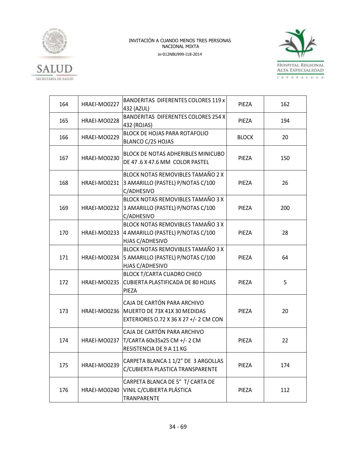



| 164 | HRAEI-MO0227                                                                                         | BANDERITAS DIFERENTES COLORES 119 x<br>PIEZA<br>432 (AZUL)                                                         |              | 162 |
|-----|------------------------------------------------------------------------------------------------------|--------------------------------------------------------------------------------------------------------------------|--------------|-----|
| 165 | HRAEI-MO0228                                                                                         | BANDERITAS DIFERENTES COLORES 254 X<br>PIEZA<br>432 (ROJAS)                                                        |              | 194 |
| 166 | HRAEI-MO0229                                                                                         | BLOCK DE HOJAS PARA ROTAFOLIO<br>BLANCO C/25 HOJAS                                                                 | <b>BLOCK</b> | 20  |
| 167 | HRAEI-MO0230                                                                                         | <b>BLOCK DE NOTAS ADHERIBLES MINICUBO</b><br>DE 47.6 X 47.6 MM COLOR PASTEL                                        | PIEZA        | 150 |
| 168 | HRAEI-MO0231                                                                                         | BLOCK NOTAS REMOVIBLES TAMAÑO 2 X<br>3 AMARILLO (PASTEL) P/NOTAS C/100<br>PIEZA<br>C/ADHESIVO                      |              | 26  |
| 169 | BLOCK NOTAS REMOVIBLES TAMAÑO 3 X<br>HRAEI-MO0232<br>3 AMARILLO (PASTEL) P/NOTAS C/100<br>C/ADHESIVO |                                                                                                                    | PIEZA        | 200 |
| 170 | HRAEI-MO0233                                                                                         | BLOCK NOTAS REMOVIBLES TAMAÑO 3 X<br>4 AMARILLO (PASTEL) P/NOTAS C/100<br>HJAS C/ADHESIVO                          | PIEZA        | 28  |
| 171 | HRAEI-MO0234                                                                                         | BLOCK NOTAS REMOVIBLES TAMAÑO 3 X<br>5 AMARILLO (PASTEL) P/NOTAS C/100<br>HJAS C/ADHESIVO                          | PIEZA        | 64  |
| 172 | HRAEI-MO0235                                                                                         | BLOCK T/CARTA CUADRO CHICO<br><b>CUBIERTA PLASTIFICADA DE 80 HOJAS</b><br>PIEZA                                    | PIEZA        | 5   |
| 173 |                                                                                                      | CAJA DE CARTÓN PARA ARCHIVO<br>HRAEI-MO0236 MUERTO DE 73X 41X 30 MEDIDAS<br>EXTERIORES 0.72 X 36 X 27 +/- 2 CM CON | PIEZA        | 20  |
| 174 | HRAEI-MO0237                                                                                         | CAJA DE CARTÓN PARA ARCHIVO<br>T/CARTA 60x35x25 CM +/-2 CM<br>RESISTENCIA DE 9 A 11 KG                             | PIEZA        | 22  |
| 175 | HRAEI-MO0239                                                                                         | CARPETA BLANCA 1 1/2" DE 3 ARGOLLAS<br>C/CUBIERTA PLASTICA TRANSPARENTE                                            | PIEZA        | 174 |
| 176 | HRAEI-MO0240                                                                                         | CARPETA BLANCA DE 5" T/ CARTA DE<br>VINIL C/CUBIERTA PLÁSTICA<br>TRANPARENTE                                       | PIEZA        | 112 |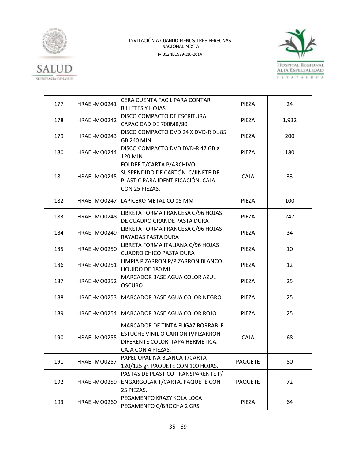



| 177 | HRAEI-MO0241 | CERA CUENTA FACIL PARA CONTAR<br><b>BILLETES Y HOJAS</b>                                                                                      | PIEZA          |       |
|-----|--------------|-----------------------------------------------------------------------------------------------------------------------------------------------|----------------|-------|
| 178 | HRAEI-MO0242 | DISCO COMPACTO DE ESCRITURA<br>CAPACIDAD DE 700MB/80                                                                                          | PIEZA          | 1,932 |
| 179 | HRAEI-MO0243 | DISCO COMPACTO DVD 24 X DVD-R DL 85<br>PIEZA<br><b>GB 240 MIN</b>                                                                             |                | 200   |
| 180 | HRAEI-MO0244 | DISCO COMPACTO DVD DVD-R 47 GB X<br>120 MIN                                                                                                   | PIEZA          |       |
| 181 | HRAEI-MO0245 | FOLDER T/CARTA P/ARCHIVO<br>SUSPENDIDO DE CARTÓN C/JINETE DE<br>PLÁSTIC PARA IDENTIFICACIÓN. CAJA<br>CON 25 PIEZAS.                           | CAJA           | 33    |
| 182 |              | HRAEI-MO0247   LAPICERO METALICO 05 MM                                                                                                        | PIEZA          | 100   |
| 183 | HRAEI-MO0248 | LIBRETA FORMA FRANCESA C/96 HOJAS<br>DE CUADRO GRANDE PASTA DURA                                                                              | PIEZA          | 247   |
| 184 | HRAEI-MO0249 | LIBRETA FORMA FRANCESA C/96 HOJAS<br>RAYADAS PASTA DURA                                                                                       | PIEZA          | 34    |
| 185 | HRAEI-MO0250 | LIBRETA FORMA ITALIANA C/96 HOJAS<br><b>CUADRO CHICO PASTA DURA</b>                                                                           | PIEZA          | 10    |
| 186 | HRAEI-MO0251 | LIMPIA PIZARRON P/PIZARRON BLANCO<br>LIQUIDO DE 180 ML                                                                                        | PIEZA          | 12    |
| 187 | HRAEI-MO0252 | MARCADOR BASE AGUA COLOR AZUL<br><b>OSCURO</b>                                                                                                | PIEZA          | 25    |
| 188 |              | HRAEI-MO0253   MARCADOR BASE AGUA COLOR NEGRO                                                                                                 | PIEZA          | 25    |
| 189 |              | HRAEI-MO0254   MARCADOR BASE AGUA COLOR ROJO                                                                                                  | PIEZA          | 25    |
| 190 | HRAEI-MO0255 | <b>MARCADOR DE TINTA FUGAZ BORRABLE</b><br>ESTUCHE VINIL O CARTON P/PIZARRON<br>CAJA<br>DIFERENTE COLOR TAPA HERMETICA.<br>CAJA CON 4 PIEZAS. |                | 68    |
| 191 | HRAEI-MO0257 | PAPEL OPALINA BLANCA T/CARTA<br>120/125 gr. PAQUETE CON 100 HOJAS.                                                                            | <b>PAQUETE</b> | 50    |
| 192 | HRAEI-MO0259 | PASTAS DE PLASTICO TRANSPARENTE P/<br>ENGARGOLAR T/CARTA. PAQUETE CON<br>25 PIEZAS.                                                           | <b>PAQUETE</b> | 72    |
| 193 | HRAEI-MO0260 | PEGAMENTO KRAZY KOLA LOCA<br>PEGAMENTO C/BROCHA 2 GRS                                                                                         | 64<br>PIEZA    |       |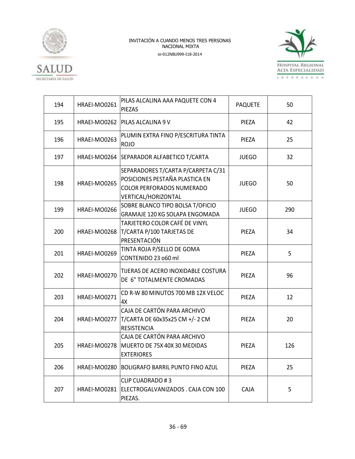



| 194 | HRAEI-MO0261 | PILAS ALCALINA AAA PAQUETE CON 4<br><b>PAQUETE</b><br>PIEZAS                                                             |              | 50  |
|-----|--------------|--------------------------------------------------------------------------------------------------------------------------|--------------|-----|
| 195 | HRAEI-MO0262 | <b>PILAS ALCALINA 9 V</b><br>PIEZA                                                                                       |              | 42  |
| 196 | HRAEI-MO0263 | PLUMIN EXTRA FINO P/ESCRITURA TINTA<br>PIEZA<br><b>ROJO</b>                                                              |              | 25  |
| 197 | HRAEI-MO0264 | SEPARADOR ALFABETICO T/CARTA                                                                                             | <b>JUEGO</b> |     |
| 198 | HRAEI-MO0265 | SEPARADORES T/CARTA P/CARPETA C/31<br>POSICIONES PESTAÑA PLASTICA EN<br>COLOR PERFORADOS NUMERADO<br>VERTICAL/HORIZONTAL | <b>JUEGO</b> | 50  |
| 199 | HRAEI-MO0266 | SOBRE BLANCO TIPO BOLSA T/OFICIO<br>GRAMAJE 120 KG SOLAPA ENGOMADA                                                       | <b>JUEGO</b> | 290 |
| 200 | HRAEI-MO0268 | TARJETERO COLOR CAFÉ DE VINYL<br>T/CARTA P/100 TARJETAS DE<br>PRESENTACIÓN                                               | PIEZA        | 34  |
| 201 | HRAEI-MO0269 | TINTA ROJA P/SELLO DE GOMA<br>CONTENIDO 23 060 ml                                                                        | PIEZA        | 5   |
| 202 | HRAEI-MO0270 | TIJERAS DE ACERO INOXIDABLE COSTURA<br>DE 6" TOTALMENTE CROMADAS                                                         | PIEZA        | 96  |
| 203 | HRAEI-MO0271 | CD R-W 80 MINUTOS 700 MB 12X VELOC<br>4X                                                                                 | PIEZA        | 12  |
| 204 | HRAEI-MO0277 | CAJA DE CARTÓN PARA ARCHIVO<br>T/CARTA DE 60x35x25 CM +/- 2 CM<br><b>RESISTENCIA</b>                                     | PIEZA        | 20  |
| 205 | HRAEI-MO0278 | CAJA DE CARTÓN PARA ARCHIVO<br>MUERTO DE 75X 40X 30 MEDIDAS<br><b>EXTERIORES</b>                                         | PIEZA        | 126 |
| 206 | HRAEI-MO0280 | <b>BOLIGRAFO BARRIL PUNTO FINO AZUL</b>                                                                                  | PIEZA        | 25  |
| 207 | HRAEI-MO0281 | <b>CLIP CUADRADO #3</b><br>ELECTROGALVANIZADOS. CAJA CON 100<br>PIEZAS.                                                  | CAJA         | 5   |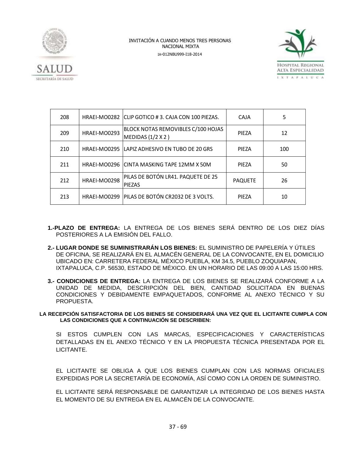



| 208 |              | HRAEI-MO0282 CLIP GOTICO #3. CAJA CON 100 PIEZAS.       | CAJA           | 5   |
|-----|--------------|---------------------------------------------------------|----------------|-----|
| 209 | HRAEI-MO0293 | BLOCK NOTAS REMOVIBLES C/100 HOJAS<br>MEDIDAS (1/2 X 2) | PIEZA          | 12  |
| 210 |              | HRAEI-MO0295 LAPIZ ADHESIVO EN TUBO DE 20 GRS           | PIEZA          | 100 |
| 211 |              | HRAEI-MO0296 CINTA MASKING TAPE 12MM X 50M              | <b>PIFZA</b>   | 50  |
| 212 | HRAEI-MO0298 | PILAS DE BOTÓN LR41. PAQUETE DE 25<br><b>PIEZAS</b>     | <b>PAQUETE</b> | 26  |
| 213 |              | HRAEI-MO0299   PILAS DE BOTÓN CR2032 DE 3 VOLTS.        | PIEZA          | 10  |

- **1.-PLAZO DE ENTREGA:** LA ENTREGA DE LOS BIENES SERÁ DENTRO DE LOS DIEZ DÍAS POSTERIORES A LA EMISIÓN DEL FALLO.
- **2.- LUGAR DONDE SE SUMINISTRARÁN LOS BIENES:** EL SUMINISTRO DE PAPELERÍA Y ÚTILES DE OFICINA, SE REALIZARÁ EN EL ALMACÉN GENERAL DE LA CONVOCANTE, EN EL DOMICILIO UBICADO EN: CARRETERA FEDERAL MÉXICO PUEBLA, KM 34.5, PUEBLO ZOQUIAPAN, IXTAPALUCA, C.P. 56530, ESTADO DE MÉXICO. EN UN HORARIO DE LAS 09:00 A LAS 15:00 HRS.
- **3.- CONDICIONES DE ENTREGA:** LA ENTREGA DE LOS BIENES SE REALIZARÁ CONFORME A LA UNIDAD DE MEDIDA, DESCRIPCIÓN DEL BIEN, CANTIDAD SOLICITADA EN BUENAS CONDICIONES Y DEBIDAMENTE EMPAQUETADOS, CONFORME AL ANEXO TÉCNICO Y SU PROPUESTA.

**LA RECEPCIÓN SATISFACTORIA DE LOS BIENES SE CONSIDERARÁ UNA VEZ QUE EL LICITANTE CUMPLA CON LAS CONDICIONES QUE A CONTINUACIÓN SE DESCRIBEN:**

SI ESTOS CUMPLEN CON LAS MARCAS, ESPECIFICACIONES Y CARACTERÍSTICAS DETALLADAS EN EL ANEXO TÉCNICO Y EN LA PROPUESTA TÉCNICA PRESENTADA POR EL LICITANTE.

EL LICITANTE SE OBLIGA A QUE LOS BIENES CUMPLAN CON LAS NORMAS OFICIALES EXPEDIDAS POR LA SECRETARÍA DE ECONOMÍA, ASÍ COMO CON LA ORDEN DE SUMINISTRO.

EL LICITANTE SERÁ RESPONSABLE DE GARANTIZAR LA INTEGRIDAD DE LOS BIENES HASTA EL MOMENTO DE SU ENTREGA EN EL ALMACÉN DE LA CONVOCANTE.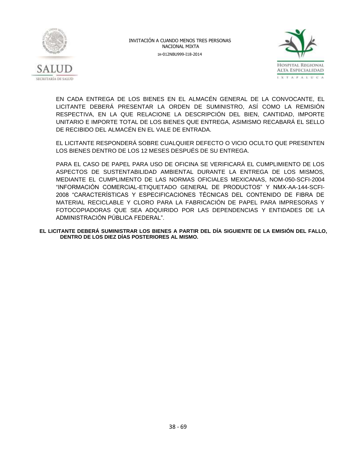



EN CADA ENTREGA DE LOS BIENES EN EL ALMACÉN GENERAL DE LA CONVOCANTE, EL LICITANTE DEBERÁ PRESENTAR LA ORDEN DE SUMINISTRO, ASÍ COMO LA REMISIÓN RESPECTIVA, EN LA QUE RELACIONE LA DESCRIPCIÓN DEL BIEN, CANTIDAD, IMPORTE UNITARIO E IMPORTE TOTAL DE LOS BIENES QUE ENTREGA, ASIMISMO RECABARÁ EL SELLO DE RECIBIDO DEL ALMACÉN EN EL VALE DE ENTRADA.

EL LICITANTE RESPONDERÁ SOBRE CUALQUIER DEFECTO O VICIO OCULTO QUE PRESENTEN LOS BIENES DENTRO DE LOS 12 MESES DESPUÉS DE SU ENTREGA.

PARA EL CASO DE PAPEL PARA USO DE OFICINA SE VERIFICARÁ EL CUMPLIMIENTO DE LOS ASPECTOS DE SUSTENTABILIDAD AMBIENTAL DURANTE LA ENTREGA DE LOS MISMOS, MEDIANTE EL CUMPLIMENTO DE LAS NORMAS OFICIALES MEXICANAS, NOM-050-SCFI-2004 "INFORMACIÓN COMERCIAL-ETIQUETADO GENERAL DE PRODUCTOS" Y NMX-AA-144-SCFI-2008 "CARACTERÍSTICAS Y ESPECIFICACIONES TÉCNICAS DEL CONTENIDO DE FIBRA DE MATERIAL RECICLABLE Y CLORO PARA LA FABRICACIÓN DE PAPEL PARA IMPRESORAS Y FOTOCOPIADORAS QUE SEA ADQUIRIDO POR LAS DEPENDENCIAS Y ENTIDADES DE LA ADMINISTRACIÓN PÚBLICA FEDERAL".

**EL LICITANTE DEBERÁ SUMINISTRAR LOS BIENES A PARTIR DEL DÍA SIGUIENTE DE LA EMISIÓN DEL FALLO, DENTRO DE LOS DIEZ DÍAS POSTERIORES AL MISMO.**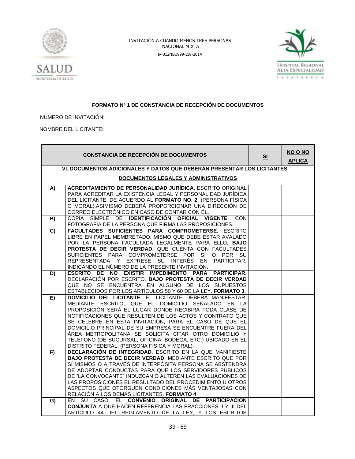



### **FORMATO Nº 1 DE CONSTANCIA DE RECEPCIÓN DE DOCUMENTOS**

NÚMERO DE INVITACIÓN:

NOMBRE DEL LICITANTE:

|                | <b>CONSTANCIA DE RECEPCIÓN DE DOCUMENTOS</b>                                                                              | S <sub>1</sub> | NO O NO<br><b>APLICA</b> |
|----------------|---------------------------------------------------------------------------------------------------------------------------|----------------|--------------------------|
|                | VI. DOCUMENTOS ADICIONALES Y DATOS QUE DEBERÁN PRESENTAR LOS LICITANTES                                                   |                |                          |
|                | <b>DOCUMENTOS LEGALES Y ADMINISTRATIVOS</b>                                                                               |                |                          |
| A)             | <b>ACREDITAMIENTO DE PERSONALIDAD JURÍDICA. ESCRITO ORIGINAL</b>                                                          |                |                          |
|                | PARA ACREDITAR LA EXISTENCIA LEGAL Y PERSONALIDAD JURÍDICA<br>DEL LICITANTE, DE ACUERDO AL FORMATO NO. 2. (PERSONA FÍSICA |                |                          |
|                | O MORAL).ASIMISMO DEBERÁ PROPORCIONAR UNA DIRECCIÓN DE                                                                    |                |                          |
|                | CORREO ELECTRÓNICO EN CASO DE CONTAR CON ÉL.                                                                              |                |                          |
| B)             | COPIA SIMPLE DE IDENTIFICACIÓN OFICIAL VIGENTE, CON                                                                       |                |                          |
| $\overline{c}$ | FOTOGRAFÍA DE LA PERSONA QUE FIRMA LAS PROPOSICIONES.<br>FACULTADES SUFICIENTES PARA COMPROMETERSE. ESCRITO               |                |                          |
|                | LIBRE EN PAPEL MEMBRETADO, MISMO QUE DEBE ESTAR AVALADO                                                                   |                |                          |
|                | POR LA PERSONA FACULTADA LEGALMENTE PARA ELLO, BAJO                                                                       |                |                          |
|                | PROTESTA DE DECIR VERDAD, QUE CUENTA CON FACULTADES<br>SUFICIENTES PARA COMPROMETERSE POR SÍ O POR SU                     |                |                          |
|                | REPRESENTADA Y EXPRESE SU INTERÉS EN PARTICIPAR.                                                                          |                |                          |
|                | INDICANDO EL NÚMERO DE LA PRESENTE INVITACIÓN.                                                                            |                |                          |
| D)             | ESCRITO DE NO EXISTIR IMPEDIMENTO PARA PARTICIPAR.                                                                        |                |                          |
|                | DECLARACIÓN POR ESCRITO, BAJO PROTESTA DE DECIR VERDAD<br>QUE NO SE ENCUENTRA EN ALGUNO DE LOS SUPUESTOS                  |                |                          |
|                | ESTABLECIDOS POR LOS ARTÍCULOS 50 Y 60 DE LA LEY. FORMATO 3.                                                              |                |                          |
| E)             | DOMICILIO DEL LICITANTE. EL LICITANTE DEBERÁ MANIFESTAR,                                                                  |                |                          |
|                | MEDIANTE ESCRITO, QUE EL DOMICILIO SEÑALADO EN LA<br>PROPOSICIÓN SERÁ EL LUGAR DONDE RECIBIRÁ TODA CLASE DE               |                |                          |
|                | NOTIFICACIONES QUE RESULTEN DE LOS ACTOS Y CONTRATO QUE                                                                   |                |                          |
|                | SE CELEBRE EN ESTA INVITACIÓN, PARA EL CASO DE QUE EL                                                                     |                |                          |
|                | DOMICILIO PRINCIPAL DE SU EMPRESA SE ENCUENTRE FUERA DEL                                                                  |                |                          |
|                | ÁREA METROPOLITANA SE SOLICITA CITAR OTRO DOMICILIO Y<br>TELÉFONO (DE SUCURSAL, OFICINA, BODEGA, ETC.) UBICADO EN EL      |                |                          |
|                | DISTRITO FEDERAL. (PERSONA FÍSICA Y MORAL).                                                                               |                |                          |
| F)             | DECLARACIÓN DE INTEGRIDAD. ESCRITO EN LA QUE MANIFIESTE                                                                   |                |                          |
|                | BAJO PROTESTA DE DECIR VERDAD, MEDIANTE ESCRITO QUE POR                                                                   |                |                          |
|                | SÍ MISMOS O A TRAVÉS DE INTERPÓSITA PERSONA SE ABSTENDRÁ<br>DE ADOPTAR CONDUCTAS PARA QUE LOS SERVIDORES PÚBLICOS         |                |                          |
|                | DE "LA CONVOCANTE" INDUZCAN O ALTEREN LAS EVALUACIONES DE                                                                 |                |                          |
|                | LAS PROPOSICIONES EL RESULTADO DEL PROCEDIMIENTO U OTROS                                                                  |                |                          |
|                | ASPECTOS QUE OTORGUEN CONDICIONES MÁS VENTAJOSAS CON<br>RELACIÓN A LOS DEMÁS LICITANTES. FORMATO 4                        |                |                          |
| G)             | EN SU CASO, EL CONVENIO ORIGINAL DE PARTICIPACIÓN                                                                         |                |                          |
|                | <b>CONJUNTA A QUE HACEN REFERENCIA LAS FRACCIONES II Y III DEL</b>                                                        |                |                          |
|                | ARTÍCULO 44 DEL REGLAMENTO DE LA LEY, Y LOS ESCRITOS                                                                      |                |                          |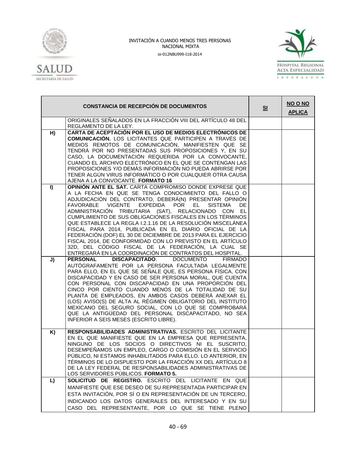



|          | <b>CONSTANCIA DE RECEPCIÓN DE DOCUMENTOS</b>                                                                                                                                                                                                                                                                                                                                                                                                                                                                                                                                                                                                                                                                                                                                                                                                                                                  | S <sub>1</sub> | NO O NO<br><b>APLICA</b> |
|----------|-----------------------------------------------------------------------------------------------------------------------------------------------------------------------------------------------------------------------------------------------------------------------------------------------------------------------------------------------------------------------------------------------------------------------------------------------------------------------------------------------------------------------------------------------------------------------------------------------------------------------------------------------------------------------------------------------------------------------------------------------------------------------------------------------------------------------------------------------------------------------------------------------|----------------|--------------------------|
|          | ORIGINALES SEÑALADOS EN LA FRACCIÓN VIII DEL ARTÍCULO 48 DEL<br>REGLAMENTO DE LA LEY.                                                                                                                                                                                                                                                                                                                                                                                                                                                                                                                                                                                                                                                                                                                                                                                                         |                |                          |
| H)       | CARTA DE ACEPTACIÓN POR EL USO DE MEDIOS ELECTRÓNICOS DE<br><b>COMUNICACIÓN.</b> LOS LICITANTES QUE PARTICIPEN A TRAVÉS DE<br>MEDIOS REMOTOS DE COMUNICACIÓN, MANIFIESTEN QUE SE<br>TENDRÁ POR NO PRESENTADAS SUS PROPOSICIONES Y, EN SU<br>CASO, LA DOCUMENTACIÓN REQUERIDA POR LA CONVOCANTE,<br>CUANDO EL ARCHIVO ELECTRÓNICO EN EL QUE SE CONTENGAN LAS<br>PROPOSICIONES Y/O DEMÁS INFORMACIÓN NO PUEDA ABRIRSE POR<br>TENER ALGÚN VIRUS INFORMÁTICO O POR CUALQUIER OTRA CAUSA<br>AJENA A LA CONVOCANTE. FORMATO 16                                                                                                                                                                                                                                                                                                                                                                      |                |                          |
| I)<br>J) | OPINIÓN ANTE EL SAT. CARTA COMPROMISO DONDE EXPRESE QUE<br>A LA FECHA EN QUE SE TENGA CONOCIMIENTO DEL FALLO O<br>ADJUDICACIÓN DEL CONTRATO, DEBERÁ(N) PRESENTAR OPINIÓN<br>FAVORABLE VIGENTE<br>EXPEDIDA<br><b>POR</b><br>EL -<br><b>SISTEMA</b><br>DE<br>ADMINISTRACIÓN TRIBUTARIA (SAT), RELACIONADO CON EL<br>CUMPLIMIENTO DE SUS OBLIGACIONES FISCALES EN LOS TÉRMINOS<br>QUE ESTABLECE LA REGLA 1.2.1.16 DE LA RESOLUCIÓN MISCELÁNEA<br>FISCAL PARA 2014, PUBLICADA EN EL DIARIO OFICIAL DE LA<br>FEDERACIÓN (DOF) EL 30 DE DICIEMBRE DE 2013 PARA EL EJERCICIO<br>FISCAL 2014, DE CONFORMIDAD CON LO PREVISTO EN EL ARTÍCULO<br>32D, DEL CÓDIGO FISCAL DE LA FEDERACIÓN, LA CUAL SE<br>ENTREGARÁ EN LA COORDINACIÓN DE CONTRATOS DEL HOSPITAL.<br><b>DISCAPACITADO.</b><br><b>DOCUMENTO</b><br><b>PERSONAL</b><br><b>FIRMADO</b><br>AUTÓGRAFAMENTE POR LA PERSONA FACULTADA LEGALMENTE |                |                          |
|          | PARA ELLO, EN EL QUE SE SEÑALE QUE, ES PERSONA FÍSICA, CON<br>DISCAPACIDAD Y EN CASO DE SER PERSONA MORAL, QUE CUENTA<br>CON PERSONAL CON DISCAPACIDAD EN UNA PROPORCIÓN DEL<br>CINCO POR CIENTO CUANDO MENOS DE LA TOTALIDAD DE SU<br>PLANTA DE EMPLEADOS, EN AMBOS CASOS DEBERÁ ANEXAR EL<br>(LOS) AVISO(S) DE ALTA AL RÉGIMEN OBLIGATORIO DEL INSTITUTO<br>MEXICANO DEL SEGURO SOCIAL, CON LO QUE SE COMPROBARÁ<br>QUE LA ANTIGÜEDAD DEL PERSONAL DISCAPACITADO, NO SEA<br>INFERIOR A SEIS MESES (ESCRITO LIBRE).                                                                                                                                                                                                                                                                                                                                                                          |                |                          |
| K)       | RESPONSABILIDADES ADMINISTRATIVAS. ESCRITO DEL LICITANTE<br>EN EL QUE MANIFIESTE QUE EN LA EMPRESA QUE REPRESENTA,<br>NINGUNO DE LOS SOCIOS O DIRECTIVOS NI EL SUSCRITO,<br>DESEMPEÑAMOS UN EMPLEO, CARGO O COMISIÓN EN EL SERVICIO<br>PÚBLICO, NI ESTAMOS INHABILITADOS PARA ELLO. LO ANTERIOR, EN<br>TÉRMINOS DE LO DISPUESTO POR LA FRACCIÓN XX DEL ARTÍCULO 8<br>DE LA LEY FEDERAL DE RESPONSABILIDADES ADMINISTRATIVAS DE<br>LOS SERVIDORES PÚBLICOS. FORMATO 5.                                                                                                                                                                                                                                                                                                                                                                                                                         |                |                          |
| L)       | SOLICITUD DE REGISTRO. ESCRITO DEL LICITANTE EN QUE<br>MANIFIESTE QUE ESE DESEO DE SU REPRESENTADA PARTICIPAR EN<br>ESTA INVITACIÓN, POR SÍ O EN REPRESENTACIÓN DE UN TERCERO,<br>INDICANDO LOS DATOS GENERALES DEL INTERESADO Y EN SU<br>CASO DEL REPRESENTANTE, POR LO QUE SE TIENE PLENO                                                                                                                                                                                                                                                                                                                                                                                                                                                                                                                                                                                                   |                |                          |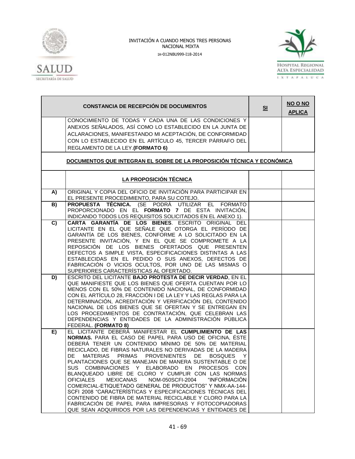



|    | <b>CONSTANCIA DE RECEPCIÓN DE DOCUMENTOS</b>                                                                            | S <sub>1</sub> | NO O NO<br><b>APLICA</b> |
|----|-------------------------------------------------------------------------------------------------------------------------|----------------|--------------------------|
|    | CONOCIMIENTO DE TODAS Y CADA UNA DE LAS CONDICIONES Y                                                                   |                |                          |
|    | ANEXOS SEÑALADOS, ASÍ COMO LO ESTABLECIDO EN LA JUNTA DE                                                                |                |                          |
|    | ACLARACIONES, MANIFESTANDO MI ACEPTACIÓN, DE CONFORMIDAD                                                                |                |                          |
|    | CON LO ESTABLECIDO EN EL ARTÍCULO 45, TERCER PÁRRAFO DEL                                                                |                |                          |
|    | REGLAMENTO DE LA LEY.(FORMATO 6)                                                                                        |                |                          |
|    |                                                                                                                         |                |                          |
|    | DOCUMENTOS QUE INTEGRAN EL SOBRE DE LA PROPOSICIÓN TÉCNICA Y ECONÓMICA                                                  |                |                          |
|    | LA PROPOSICIÓN TÉCNICA                                                                                                  |                |                          |
| A) | ORIGINAL Y COPIA DEL OFICIO DE INVITACIÓN PARA PARTICIPAR EN<br>EL PRESENTE PROCEDIMIENTO, PARA SU COTEJO.              |                |                          |
| B) | PROPUESTA TÉCNICA. (SE PODRÁ UTILIZAR EL FORMATO                                                                        |                |                          |
|    | PROPORCIONADO EN EL FORMATO 7 DE ESTA INVITACIÓN,                                                                       |                |                          |
|    | INDICANDO TODOS LOS REQUISITOS SOLICITADOS EN EL ANEXO 1).                                                              |                |                          |
| C) | CARTA GARANTÍA DE LOS BIENES. ESCRITO ORIGINAL DEL                                                                      |                |                          |
|    | LICITANTE EN EL QUE SEÑALE QUE OTORGA EL PERÍODO DE                                                                     |                |                          |
|    | GARANTÍA DE LOS BIENES, CONFORME A LO SOLICITADO EN LA                                                                  |                |                          |
|    | PRESENTE INVITACIÓN, Y EN EL QUE SE COMPROMETE A LA                                                                     |                |                          |
|    | REPOSICIÓN DE LOS BIENES OFERTADOS QUE PRESENTEN                                                                        |                |                          |
|    | DEFECTOS A SIMPLE VISTA, ESPECIFICACIONES DISTINTAS A LAS                                                               |                |                          |
|    | ESTABLECIDAS EN EL PEDIDO O SUS ANEXOS, DEFECTOS DE                                                                     |                |                          |
|    | FABRICACIÓN O VICIOS OCULTOS, POR UNO DE LAS MISMAS O                                                                   |                |                          |
|    | SUPERIORES CARACTERÍSTICAS AL OFERTADO.                                                                                 |                |                          |
| D) | ESCRITO DEL LICITANTE BAJO PROTESTA DE DECIR VERDAD, EN EL                                                              |                |                          |
|    | QUE MANIFIESTE QUE LOS BIENES QUE OFERTA CUENTAN POR LO                                                                 |                |                          |
|    | MENOS CON EL 50% DE CONTENIDO NACIONAL, DE CONFORMIDAD<br>CON EL ARTÍCULO 28, FRACCIÓN I DE LA LEY Y LAS REGLAS PARA LA |                |                          |
|    | DETERMINACIÓN, ACREDITACIÓN Y VERIFICACIÓN DEL CONTENIDO                                                                |                |                          |
|    | NACIONAL DE LOS BIENES QUE SE OFERTAN Y SE ENTREGAN EN                                                                  |                |                          |
|    | LOS PROCEDIMIENTOS DE CONTRATACIÓN, QUE CELEBRAN LAS                                                                    |                |                          |
|    | DEPENDENCIAS Y ENTIDADES DE LA ADMINISTRACIÓN PÚBLICA                                                                   |                |                          |
|    | FEDERAL. (FORMATO 8)                                                                                                    |                |                          |
| E) | EL LICITANTE DEBERÁ MANIFESTAR EL CUMPLIMIENTO DE LAS                                                                   |                |                          |
|    | NORMAS. PARA EL CASO DE PAPEL PARA USO DE OFICINA, ÉSTE                                                                 |                |                          |
|    | DEBERÁ TENER UN CONTENIDO MÍNIMO DE 50% DE MATERIAL                                                                     |                |                          |
|    | RECICLADO, DE FIBRAS NATURALES NO DERIVADAS DE LA MADERA                                                                |                |                          |
|    | DE MATERIAS PRIMAS PROVENIENTES DE BOSQUES<br>- Y                                                                       |                |                          |
|    | PLANTACIONES QUE SE MANEJAN DE MANERA SUSTENTABLE O DE                                                                  |                |                          |
|    | SUS COMBINACIONES Y ELABORADO EN PROCESOS CON                                                                           |                |                          |
|    | BLANQUEADO LIBRE DE CLORO Y CUMPLIR CON LAS NORMAS                                                                      |                |                          |
|    | <b>OFICIALES</b><br><b>MEXICANAS</b><br>NOM-050SCFI-2004<br>"INFORMACIÓN                                                |                |                          |
|    | COMERCIAL-ETIQUETADO GENERAL DE PRODUCTOS" Y NMX-AA-144-                                                                |                |                          |
|    | SCFI 2008 "CARACTERÍSTICAS Y ESPECIFICACIONES TÉCNICAS DEL                                                              |                |                          |
|    | CONTENIDO DE FIBRA DE MATERIAL RECICLABLE Y CLORO PARA LA                                                               |                |                          |
|    | FABRICACIÓN DE PAPEL PARA IMPRESORAS Y FOTOCOPIADORAS                                                                   |                |                          |
|    | QUE SEAN ADQUIRIDOS POR LAS DEPENDENCIAS Y ENTIDADES DE                                                                 |                |                          |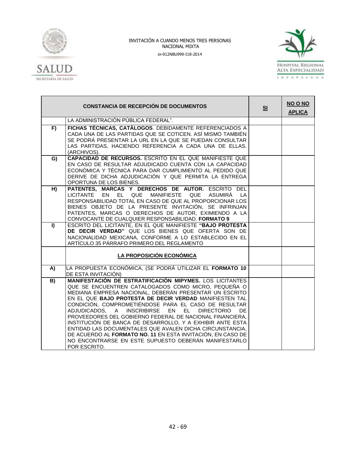



|                | <b>CONSTANCIA DE RECEPCIÓN DE DOCUMENTOS</b>                                                                                                                                                                                                                                                                                                                                                                                                                                                                                                                                                                                                                                                    | S <sub>1</sub> | NO O NO<br><b>APLICA</b> |
|----------------|-------------------------------------------------------------------------------------------------------------------------------------------------------------------------------------------------------------------------------------------------------------------------------------------------------------------------------------------------------------------------------------------------------------------------------------------------------------------------------------------------------------------------------------------------------------------------------------------------------------------------------------------------------------------------------------------------|----------------|--------------------------|
|                | LA ADMINISTRACIÓN PÚBLICA FEDERAL".                                                                                                                                                                                                                                                                                                                                                                                                                                                                                                                                                                                                                                                             |                |                          |
| $\overline{F}$ | FICHAS TÉCNICAS, CATÁLOGOS. DEBIDAMENTE REFERENCIADOS A<br>CADA UNA DE LAS PARTIDAS QUE SE COTICEN. ASÍ MISMO TAMBIÉN<br>SE PODRÁ PRESENTAR LA URL EN LA QUE SE PUEDAN CONSULTAR<br>LAS PARTIDAS, HACIENDO REFERENCIA A CADA UNA DE ELLAS.<br>(ARCHIVOS).                                                                                                                                                                                                                                                                                                                                                                                                                                       |                |                          |
| G)             | CAPACIDAD DE RECURSOS. ESCRITO EN EL QUE MANIFIESTE QUE<br>EN CASO DE RESULTAR ADJUDICADO CUENTA CON LA CAPACIDAD<br>ECONÓMICA Y TÉCNICA PARA DAR CUMPLIMIENTO AL PEDIDO QUE<br>DERIVE DE DICHA ADJUDICACIÓN Y QUE PERMITA LA ENTREGA<br>OPORTUNA DE LOS BIENES.                                                                                                                                                                                                                                                                                                                                                                                                                                |                |                          |
| H)             | PATENTES, MARCAS Y DERECHOS DE AUTOR. ESCRITO DEL<br>LICITANTE EN<br>EL QUE MANIFIESTE QUE<br>ASUMIRÁ LA<br>RESPONSABILIDAD TOTAL EN CASO DE QUE AL PROPORCIONAR LOS<br>BIENES OBJETO DE LA PRESENTE INVITACIÓN, SE INFRINJAN<br>PATENTES, MARCAS O DERECHOS DE AUTOR, EXIMIENDO A LA<br>CONVOCANTE DE CUALQUIER RESPONSABILIDAD. FORMATO 9                                                                                                                                                                                                                                                                                                                                                     |                |                          |
| $\mathbf{I}$   | ESCRITO DEL LICITANTE, EN EL QUE MANIFIESTE "BAJO PROTESTA<br>DE DECIR VERDAD" QUE LOS BIENES QUE OFERTA SON DE<br>NACIONALIDAD MEXICANA, CONFORME A LO ESTABLECIDO EN EL<br>ARTÍCULO 35 PÁRRAFO PRIMERO DEL REGLAMENTO                                                                                                                                                                                                                                                                                                                                                                                                                                                                         |                |                          |
|                | LA PROPOSICIÓN ECONÓMICA                                                                                                                                                                                                                                                                                                                                                                                                                                                                                                                                                                                                                                                                        |                |                          |
| A)             | LA PROPUESTA ECONÓMICA, (SE PODRÁ UTILIZAR EL FORMATO 10<br>DE ESTA INVITACIÓN)                                                                                                                                                                                                                                                                                                                                                                                                                                                                                                                                                                                                                 |                |                          |
| B)             | <b>MANIFESTACIÓN DE ESTRATIFICACIÓN MIPYMES. LOS LICITANTES</b><br>QUE SE ENCUENTREN CATALOGADOS COMO MICRO, PEQUEÑA O<br>MEDIANA EMPRESA NACIONAL, DEBERÁN PRESENTAR UN ESCRITO<br>EN EL QUE BAJO PROTESTA DE DECIR VERDAD MANIFIESTEN TAL<br>CONDICIÓN, COMPROMETIÉNDOSE PARA EL CASO DE RESULTAR<br>ADJUDICADOS, A INSCRIBIRSE EN EL<br><b>DIRECTORIO</b><br>DE.<br>PROVEEDORES DEL GOBIERNO FEDERAL DE NACIONAL FINANCIERA,<br>INSTITUCIÓN DE BANCA DE DESARROLLO, Y A EXHIBIR ANTE ESTA<br>ENTIDAD LAS DOCUMENTALES QUE AVALEN DICHA CIRCUNSTANCIA,<br>DE ACUERDO AL FORMATO NO. 11 EN ESTA INVITACIÓN, EN CASO DE<br>NO ENCONTRARSE EN ESTE SUPUESTO DEBERÁN MANIFESTARLO<br>POR ESCRITO. |                |                          |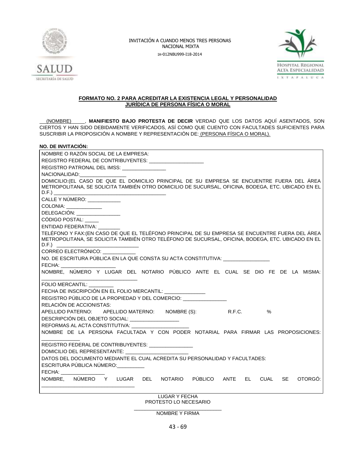



#### **FORMATO NO. 2 PARA ACREDITAR LA EXISTENCIA LEGAL Y PERSONALIDAD JURÍDICA DE PERSONA FÍSICA O MORAL**

(NOMBRE) , MANIFIESTO BAJO PROTESTA DE DECIR VERDAD QUE LOS DATOS AQUÍ ASENTADOS, SON CIERTOS Y HAN SIDO DEBIDAMENTE VERIFICADOS, ASÍ COMO QUE CUENTO CON FACULTADES SUFICIENTES PARA SUSCRIBIR LA PROPOSICIÓN A NOMBRE Y REPRESENTACIÓN DE: (PERSONA FÍSICA O MORAL).

### **NO. DE INVITACIÓN:**

| NOMBRE O RAZÓN SOCIAL DE LA EMPRESA:                                                                                                                                                                 |
|------------------------------------------------------------------------------------------------------------------------------------------------------------------------------------------------------|
| REGISTRO FEDERAL DE CONTRIBUYENTES: _______________________                                                                                                                                          |
| REGISTRO PATRONAL DEL IMSS: ________________                                                                                                                                                         |
| NACIONALIDAD: NACIONALIDAD:                                                                                                                                                                          |
| DOMICILIO: (EL CASO DE QUE EL DOMICILIO PRINCIPAL DE SU EMPRESA SE ENCUENTRE FUERA DEL ÁREA<br>METROPOLITANA, SE SOLICITA TAMBIÉN OTRO DOMICILIO DE SUCURSAL, OFICINA, BODEGA, ETC. UBICADO EN EL    |
| CALLE Y NÚMERO: ___________                                                                                                                                                                          |
| COLONIA: _____________                                                                                                                                                                               |
| DELEGACIÓN: _______________                                                                                                                                                                          |
| CÓDIGO POSTAL:                                                                                                                                                                                       |
| ENTIDAD FEDERATIVA:                                                                                                                                                                                  |
| TELÉFONO Y FAX: (EN CASO DE QUE EL TELÉFONO PRINCIPAL DE SU EMPRESA SE ENCUENTRE FUERA DEL ÁREA<br>METROPOLITANA, SE SOLICITA TAMBIÉN OTRO TELÉFONO DE SUCURSAL, OFICINA, BODEGA, ETC. UBICADO EN EL |
| CORREO ELECTRÓNICO:                                                                                                                                                                                  |
| NO. DE ESCRITURA PÚBLICA EN LA QUE CONSTA SU ACTA CONSTITUTIVA:                                                                                                                                      |
| FECHA:                                                                                                                                                                                               |
| NOMBRE, NÚMERO Y LUGAR DEL NOTARIO PÚBLICO ANTE EL CUAL SE DIO FE DE LA MISMA:                                                                                                                       |
| FOLIO MERCANTIL:                                                                                                                                                                                     |
| FECHA DE INSCRIPCIÓN EN EL FOLIO MERCANTIL: _____________                                                                                                                                            |
| REGISTRO PÚBLICO DE LA PROPIEDAD Y DEL COMERCIO: CONTRA                                                                                                                                              |
| RELACIÓN DE ACCIONISTAS:                                                                                                                                                                             |
| APELLIDO PATERNO: APELLIDO MATERNO: NOMBRE (S):<br>R.F.C.<br>$\%$                                                                                                                                    |
| DESCRIPCIÓN DEL OBJETO SOCIAL: _________________                                                                                                                                                     |
| REFORMAS AL ACTA CONSTITUTIVA: UNITED ACTS                                                                                                                                                           |
| NOMBRE DE LA PERSONA FACULTADA Y CON PODER NOTARIAL PARA FIRMAR LAS PROPOSICIONES:                                                                                                                   |
| REGISTRO FEDERAL DE CONTRIBUYENTES: ________________                                                                                                                                                 |
|                                                                                                                                                                                                      |
| DATOS DEL DOCUMENTO MEDIANTE EL CUAL ACREDITA SU PERSONALIDAD Y FACULTADES:                                                                                                                          |
| ESCRITURA PÚBLICA NÚMERO:                                                                                                                                                                            |
| FECHA: _________                                                                                                                                                                                     |
| NOMBRE, NÚMERO Y LUGAR DEL NOTARIO PÚBLICO ANTE EL CUAL SE<br>OTORGÓ:                                                                                                                                |
|                                                                                                                                                                                                      |

LUGAR Y FECHA PROTESTO LO NECESARIO

\_\_\_\_\_\_\_\_\_\_\_\_\_\_\_\_\_\_\_\_\_\_\_\_\_\_\_\_\_\_\_\_ NOMBRE Y FIRMA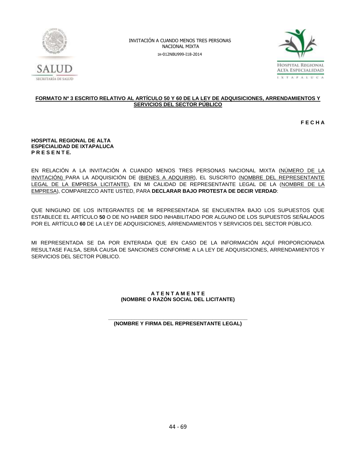



### **FORMATO Nº 3 ESCRITO RELATIVO AL ARTÍCULO 50 Y 60 DE LA LEY DE ADQUISICIONES, ARRENDAMIENTOS Y SERVICIOS DEL SECTOR PÚBLICO**

**F E C H A**

#### **HOSPITAL REGIONAL DE ALTA ESPECIALIDAD DE IXTAPALUCA P R E S E N T E.**

EN RELACIÓN A LA INVITACIÓN A CUANDO MENOS TRES PERSONAS NACIONAL MIXTA (NÚMERO DE LA INVITACIÓN) PARA LA ADQUISICIÓN DE (BIENES A ADQUIRIR), EL SUSCRITO (NOMBRE DEL REPRESENTANTE LEGAL DE LA EMPRESA LICITANTE), EN MI CALIDAD DE REPRESENTANTE LEGAL DE LA (NOMBRE DE LA EMPRESA), COMPAREZCO ANTE USTED, PARA **DECLARAR BAJO PROTESTA DE DECIR VERDAD**:

QUE NINGUNO DE LOS INTEGRANTES DE MI REPRESENTADA SE ENCUENTRA BAJO LOS SUPUESTOS QUE ESTABLECE EL ARTÍCULO **50** O DE NO HABER SIDO INHABILITADO POR ALGUNO DE LOS SUPUESTOS SEÑALADOS POR EL ARTÍCULO **60** DE LA LEY DE ADQUISICIONES, ARRENDAMIENTOS Y SERVICIOS DEL SECTOR PÚBLICO.

MI REPRESENTADA SE DA POR ENTERADA QUE EN CASO DE LA INFORMACIÓN AQUÍ PROPORCIONADA RESULTASE FALSA, SERÁ CAUSA DE SANCIONES CONFORME A LA LEY DE ADQUISICIONES, ARRENDAMIENTOS Y SERVICIOS DEL SECTOR PÚBLICO.

### **A T E N T A M E N T E (NOMBRE O RAZÓN SOCIAL DEL LICITANTE)**

#### **\_\_\_\_\_\_\_\_\_\_\_\_\_\_\_\_\_\_\_\_\_\_\_\_\_\_\_\_\_\_\_\_\_\_\_\_\_\_\_\_\_\_\_\_\_\_\_\_ (NOMBRE Y FIRMA DEL REPRESENTANTE LEGAL)**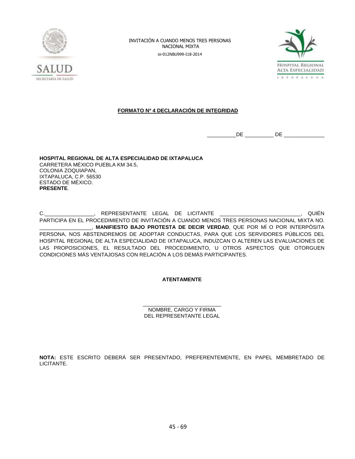



### **FORMATO Nº 4 DECLARACIÓN DE INTEGRIDAD**

 $DE$   $DE$   $DE$ 

**HOSPITAL REGIONAL DE ALTA ESPECIALIDAD DE IXTAPALUCA** CARRETERA MÉXICO PUEBLA KM 34.5, COLONIA ZOQUIAPAN, IXTAPALUCA, C.P. 56530 ESTADO DE MÉXICO. **PRESENTE**.

C.\_\_\_\_\_\_\_\_\_\_\_\_\_\_\_\_\_, REPRESENTANTE LEGAL DE LICITANTE \_\_\_\_\_\_\_\_\_\_\_\_\_\_\_\_\_\_\_\_\_\_\_\_\_\_\_\_, QUIÉN PARTICIPA EN EL PROCEDIMIENTO DE INVITACIÓN A CUANDO MENOS TRES PERSONAS NACIONAL MIXTA NO. \_\_\_\_\_\_\_\_\_\_\_\_\_\_\_\_\_\_, **MANIFIESTO BAJO PROTESTA DE DECIR VERDAD**, QUE POR MÍ O POR INTERPÓSITA PERSONA, NOS ABSTENDREMOS DE ADOPTAR CONDUCTAS, PARA QUE LOS SERVIDORES PÚBLICOS DEL HOSPITAL REGIONAL DE ALTA ESPECIALIDAD DE IXTAPALUCA, INDUZCAN O ALTEREN LAS EVALUACIONES DE LAS PROPOSICIONES, EL RESULTADO DEL PROCEDIMIENTO, U OTROS ASPECTOS QUE OTORGUEN CONDICIONES MÁS VENTAJOSAS CON RELACIÓN A LOS DEMÁS PARTICIPANTES.

### **ATENTAMENTE**

\_\_\_\_\_\_\_\_\_\_\_\_\_\_\_\_\_\_\_\_\_\_\_\_\_\_\_ NOMBRE, CARGO Y FIRMA DEL REPRESENTANTE LEGAL

**NOTA:** ESTE ESCRITO DEBERÁ SER PRESENTADO, PREFERENTEMENTE, EN PAPEL MEMBRETADO DE LICITANTE.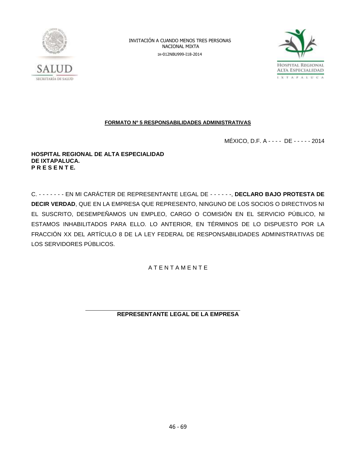



### **FORMATO Nº 5 RESPONSABILIDADES ADMINISTRATIVAS**

MÉXICO, D.F. A - - - - DE - - - - - 2014

**HOSPITAL REGIONAL DE ALTA ESPECIALIDAD DE IXTAPALUCA. P R E S E N T E.**

C. - - - - - - - EN MI CARÁCTER DE REPRESENTANTE LEGAL DE - - - - - -, **DECLARO BAJO PROTESTA DE DECIR VERDAD**, QUE EN LA EMPRESA QUE REPRESENTO, NINGUNO DE LOS SOCIOS O DIRECTIVOS NI EL SUSCRITO, DESEMPEÑAMOS UN EMPLEO, CARGO O COMISIÓN EN EL SERVICIO PÚBLICO, NI ESTAMOS INHABILITADOS PARA ELLO. LO ANTERIOR, EN TÉRMINOS DE LO DISPUESTO POR LA FRACCIÓN XX DEL ARTÍCULO 8 DE LA LEY FEDERAL DE RESPONSABILIDADES ADMINISTRATIVAS DE LOS SERVIDORES PÚBLICOS.

A T E N T A M E N T E

### **REPRESENTANTE LEGAL DE LA EMPRESA**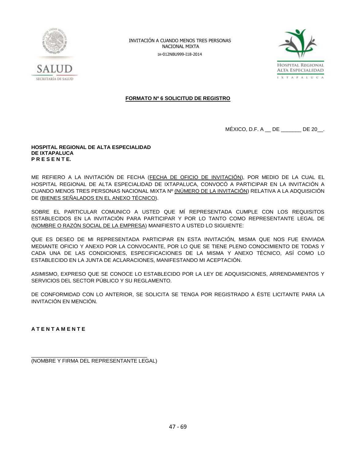



### **FORMATO Nº 6 SOLICITUD DE REGISTRO**

MÉXICO, D.F. A \_\_ DE \_\_\_\_\_\_\_ DE 20\_\_.

#### **HOSPITAL REGIONAL DE ALTA ESPECIALIDAD DE IXTAPALUCA P R E S E N T E.**

ME REFIERO A LA INVITACIÓN DE FECHA (FECHA DE OFICIO DE INVITACIÓN), POR MEDIO DE LA CUAL EL HOSPITAL REGIONAL DE ALTA ESPECIALIDAD DE IXTAPALUCA, CONVOCÓ A PARTICIPAR EN LA INVITACIÓN A CUANDO MENOS TRES PERSONAS NACIONAL MIXTA Nº (NÚMERO DE LA INVITACIÓN) RELATIVA A LA ADQUISICIÓN DE (BIENES SEÑALADOS EN EL ANEXO TÉCNICO).

SOBRE EL PARTICULAR COMUNICO A USTED QUE MÍ REPRESENTADA CUMPLE CON LOS REQUISITOS ESTABLECIDOS EN LA INVITACIÓN PARA PARTICIPAR Y POR LO TANTO COMO REPRESENTANTE LEGAL DE (NOMBRE O RAZÓN SOCIAL DE LA EMPRESA) MANIFIESTO A USTED LO SIGUIENTE:

QUE ES DESEO DE MI REPRESENTADA PARTICIPAR EN ESTA INVITACIÓN, MISMA QUE NOS FUE ENVIADA MEDIANTE OFICIO Y ANEXO POR LA CONVOCANTE, POR LO QUE SE TIENE PLENO CONOCIMIENTO DE TODAS Y CADA UNA DE LAS CONDICIONES, ESPECIFICACIONES DE LA MISMA Y ANEXO TÉCNICO, ASÍ COMO LO ESTABLECIDO EN LA JUNTA DE ACLARACIONES, MANIFESTANDO MI ACEPTACIÓN.

ASIMISMO, EXPRESO QUE SE CONOCE LO ESTABLECIDO POR LA LEY DE ADQUISICIONES, ARRENDAMIENTOS Y SERVICIOS DEL SECTOR PÚBLICO Y SU REGLAMENTO.

DE CONFORMIDAD CON LO ANTERIOR, SE SOLICITA SE TENGA POR REGISTRADO A ÉSTE LICITANTE PARA LA INVITACIÓN EN MENCIÓN.

**A T E N T A M E N T E**

\_\_\_\_\_\_\_\_\_\_\_\_\_\_\_\_\_\_\_\_\_\_\_\_\_\_\_\_\_\_\_\_\_\_\_\_\_\_\_\_ (NOMBRE Y FIRMA DEL REPRESENTANTE LEGAL)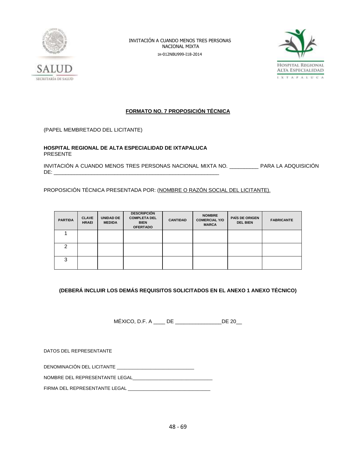



### **FORMATO NO. 7 PROPOSICIÓN TÉCNICA**

(PAPEL MEMBRETADO DEL LICITANTE)

**HOSPITAL REGIONAL DE ALTA ESPECIALIDAD DE IXTAPALUCA** PRESENTE

INVITACIÓN A CUANDO MENOS TRES PERSONAS NACIONAL MIXTA NO. \_\_\_\_\_\_\_\_\_\_ PARA LA ADQUISICIÓN DE: \_\_\_\_\_\_\_\_\_\_\_\_\_\_\_\_\_\_\_\_\_\_\_\_\_\_\_\_\_\_\_\_\_\_\_\_\_\_\_\_\_\_\_\_\_\_\_\_\_\_\_\_\_\_\_\_\_

PROPOSICIÓN TÉCNICA PRESENTADA POR: (NOMBRE O RAZÓN SOCIAL DEL LICITANTE).

| <b>PARTIDA</b> | <b>CLAVE</b><br><b>HRAEI</b> | UNIDAD DE<br><b>MEDIDA</b> | <b>DESCRIPCIÓN</b><br><b>COMPLETA DEL</b><br><b>BIEN</b><br><b>OFERTADO</b> | <b>CANTIDAD</b> | <b>NOMBRE</b><br><b>COMERCIAL Y/O</b><br><b>MARCA</b> | <b>PAÍS DE ORIGEN</b><br><b>DEL BIEN</b> | <b>FABRICANTE</b> |
|----------------|------------------------------|----------------------------|-----------------------------------------------------------------------------|-----------------|-------------------------------------------------------|------------------------------------------|-------------------|
|                |                              |                            |                                                                             |                 |                                                       |                                          |                   |
| າ              |                              |                            |                                                                             |                 |                                                       |                                          |                   |
| 3              |                              |                            |                                                                             |                 |                                                       |                                          |                   |

### **(DEBERÁ INCLUIR LOS DEMÁS REQUISITOS SOLICITADOS EN EL ANEXO 1 ANEXO TÉCNICO)**

MÉXICO, D.F. A \_\_\_\_ DE \_\_\_\_\_\_\_\_\_\_\_\_\_\_\_\_DE 20\_\_

DATOS DEL REPRESENTANTE

DENOMINACIÓN DEL LICITANTE \_\_\_\_\_\_\_\_\_\_\_\_\_\_\_\_\_\_\_\_\_\_\_\_\_\_\_\_\_\_

NOMBRE DEL REPRESENTANTE LEGAL

FIRMA DEL REPRESENTANTE LEGAL \_\_\_\_\_\_\_\_\_\_\_\_\_\_\_\_\_\_\_\_\_\_\_\_\_\_\_\_\_\_\_\_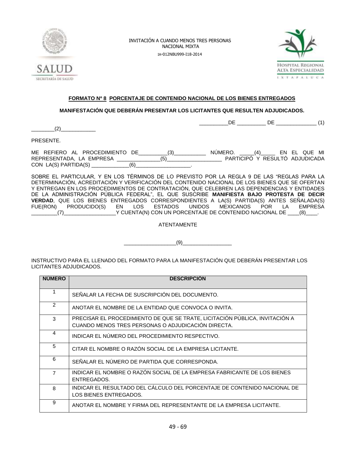



 $DE$  DE  $(1)$ 

### **FORMATO Nº 8 PORCENTAJE DE CONTENIDO NACIONAL DE LOS BIENES ENTREGADOS**

### **MANIFESTACIÓN QUE DEBERÁN PRESENTAR LOS LICITANTES QUE RESULTEN ADJUDICADOS.**

 $(2)$ 

PRESENTE.

ME REFIERO AL PROCEDIMIENTO DE\_\_\_\_\_\_\_\_\_\_(3)\_\_\_\_\_\_\_\_\_\_\_ NÚMERO. \_\_\_\_\_(4)\_\_\_\_\_ EN EL QUE MI REPRESENTADA, LA EMPRESA \_\_\_\_\_\_\_\_\_\_\_\_\_\_\_(5)\_\_\_\_\_\_\_\_\_\_\_\_\_\_\_\_\_\_\_ PARTICIPÓ Y RESULTÓ ADJUDICADA  $CON LA(S) PARTIDA(S)$  (6)

SOBRE EL PARTICULAR, Y EN LOS TÉRMINOS DE LO PREVISTO POR LA REGLA 9 DE LAS "REGLAS PARA LA DETERMINACIÓN, ACREDITACIÓN Y VERIFICACIÓN DEL CONTENIDO NACIONAL DE LOS BIENES QUE SE OFERTAN Y ENTREGAN EN LOS PROCEDIMIENTOS DE CONTRATACIÓN, QUE CELEBREN LAS DEPENDENCIAS Y ENTIDADES DE LA ADMINISTRACIÓN PÚBLICA FEDERAL", EL QUE SUSCRIBE **MANIFIESTA BAJO PROTESTA DE DECIR VERDAD**, QUE LOS BIENES ENTREGADOS CORRESPONDIENTES A LA(S) PARTIDA(S) ANTES SEÑALADA(S) FUE(RON) PRODUCIDO(S) EN LOS ESTADOS UNIDOS MEXICANOS POR LA EMPRESA  $(7)$   $\qquad \qquad$   $\qquad \qquad$   $\qquad$   $\qquad$   $\qquad$   $\qquad$   $\qquad$   $\qquad$   $\qquad$   $\qquad$   $\qquad$   $\qquad$   $\qquad$   $\qquad$   $\qquad$   $\qquad$   $\qquad$   $\qquad$   $\qquad$   $\qquad$   $\qquad$   $\qquad$   $\qquad$   $\qquad$   $\qquad$   $\qquad$   $\qquad$   $\qquad$   $\qquad$   $\qquad$   $\qquad$   $\qquad$   $\qquad$   $\qquad$   $\qquad$ 

ATENTAMENTE

 $(9)$ 

INSTRUCTIVO PARA EL LLENADO DEL FORMATO PARA LA MANIFESTACIÓN QUE DEBERÁN PRESENTAR LOS LICITANTES ADJUDICADOS.

| <b>NUMERO</b>  | <b>DESCRIPCIÓN</b>                                                                                                                |
|----------------|-----------------------------------------------------------------------------------------------------------------------------------|
|                | SEÑALAR LA FECHA DE SUSCRIPCIÓN DEL DOCUMENTO.                                                                                    |
| $\overline{2}$ | ANOTAR EL NOMBRE DE LA ENTIDAD QUE CONVOCA O INVITA.                                                                              |
| 3              | PRECISAR EL PROCEDIMIENTO DE QUE SE TRATE, LICITACIÓN PÚBLICA, INVITACIÓN A<br>CUANDO MENOS TRES PERSONAS O ADJUDICACIÓN DIRECTA. |
| 4              | INDICAR EL NÚMERO DEL PROCEDIMIENTO RESPECTIVO.                                                                                   |
| 5              | CITAR EL NOMBRE O RAZÓN SOCIAL DE LA EMPRESA LICITANTE.                                                                           |
| 6              | SEÑALAR EL NÚMERO DE PARTIDA QUE CORRESPONDA.                                                                                     |
| $\overline{7}$ | INDICAR EL NOMBRE O RAZÓN SOCIAL DE LA EMPRESA FABRICANTE DE LOS BIENES<br>ENTREGADOS.                                            |
| 8              | INDICAR EL RESULTADO DEL CÁLCULO DEL PORCENTAJE DE CONTENIDO NACIONAL DE<br>LOS BIENES ENTREGADOS.                                |
| 9              | ANOTAR EL NOMBRE Y FIRMA DEL REPRESENTANTE DE LA EMPRESA LICITANTE.                                                               |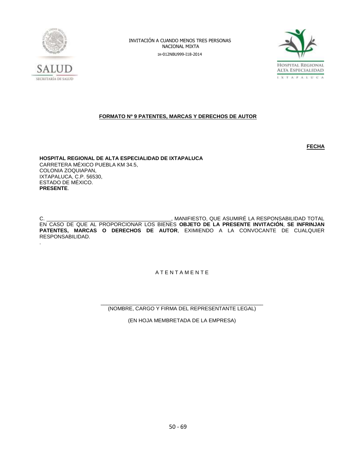



### **FORMATO Nº 9 PATENTES, MARCAS Y DERECHOS DE AUTOR**

**FECHA** 

**HOSPITAL REGIONAL DE ALTA ESPECIALIDAD DE IXTAPALUCA** CARRETERA MÉXICO PUEBLA KM 34.5, COLONIA ZOQUIAPAN, IXTAPALUCA, C.P. 56530, ESTADO DE MÉXICO. **PRESENTE**.

C. The contract of the contract of the contract of the contract of the contract of the contract of the contract of the contract of the contract of the contract of the contract of the contract of the contract of the contrac EN CASO DE QUE AL PROPORCIONAR LOS BIENES **OBJETO DE LA PRESENTE INVITACIÓN**, **SE INFRINJAN PATENTES, MARCAS O DERECHOS DE AUTOR**, EXIMIENDO A LA CONVOCANTE DE CUALQUIER RESPONSABILIDAD. .

A T E N T A M E N T E

\_\_\_\_\_\_\_\_\_\_\_\_\_\_\_\_\_\_\_\_\_\_\_\_\_\_\_\_\_\_\_\_\_\_\_\_\_\_\_\_\_\_\_\_\_\_\_\_\_\_\_\_\_\_\_\_ (NOMBRE, CARGO Y FIRMA DEL REPRESENTANTE LEGAL)

(EN HOJA MEMBRETADA DE LA EMPRESA)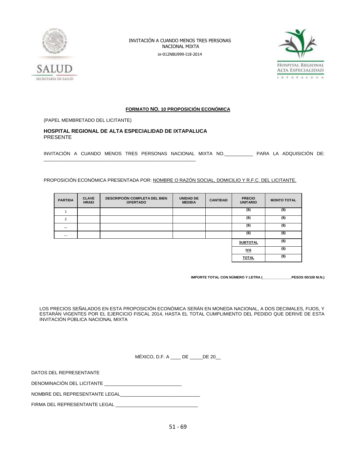



### **FORMATO NO. 10 PROPOSICIÓN ECONÓMICA**

(PAPEL MEMBRETADO DEL LICITANTE)

### **HOSPITAL REGIONAL DE ALTA ESPECIALIDAD DE IXTAPALUCA** PRESENTE

\_\_\_\_\_\_\_\_\_\_\_\_\_\_\_\_\_\_\_\_\_\_\_\_\_\_\_\_\_\_\_\_\_\_\_\_\_\_\_\_\_\_\_\_\_\_\_\_\_\_\_\_\_\_\_\_\_\_\_

INVITACIÓN A CUANDO MENOS TRES PERSONAS NACIONAL MIXTA NO.\_\_\_\_\_\_\_\_\_\_\_ PARA LA ADQUISICIÓN DE:

PROPOSICIÓN ECONÓMICA PRESENTADA POR: NOMBRE O RAZÓN SOCIAL, DOMICILIO Y R.F.C. DEL LICITANTE.

| <b>PARTIDA</b> | <b>CLAVE</b><br><b>HRAEI</b> | <b>DESCRIPCIÓN COMPLETA DEL BIEN</b><br><b>OFERTADO</b> | <b>UNIDAD DE</b><br><b>MEDIDA</b> | <b>CANTIDAD</b> | <b>PRECIO</b><br><b>UNITARIO</b> | <b>MONTO TOTAL</b> |
|----------------|------------------------------|---------------------------------------------------------|-----------------------------------|-----------------|----------------------------------|--------------------|
|                |                              |                                                         |                                   |                 | $($ \$)                          | $($ \$)            |
| $\overline{2}$ |                              |                                                         |                                   |                 | $($ \$)                          | $($ \$)            |
| $\cdots$       |                              |                                                         |                                   |                 | $($ \$)                          | $($ \$)            |
| $\cdots$       |                              |                                                         |                                   |                 | $($ \$)                          | $($ \$)            |
|                |                              |                                                         |                                   |                 | <b>SUBTOTAL</b>                  | $($ \$)            |
|                |                              |                                                         |                                   |                 | <b>IVA</b>                       | $($ \$)            |
|                |                              |                                                         |                                   |                 | <b>TOTAL</b>                     | $($ \$)            |

**IMPORTE TOTAL CON NÚMERO Y LETRA (\_\_\_\_\_\_\_\_\_\_\_\_\_\_\_PESOS 00/100 M.N.)**

LOS PRECIOS SEÑALADOS EN ESTA PROPOSICIÓN ECONÓMICA SERÁN EN MONEDA NACIONAL, A DOS DECIMALES, FIJOS, Y ESTARÁN VIGENTES POR EL EJERCICIO FISCAL 2014, HASTA EL TOTAL CUMPLIMIENTO DEL PEDIDO QUE DERIVE DE ESTA INVITACIÓN PÚBLICA NACIONAL MIXTA

MÉXICO, D.F. A DE DE 20

DATOS DEL REPRESENTANTE

DENOMINACIÓN DEL LICITANTE

NOMBRE DEL REPRESENTANTE LEGAL

FIRMA DEL REPRESENTANTE LEGAL \_\_\_\_\_\_\_\_\_\_\_\_\_\_\_\_\_\_\_\_\_\_\_\_\_\_\_\_\_\_\_\_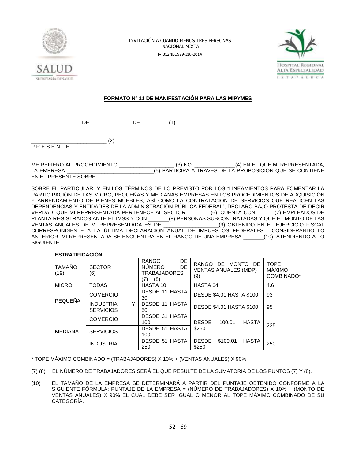



### **FORMATO Nº 11 DE MANIFESTACIÓN PARA LAS MIPYMES**

 $DE$  DE  $(1)$ 

 $^{(2)}$ 

P R E S E N T E.

ME REFIERO AL PROCEDIMIENTO \_\_\_\_\_\_\_\_\_\_\_\_\_\_\_\_\_\_\_ (3) NO. \_\_\_\_\_\_\_\_\_\_\_\_\_\_(4) EN EL QUE MI REPRESENTADA, LA EMPRESA \_\_\_\_\_\_\_\_\_\_\_\_\_\_\_\_\_\_\_\_\_\_\_\_\_\_\_\_\_\_(5) PARTICIPA A TRAVÉS DE LA PROPOSICIÓN QUE SE CONTIENE EN EL PRESENTE SOBRE.

SOBRE EL PARTICULAR, Y EN LOS TÉRMINOS DE LO PREVISTO POR LOS "LINEAMIENTOS PARA FOMENTAR LA PARTICIPACIÓN DE LAS MICRO, PEQUEÑAS Y MEDIANAS EMPRESAS EN LOS PROCEDIMIENTOS DE ADQUISICIÓN Y ARRENDAMIENTO DE BIENES MUEBLES, ASÍ COMO LA CONTRATACIÓN DE SERVICIOS QUE REALICEN LAS DEPENDENCIAS Y ENTIDADES DE LA ADMINISTRACIÓN PÚBLICA FEDERAL", DECLARO BAJO PROTESTA DE DECIR VERDAD, QUE MI REPRESENTADA PERTENECE AL SECTOR \_\_\_\_\_\_\_\_(6), CUENTA CON \_\_\_\_\_\_(7) EMPLEADOS DE<br>PLANTA REGISTRADOS ANTE EL IMSS Y CON \_\_\_\_\_\_(8) PERSONAS SUBCONTRATADAS Y QUE EL MONTO DE LAS PLANTA REGISTRADOS ANTE EL IMSS Y CON \_\_\_\_\_\_\_(8) PERSONAS SUBCONTRATADAS Y QUE EL MONTO DE LAS VENTAS ANUALES DE MI REPRESENTADA ES DE \_\_\_\_\_\_\_\_\_\_\_\_\_\_\_\_\_\_\_(9) OBTENIDO EN EL EJERCICIO FISCAL CORRESPONDIENTE A LA ÚLTIMA DECLARACIÓN ANUAL DE IMPUESTOS FEDERALES. CONSIDERANDO LO ANTERIOR, MI REPRESENTADA SE ENCUENTRA EN EL RANGO DE UNA EMPRESA \_\_\_\_\_\_\_(10), ATENDIENDO A LO SIGUIENTE:

| <b>ESTRATIFICACIÓN</b> |                                           |                                                                                 |                                                         |                                            |
|------------------------|-------------------------------------------|---------------------------------------------------------------------------------|---------------------------------------------------------|--------------------------------------------|
| <b>TAMAÑO</b><br>(19)  | <b>SECTOR</b><br>(6)                      | DE<br><b>RANGO</b><br><b>NUMERO</b><br><b>DE</b><br>TRABAJADORES<br>$(7) + (8)$ | RANGO DE MONTO DE<br><b>VENTAS ANUALES (MDP)</b><br>(9) | <b>TOPE</b><br><b>MÁXIMO</b><br>COMBINADO* |
| <b>MICRO</b>           | <b>TODAS</b>                              | HASTA 10                                                                        | <b>HASTA \$4</b>                                        | 4.6                                        |
| <b>PEQUEÑA</b>         | <b>COMERCIO</b>                           | <b>DESDE 11 HASTA</b><br>30                                                     | <b>DESDE \$4.01 HASTA \$100</b>                         | 93                                         |
|                        | Υ<br><b>INDUSTRIA</b><br><b>SERVICIOS</b> | DESDE 11 HASTA<br>50                                                            | <b>DESDE \$4.01 HASTA \$100</b>                         | 95                                         |
|                        | <b>COMERCIO</b>                           | DESDE 31 HASTA<br>100                                                           | <b>DESDE</b><br><b>HASTA</b><br>100.01                  | 235                                        |
| <b>MEDIANA</b>         | <b>SERVICIOS</b>                          | DESDE 51 HASTA<br>100                                                           | \$250                                                   |                                            |
|                        | <b>INDUSTRIA</b>                          | <b>DESDE 51 HASTA</b><br>250                                                    | <b>DESDE</b><br>\$100.01<br><b>HASTA</b><br>\$250       | 250                                        |

\* TOPE MÁXIMO COMBINADO = (TRABAJADORES) X 10% + (VENTAS ANUALES) X 90%.

- (7) (8) EL NÚMERO DE TRABAJADORES SERÁ EL QUE RESULTE DE LA SUMATORIA DE LOS PUNTOS (7) Y (8).
- (10) EL TAMAÑO DE LA EMPRESA SE DETERMINARÁ A PARTIR DEL PUNTAJE OBTENIDO CONFORME A LA SIGUIENTE FÓRMULA: PUNTAJE DE LA EMPRESA = (NÚMERO DE TRABAJADORES) X 10% + (MONTO DE VENTAS ANUALES) X 90% EL CUAL DEBE SER IGUAL O MENOR AL TOPE MÁXIMO COMBINADO DE SU CATEGORÍA.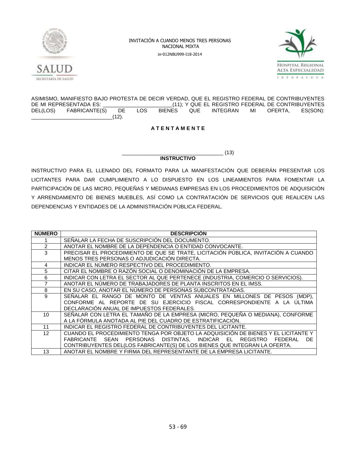



ASIMISMO, MANIFIESTO BAJO PROTESTA DE DECIR VERDAD, QUE EL REGISTRO FEDERAL DE CONTRIBUYENTES<br>DE MI REPRESENTADA ES: (11); Y QUE EL REGISTRO FEDERAL DE CONTRIBUYENTES THE MITTED MI REPRESENTAGE MI REPRESENT AND THE MITTED MINORE AND LOTE THAT A LOST BE MINOR AND MINORE LOST BE<br>DE LOS BIENES QUE INTEGRAN MI OFERTA, ES(SON): DEL(LOS) FABRICANTE(S) DE LOS BIENES QUE INTEGRAN MI OFERTA, ES(SON):  $(12).$ 

### **A T E N T A M E N T E**

### **INSTRUCTIVO**

 $\frac{1}{2}$  (13)

INSTRUCTIVO PARA EL LLENADO DEL FORMATO PARA LA MANIFESTACIÓN QUE DEBERÁN PRESENTAR LOS LICITANTES PARA DAR CUMPLIMIENTO A LO DISPUESTO EN LOS LINEAMIENTOS PARA FOMENTAR LA PARTICIPACIÓN DE LAS MICRO, PEQUEÑAS Y MEDIANAS EMPRESAS EN LOS PROCEDIMIENTOS DE ADQUISICIÓN Y ARRENDAMIENTO DE BIENES MUEBLES, ASÍ COMO LA CONTRATACIÓN DE SERVICIOS QUE REALICEN LAS DEPENDENCIAS Y ENTIDADES DE LA ADMINISTRACIÓN PÚBLICA FEDERAL.

| <b>NÚMERO</b>   | <b>DESCRIPCION</b>                                                                 |
|-----------------|------------------------------------------------------------------------------------|
|                 | SEÑALAR LA FECHA DE SUSCRIPCIÓN DEL DOCUMENTO.                                     |
| 2               | ANOTAR EL NOMBRE DE LA DEPENDENCIA O ENTIDAD CONVOCANTE.                           |
| 3               | PRECISAR EL PROCEDIMIENTO DE QUE SE TRATE, LICITACIÓN PÚBLICA, INVITACIÓN A CUANDO |
|                 | MENOS TRES PERSONAS O ADJUDICACIÓN DIRECTA.                                        |
| 4               | INDICAR EL NUMERO RESPECTIVO DEL PROCEDIMIENTO.                                    |
| 5               | CITAR EL NOMBRE O RAZÓN SOCIAL O DENOMINACIÓN DE LA EMPRESA.                       |
| 6               | INDICAR CON LETRA EL SECTOR AL QUE PERTENECE (INDUSTRIA, COMERCIO O SERVICIOS).    |
|                 | ANOTAR EL NÚMERO DE TRABAJADORES DE PLANTA INSCRITOS EN EL IMSS.                   |
| 8               | EN SU CASO, ANOTAR EL NÚMERO DE PERSONAS SUBCONTRATADAS.                           |
| 9               | SEÑALAR EL RANGO DE MONTO DE VENTAS ANUALES EN MILLONES DE PESOS (MDP),            |
|                 | CONFORME AL REPORTE DE SU EJERCICIO FISCAL CORRESPONDIENTE A LA ÚLTIMA             |
|                 | DECLARACIÓN ANUAL DE IMPUESTOS FEDERALES.                                          |
| 10              | SEÑALAR CON LETRA EL TAMAÑO DE LA EMPRESA (MICRO, PEQUEÑA O MEDIANA), CONFORME     |
|                 | A LA FÓRMULA ANOTADA AL PIE DEL CUADRO DE ESTRATIFICACIÓN.                         |
| 11              | INDICAR EL REGISTRO FEDERAL DE CONTRIBUYENTES DEL LICITANTE.                       |
| 12 <sup>2</sup> | CUANDO EL PROCEDIMIENTO TENGA POR OBJETO LA ADQUISICIÓN DE BIENES Y EL LICITANTE Y |
|                 | FABRICANTE SEAN PERSONAS DISTINTAS, INDICAR EL<br>REGISTRO<br>FEDERAL<br>DE.       |
|                 | CONTRIBUYENTES DEL(LOS FABRICANTE(S) DE LOS BIENES QUE INTEGRAN LA OFERTA.         |
| 13              | ANOTAR EL NOMBRE Y FIRMA DEL REPRESENTANTE DE LA EMPRESA LICITANTE.                |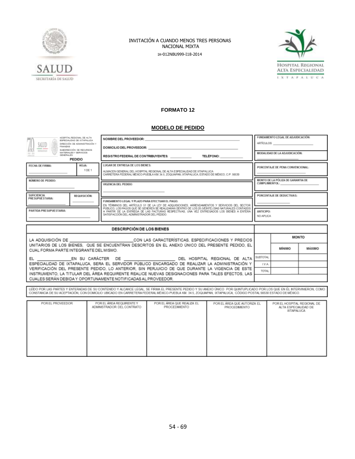



### **FORMATO 12**

### **MODELO DE PEDIDO**

| HOSPITAL REGIONAL DE ALTA<br>ESPECIALIDAD DE INTAPALUCA<br>SALUD<br>DIRECCIÓN DE ADMINISTRACIÓN Y<br>FINANZAS<br>SUBDIRECCIÓN DE RECURSOS<br><b>RODIGIONI</b><br>MATERIALES Y SERVICIOS<br>GENERALES<br>PEDIDO |                                                                                                 | NOMBRE DEL PROVEEDOR:<br>DOMICILIO DEL PROVEEDOR:<br>REGISTRO FEDERAL DE CONTRIBUYENTES: | FUNDAMENTO LEGAL DE ADJUDICACIÓN:<br>ARTÍCULOS<br>MODALIDAD DE LA ADJUDICACIÓN:                                                                                                                                                                                                                                                        |                                  |                               |               |        |  |
|----------------------------------------------------------------------------------------------------------------------------------------------------------------------------------------------------------------|-------------------------------------------------------------------------------------------------|------------------------------------------------------------------------------------------|----------------------------------------------------------------------------------------------------------------------------------------------------------------------------------------------------------------------------------------------------------------------------------------------------------------------------------------|----------------------------------|-------------------------------|---------------|--------|--|
| FECHA DE FIRMA:                                                                                                                                                                                                | HOJA:<br>1 DE 1                                                                                 | LUGAR DE ENTREGA DE LOS BIENES:                                                          | ALMACEN GENERAL DEL HOSPITAL REGIONAL DE ALTA ESPECIALIDAD DE IXTAPALUCA<br>CARRETERA FEDERAL MÉXICO-PUEBLA KM 34.5. ZOQUIAPAN, IXTAPALUCA, ESTADO DE MÉXICO, C.P. 56530                                                                                                                                                               | PORCENTAJE DE PENA CONVENCIONAL: |                               |               |        |  |
| NÚMERO DE PEDIDO:                                                                                                                                                                                              |                                                                                                 | VIGENCIA DEL PEDIDO:                                                                     | MONTO DE LA PÓLIZA DE GARANTIA DE<br><b>CUMPLIMIENTOL:</b>                                                                                                                                                                                                                                                                             |                                  |                               |               |        |  |
| SUFICIENCIA<br>PRESUPUESTARIA:                                                                                                                                                                                 | REQUISICIÓN:                                                                                    | FUNDAMENTO LEGAL Y PLAZO PARA EFECTUAR EL PAGO:                                          | EN TÉRMINOS DEL ARTÍCULO 51 DE LA LEY DE ADQUISICIONES, ARRENDAMIENTOS Y SERVICIOS DEL SECTOR                                                                                                                                                                                                                                          |                                  | PORCENTAJE DE DEDUCTIVAS:     |               |        |  |
| PARTIDA PRESUPUESTARIA:                                                                                                                                                                                        |                                                                                                 | SATISFACCIÓN DEL ADMINISTRADOR DEL PEDIDO.                                               | PÚBLICO. LOS PAGOS QUE SE GENEREN SE REALIZARAN DENTRO DE LOS 20 (VEINTE) DÍAS NATURALES CONTADOS<br>A PARTIR DE LA ENTREGA DE LAS FACTURAS RESPECTIVAS. UNA VEZ ENTREGÃOOS LOS BIENES A ENTERA                                                                                                                                        |                                  | <b>ANTICIPO:</b><br>NO APLICA |               |        |  |
|                                                                                                                                                                                                                |                                                                                                 | <b>DESCRIPCIÓN DE LOS BIENES</b>                                                         |                                                                                                                                                                                                                                                                                                                                        |                                  |                               |               |        |  |
|                                                                                                                                                                                                                |                                                                                                 |                                                                                          | LA ADQUISICIÓN DE ________________________________CON LAS CARACTERÍSTICAS, ESPECIFICACIONES Y PRECIOS                                                                                                                                                                                                                                  |                                  |                               | <b>MONTO</b>  |        |  |
| CUAL FORMA PARTE INTEGRANTE DEL MISMO.                                                                                                                                                                         |                                                                                                 |                                                                                          | UNITARIOS DE LOS BIENES. QUE SE ENCUENTRAN DESCRITOS EN EL ANEXO ÚNICO DEL PRESENTE PEDIDO. EL                                                                                                                                                                                                                                         |                                  |                               | <b>MINIMO</b> | MÁXIMO |  |
|                                                                                                                                                                                                                | EL __________________EN SU CARÁCTER DE ___________________________DEL HOSPITAL REGIONAL DE ALTA |                                                                                          |                                                                                                                                                                                                                                                                                                                                        |                                  |                               |               |        |  |
| ESPECIALIDAD DE IXTAPALUCA. SERA EL SERVIDOR PÚBLICO ENCARGADO DE REALIZAR LA ADMINISTRACIÓN Y<br>VERIFICACIÓN DEL PRESENTE PEDIDO, LO ANTERIOR, SIN PERJUICIO DE QUE DURANTE LA VIGENCIA DE ESTE              |                                                                                                 |                                                                                          |                                                                                                                                                                                                                                                                                                                                        |                                  |                               |               |        |  |
|                                                                                                                                                                                                                |                                                                                                 |                                                                                          |                                                                                                                                                                                                                                                                                                                                        |                                  | SUBTOTAL<br>LV.A.<br>TOTAL    |               |        |  |
| CUALES SERÁN DEBIDA Y OPORTUNAMENTE NOTIFICADAS AL PROVEEDOR.                                                                                                                                                  |                                                                                                 |                                                                                          | INSTRUMENTO, LA TITULAR DEL ÁREA REQUIRENTE REALICE NUEVAS DESIGNACIONES PARA TALES EFECTOS, LAS                                                                                                                                                                                                                                       |                                  |                               |               |        |  |
|                                                                                                                                                                                                                |                                                                                                 |                                                                                          | LEIDO POR LAS PARTES Y ENTERADAS DE SU CONTENIDO Y ALCANCE LEGAL. SE FIRMA EL PRESENTE PEDIDO Y SU ANEXO ÚNICO POR QUINTUPLICADO POR LOS QUE EN ÉL INTERVINIERON, COMO<br>CONSTANCIA DE SU ACEPTACIÓN, CON DOMICILIO UBICADO EN CARRETERA FEDERAL MÉXICO-PUEBLA KM, 34.5, ZOQUIAPAN, IXTAPALUCA, CÓDIGO POSTAL 56530 ESTADO DE MÉXICO. |                                  |                               |               |        |  |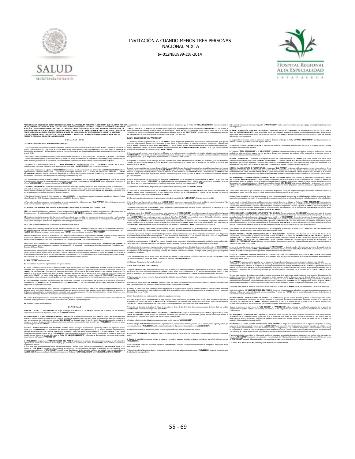



|                                                                                                                                                                                                                                                                                                                                                                                                                                                                                                                     | PEDIDO PARA LA ADQUISICIÓN DE LOS BIENES SEÑALADOS AL ANVERSO, EN ADELANTE "LOS BIENES" QUE CELEBRAN POR UNALo establecido en la presente Cláusda deberá ser interpretado sin perjuicio de que el Titular del "AREA REQUIRENTE                                                                                                                                                                                                                                                                                                                                                                                         |                                                                                                                                                                                                                                                                                                                                                                                  |
|---------------------------------------------------------------------------------------------------------------------------------------------------------------------------------------------------------------------------------------------------------------------------------------------------------------------------------------------------------------------------------------------------------------------------------------------------------------------------------------------------------------------|------------------------------------------------------------------------------------------------------------------------------------------------------------------------------------------------------------------------------------------------------------------------------------------------------------------------------------------------------------------------------------------------------------------------------------------------------------------------------------------------------------------------------------------------------------------------------------------------------------------------|----------------------------------------------------------------------------------------------------------------------------------------------------------------------------------------------------------------------------------------------------------------------------------------------------------------------------------------------------------------------------------|
|                                                                                                                                                                                                                                                                                                                                                                                                                                                                                                                     | PARTE, HOOMPLINE DE ALTA ESPECIALIDAD DE KTAPALUG, EN LO SUCESIVO EL "HRAET, REPRESENTAD EN ESTE poddo.<br>ACTO POR LOS SERVIDORES PÚBLICOS CON LOS CAROS Y CARACTERES SEÑALADOS EN EL ANVERSO, Y POR LA OTRA LA CUARTA- VIGENDA-                                                                                                                                                                                                                                                                                                                                                                                      | sus obligaciones                                                                                                                                                                                                                                                                                                                                                                 |
| CONJUNTAMENTE Y EN LO SUCESIVO SE LES DENOMINARA "LAS PARTES". MISMAS QUE MANIFIESTAN FORMALIZAR EL<br>PRESENTE PEDIDO AL TENOR DE LAS SIGUIENTES:                                                                                                                                                                                                                                                                                                                                                                  | PERSANDOLONAL RESOLUTION CONCERNO EN ENCOLONAL RESOLUTION DES SURFAINDUNG EN ENGLIS EN ENGLIS EN ENGLIS EN ENGLIS EN ENGLIS EN ENGLIS EN ENGLIS EN ENGLIS EN ENGLIS EN ENGLIS EN ENGLIS EN ENGLIS EN ENGLIS EN ENGLIS EN ENGLI<br>precisamente hasta en tanto éste, dé cabal cumplimiento a las obligaciones a su cargo.<br>QUINTA - OBLIGACIONES DEL "PROVEEDOR":                                                                                                                                                                                                                                                     | temporal del presente instrumento, podrá suspender la entrega de "LOS BIENES", en cuyo caso, únicamente se pagarán aquellos que hubiesen                                                                                                                                                                                                                                         |
| DECLARACIONES                                                                                                                                                                                                                                                                                                                                                                                                                                                                                                       |                                                                                                                                                                                                                                                                                                                                                                                                                                                                                                                                                                                                                        | La suspensión del presente pedido se sustentará mediante dictamen emitido por el Titular del "ÁREA REQUIRENTE", en el que se precise las                                                                                                                                                                                                                                         |
|                                                                                                                                                                                                                                                                                                                                                                                                                                                                                                                     | LE "WARE debut a state of the constant of the constant of the constant of the constant of the constant of the constant of the constant of the constant of the constant of the constant of the constant of the constant of the                                                                                                                                                                                                                                                                                                                                                                                          | A petición del Titular del "ÁREA REQUIRENTE" se podrá suspender temporalmente el pedido en todo o en parte, en cualquier momento, sin que                                                                                                                                                                                                                                        |
| Estados Unidos Mexicanos, 1", párrafo tercero y 45de la Ley Orgánica de la Administración Pública Federal 14, fracción II, de la Ley Federal de las establecido para la entrega de los mémos en el "ANEXO ÚNICO".<br>Entidados Pa                                                                                                                                                                                                                                                                                   |                                                                                                                                                                                                                                                                                                                                                                                                                                                                                                                                                                                                                        | El Titular del "ÁREA REQUIRENTE" y el "PROVEEDOR" pactarán el plazo de suspersión, a cuyo término, el presente pedido podrá continua                                                                                                                                                                                                                                             |
| iunio de 2012                                                                                                                                                                                                                                                                                                                                                                                                                                                                                                       | "LOS BIENES" así como contar con las licencias, autorizaciones vio permisos que en su caso sean necesarias, de conformidad con el artículo 31 terminación anticipada del instrumento legal.                                                                                                                                                                                                                                                                                                                                                                                                                            | Observar y cumplir en todo momento las Normas Oficiales, tanto nacionales como internacionales que resulten aplicables para la adquisición de produciendo todos sus efectos legales, una vez que hayan desaparecido las causas                                                                                                                                                   |
| 1.2 El Director General que firma el presente pedido tiene facultades en términos de lo dispuesto por l "os artículos 16, fracción IV del Estatuto<br>Orgánico del Hospital Regional de Alta Especialidad de Ixtapaluca, en los p<br>bienes muebles y la prestación de servicios de cualquier naturaleza, con expección de los servicios relacionados con la obraública.                                                                                                                                            | del Reglamento de la Ley de Adquisiciones, Arrendamientos y Servicios del Sector Público.<br>3. Responder de la totalidad de los daños y/o perjuicios causados a los bienes o trabajadores del "HRAEI" o a los bienes y personal de tenceros, debidamente acreditados por el Titular del "AREA REQUIRENTE". El Titular del                                                                                                                                                                                                                                                                                             | NOVENA .- PRÓRROGAS .- Únicamente se otorgarán<br>as por causas imputables a el "HRAEI" y en casos fortultos o de fuerza mayor                                                                                                                                                                                                                                                   |
| 13 Darantonder under nur norseidader al  "ÅDEA DEOUIDENTE" exteria la administérie de  "LOS BIENES", con las características<br>especificaciones y términos, contenidos en el presente instrumento legal y efANEXO ÚNICO" que forma parte del mismo                                                                                                                                                                                                                                                                 |                                                                                                                                                                                                                                                                                                                                                                                                                                                                                                                                                                                                                        | casados por é darme la empresa de 105 BENES" o por el persoal que corrate pas la esta esta entre entre o prompa que os estables entre la esta el procedida el esta entre el esta entre el esta el esta el esta el esta el esta                                                                                                                                                   |
| 141a presente contratación se adjudicó al "PROVEEDOR en atención a la solicitud formulada por el Titular del "ÁREA REQUIRENTE" medianti                                                                                                                                                                                                                                                                                                                                                                             | 4. Asumir la responsabilidad total en caso de que infrina la normatividad relativa a derechos inherentes a la propiedad intelectual, patentes, marcas DÉCIMA - CASO FORTUITO O FUERZA MAYOR - Ninguna de "LAS PARTES" será res<br>y derechos de autor con motivo de la entrega de "LOS BIENES", por tal motivo el "HRAEI" en ningún caso será responsable por violaciones de<br>derechos de propiedad industrial, patentes, marcas o derechos de autor cometidos po                                                                                                                                                    | obligaciones derivadas del presente pedido que resulten directa o indirectamente de caso fortulto o fuerza mayor. En este sentido, será<br>responsabilidad del Titular del "AREA REQUIRENTE" justificar la existencia del caso fo                                                                                                                                                |
| el procedimiento señalado al anverso, con las partidas y/o conceptos precisados en el anverso, por ser él, quien a criterio del "AREA<br>REQUIRENTE" ofrece las mejores condiciones del mercado en cuanto al precio y calidad a f<br>nados Justificación y estudio referencial, suscritos por dicho servidor público                                                                                                                                                                                                | viole algún derecho de los antes especificados, se obliga a indemnizar y sacar en paz y a salvo al "HRAEI" de cualquier controversia o demanda dictaminar procedente el señalamiento que realice el "PROVEEDOR" en relación a<br>que suría al respecto.                                                                                                                                                                                                                                                                                                                                                                | DECIMA DOIMED A - TEDMINACIÓN ANTICIDAD A DEL DEDIDO - El "HDAEP" a través de la Disección de Administración y Elegente y a patició                                                                                                                                                                                                                                              |
|                                                                                                                                                                                                                                                                                                                                                                                                                                                                                                                     | us promine and the company of the company of the state of the state of the state of the company of the company of the company of the company of the company of the company of the company of the company of the company of the                                                                                                                                                                                                                                                                                                                                                                                         |                                                                                                                                                                                                                                                                                                                                                                                  |
| referido "ANEXO ÚNICO" se encuentra firmado nor "LAS PARTES"<br>1.6 El "ÁREA REQUIRENTE" cuenta con los recursos suficientes para cubrir las obligaciones derivadas del presente pedido en términos del                                                                                                                                                                                                                                                                                                             | del uniforme que en su caso. les proporcione, el cual será suministrado por él, sin costo alguno para el "HRAEI".<br>6. Cumplir con la totalidad de las obligaciones que se establecen en el presente pedido y su "ANEXO ÚNICO"                                                                                                                                                                                                                                                                                                                                                                                        | bien cuando, por causas justificadas se extinga la necesidad de requerir "LOS BIENES" originalmente adjudicados y se demuestre por conducto<br>tiento de las obligaciones pactadas, se ocasion<br>Estado.                                                                                                                                                                        |
|                                                                                                                                                                                                                                                                                                                                                                                                                                                                                                                     | arious Angloise Americaniming y Switch of Nicky Mids (accumate of Mids) and Anglois and Company and The Switch Angloise of the Switch Angloise and the Switch Angloise and Angloise and Angloise and Angloise and Angloise and<br>'HRAEI", deberá portar invariablemente a la vista, iden                                                                                                                                                                                                                                                                                                                              | tificación expedida por el "PROVEEDOR" y cumplir con los requisitos de acceso y entrega de los bienes por causas de fuerza mayor, debidamente acreditadas por más de una ser                                                                                                                                                                                                     |
| 1.7 Su clave de Registro Federal de Contribuyentes es: HRA120609DQ4 y su domicilio para efectos fiscales es el ubicado en Carretera Federal<br>México-Puebla Km. 34.5. Zoguiapan, Ixtapaluca código postal 56530. Estado de México.                                                                                                                                                                                                                                                                                 | permanencia en las instalaciones, establecidos por el "HRAEI".<br>8. Cubrir los impuestos y derechos que se generen con motivo de la adquisición de "LOS BIENES" objeto del presente pedido.                                                                                                                                                                                                                                                                                                                                                                                                                           | De igual forma, procederá la terminación anticipada de este instrumento cuando se determine la nulidad parcial o total de los actos que dieror<br>al presente pedido, con motivo de la resolución de una inconformidad o intervención de oficio emitida por la Secretaría de la Función Pública                                                                                  |
| señala como su domicilio el precisado en la declaración anterior                                                                                                                                                                                                                                                                                                                                                                                                                                                    | 1.8 Para todos los efectos legales del presente pedido, así como para todas las notificaciones que "LAS PARTES" deban efectuarse al respecto, 9. Otorgar fisma por el porcentaje setalado en el "ANEXO ÚNICO" respecto del imp                                                                                                                                                                                                                                                                                                                                                                                         |                                                                                                                                                                                                                                                                                                                                                                                  |
| II.- Declara el "PROVEEDOR", bajo protesta de decirverdad, a través de su "REPRESENTANTE LEGAL", que:                                                                                                                                                                                                                                                                                                                                                                                                               | .<br>Agregado, la cual deberá ser expedida por institución autorizada para ello a favor de la Tesorería de la Federación<br>10. Garantizar la entrega de "LOS BIENES" objeto del presente pedido contra fallas vio vicios ocultos, considerando la naturaleza de<br>"LOS                                                                                                                                                                                                                                                                                                                                               | extension en consideráva proceso a posterior a la minna Lo arterior, de conformidad con lo estabelido en los articulos 54 Bio de la Loy de reconomiento de la consideráva de la consideráva de la consideráva de la consideráv                                                                                                                                                   |
| Il 1 Es una sociedad legalmente constituida conforme a las leves mexicanas. Jo qual acredita con el testimonio de la escritura núltra cuyos datos se<br>describen al rubro y de conformidad con su objeto sodal, puede vender "LOS BIENES" materia del presente pedido. Apéndice 1                                                                                                                                                                                                                                  | BIENES", durante la vigencia del presente pedido.<br>11. Entregar a favor de el "HRAEI" en los términos y fecha señalada en el "ANEXO ÚNICO", una póliza de seguro de responsabilidad civil general DÉCIMA SEGUNDA - CANCELACIÓN DE PARTIDAS Y SU SANCIÓN - Para el caso de que "LO                                                                                                                                                                                                                                                                                                                                    | satisfacción que para tal efecto emita el "ADMINISTRADOR DEL PEDIDO"                                                                                                                                                                                                                                                                                                             |
| II.2 Cuenta con facultades para suscribir el presente pedido, acreditando la personalidad con la que se ostenta con el testimonio de la escritura                                                                                                                                                                                                                                                                                                                                                                   | avaite for the composition can all the information and the composition of presents for the sequent in particular chan entropological property in the composition of the composition of the composition of the composition of t                                                                                                                                                                                                                                                                                                                                                                                         |                                                                                                                                                                                                                                                                                                                                                                                  |
| pública que se describe al rubro; que dichas facultades no le han sido modificadas, limitadas, canceladas o en forma alguna revocadas, por lo que<br>surten plenos efectos para la celebración del presente instrumento jurídico/lpéndice 2                                                                                                                                                                                                                                                                         |                                                                                                                                                                                                                                                                                                                                                                                                                                                                                                                                                                                                                        | or and the company and the company of the company of the company of the company of the company of the company of the company of the company of the company of the company of the company of the company of the company of the                                                                                                                                                    |
| IL3 Su clave de Registro Federal de Contribuyentes et el señalado en el anyeso                                                                                                                                                                                                                                                                                                                                                                                                                                      | "PROVEEDOR" deberá entregar el endoso correspondiente o la designación expresa del "HRAEI" como beneficiario preferente.                                                                                                                                                                                                                                                                                                                                                                                                                                                                                               | siempre y cuando la suma total del monto de las cancelaciones no rebase el 10% (diez por ciento) del importe total del pedido                                                                                                                                                                                                                                                    |
| II.4 Cuenta con la experiencia, capacidad técnica, humana, material y financiera propia y suficiente, así como con una adecuada organización<br>administrativa, personal calificado, equipo e instalaciones apropiadas para cumplir con las obligaciones derivadas del presente pedido y su<br>"ANEXO ÚNICO", de tal forma que no será considerado el "HRAEI" como sustituto del                                                                                                                                    | 12. Mantener la estricta confidencialidad de la información ylo documentación relacionada con el presente pedido, bajo la pena de incurrir en En el supuesto de que sea rescindido el presente pedido, no procederá la contabi<br>responsabilidad penal, civil o de otra índole, y por lo tanto, no podrá ser divulgada, transmitida, ni utilizada en beneficio propio o de tercero.<br>13. Asumir expresamente cualquier responsabilidad que se derive del incumplimiento por parte de sus empleados o consultores a las obligaciones DÉCIMA TERCERA: "PENAS CONVENCIONALES" Y "DEDUCCIONES". Atendiendo a lo dispues | dáusula, toda vez que se deberá hacer efectiva la garantía de cumplimiento.                                                                                                                                                                                                                                                                                                      |
| Resolución Miscelánea Fiscal para 2012, publicada en el Diario Oficial de la Federción el 28 de diciembre de 2011                                                                                                                                                                                                                                                                                                                                                                                                   | 157abs decode the control and a substanting of the control of the control of the control of the control of the control of the control of the control of the control of the control of the control of the control of the contro                                                                                                                                                                                                                                                                                                                                                                                         | "ANEXO ÚNICO", aplicado al valor de "LOS BIENES", sobre su importe facturado por cada día natural de atraso en la entrega de "LOS                                                                                                                                                                                                                                                |
| ILS Formaliza este documento con la segundad de que ninguno de los socios o directivos que la integran, ni su "REPRESENTANTE LEGAL"se cooperariam forma razonable para que aquella retorne la possión e impedirá usos no autor<br>encuentran en alguno de los supuestos previstos en los artículos 50 y 60 antepenúlti mo párrafo de la Ley de Adquisiciones. Arrer                                                                                                                                                 | 14. Notificar inmediatamente a el "HRAEI" en caso de descubrir el uso, revelación o divulgación no autorizados de la información confidencial y                                                                                                                                                                                                                                                                                                                                                                                                                                                                        | BIENES". El "PROVEEDOR" pagará el importe correspondente a dicha pena convencional mediante el formato autorizado para tal efecto por el<br>Servicio de Administración Tributaria                                                                                                                                                                                                |
| II.7 Para todos los efectos legales del presente pedido, así como para todas las notificaciones que "LAS PARTES" deban efectuarse al respecto.                                                                                                                                                                                                                                                                                                                                                                      | 15. Railar toda is engations y gate discussions in engine the discussion of electrological engine of the controlled the company in a same de toda is pass conventions a places of "ROVEDOF" is considered and controlled the c<br>de su personal, primas de seguros, impuestos y cualquier otro concepto, serán exclusivamente a su cargo, cuenta y riesgo, por lo que no podrán derecho de el "HRAEI" de optar entre exigir entre el cumplimiento del pedido o                                                                                                                                                        |                                                                                                                                                                                                                                                                                                                                                                                  |
| señala como su domicilio el precisado en el anverso. Cualquier cambio de domicilio deberá ser notificado por escrito ael "HRAEF", con el acuse de<br>recibo respectivo, con por lo menos 10 (diez) dias naturales de anticipación<br>aviso, todas las comunicaciones se entenderán válidamente hechas en el domicilio señalado.                                                                                                                                                                                     | ser exigidos a el "HRAEI".                                                                                                                                                                                                                                                                                                                                                                                                                                                                                                                                                                                             | El pago de "LOS BIENES" objeto del presente pedido, quedará condicionado proporcionalmente, al pago que el "PROVEEDOR" deba efectua                                                                                                                                                                                                                                              |
| III.- "LAS PARTES" manifiestan que:                                                                                                                                                                                                                                                                                                                                                                                                                                                                                 |                                                                                                                                                                                                                                                                                                                                                                                                                                                                                                                                                                                                                        | 16. No transferier of ma partial is that discussional and a presence the comparties devector de composance of the second order a concept of postage of presence of a structure in the second of the second of the second of Se                                                                                                                                                   |
| III.1 Se reconocen mutuamente la personalidad con que se ostentan:                                                                                                                                                                                                                                                                                                                                                                                                                                                  | 17. Africanse al "Programa de Cadenas Productivas"<br>SEXTA - ORI IGACIONES DE EL "HRAEI"                                                                                                                                                                                                                                                                                                                                                                                                                                                                                                                              | "LAS PARTES" acuerdan que las garantías que se otorgan son independientes a la pena convencional que se estipula en esta cláusula.<br>Atendiendo a lo dispuesto en el artículo 53 Bis de la Ley de Adquisiciones, Arrendamientos<br>cumplimiento parcial o deficiente de cualquiera de las obligaciones contractuales a cargo del "PROVEEDOR", el "HRAEI" aplicará una deductiva |
| III.2 Saben y conocen que la Secretaria de la Función Pública en el ejercicio de sus facultades, podrá realizar las visitas e inspecciones que esti                                                                                                                                                                                                                                                                                                                                                                 | perinter a la deperience op relations endemnits y arrival a painter point in the series of the series of the series of the series of the series of the series of the series of the series of the series of the series of the s                                                                                                                                                                                                                                                                                                                                                                                         | sobre el importe de "LOS BIENES" paralal o deficientemente entregados, la cual será calculada hasta la fecha en que materialmente se de "LOS BIENES" paralal o deficientemente para consumer de "LOS BIENES" paralal o deficie                                                                                                                                                   |
| Reglamento de la Ley de Adquisiciones, Arrendamientos y Servicios del Sector Público, la Secretaría de la Función Pública y el órgano interno de<br>control en la "HRAEI", con motivo de las auditorias, visitas o inspecciones q                                                                                                                                                                                                                                                                                   | quedará condicionado, proporcionalmente, al pago que el "PROVEEDOR" deba efectuar por concepto de penas convencionales por atraso.                                                                                                                                                                                                                                                                                                                                                                                                                                                                                     | Sin que cada concepto de deducciones exceda a la parte proporcional de la garantía de cumplimiento que le corresponda del monto total del                                                                                                                                                                                                                                        |
| III.3 Los instrumentos dedvados del propedimiento de contratación señalados en la Declaración I.4. la solicitud de colización, la colización                                                                                                                                                                                                                                                                                                                                                                        | documentación relacionada con el presente pedicio, por lo que este último debera preporcionar la información que en su momento le sea requerids; 2. Vigilar y supervisar en todo momento el cumplimiento del celeto, conforme<br>"ANEXO UNICO"                                                                                                                                                                                                                                                                                                                                                                         | "PROVEEDOR" presente para su cobro, inmediatamente después de que el "AREA REQUIRENTE" tenga cuantificada la deducción<br>correspondente o mediante su entero a favor de la Tescrería de la Federación por el "PROVEEDOR", sin pe                                                                                                                                                |
| obligaciones en la presente contratación                                                                                                                                                                                                                                                                                                                                                                                                                                                                            | presentada por "EL PROVEEDOR", el presente pedido y su "ANEXO ÚNICO", son los instrumentos que vinculary determinan los derechos y 3. Proporcionar por excitoal "PROVEEDOR" as instrucciones que estime convenientes relaciona<br>datos y especificaciones, así como a las modificaciones que en su caso ordene el "HRAEI"                                                                                                                                                                                                                                                                                             | Fi nago de "LOS RIENES" quedatá condicionado proporcionalmente, al nago que el "PROVEEDOR" deba efectuar por concepto de deductivas                                                                                                                                                                                                                                              |
| III.4 Todas las notificaciones que deban realizarse con motivo del presente pedido, deberán hacerse por escrito, mediante entrega directa con<br>acuse de recibo, fax o correo electrónico o vía correo certificado con acuse de                                                                                                                                                                                                                                                                                    | 4. A designar como Supervisor o Viglante del cumplimiento de las obligaciones del presente Pedido al Arquitecto Francisco Reyes Alcántara,<br>Coordinador de Mantenimiento quien será el responsable de llevar a cabo la revisión                                                                                                                                                                                                                                                                                                                                                                                      | Será responsabilidad del "ADMINISTRADOR DEL PEDIDO" determinar el importe que se aplicará por concepto de deductivas y documentarlas                                                                                                                                                                                                                                             |
| declaraciones. Las notificaciones se considerarán entregadas en la fecha que aparece en el regibo de confirmación de entrega del correo, o en la del objeto del presente Pedido.<br>confirmación de entrega del servicio de mensajería, fax o correo electrónico                                                                                                                                                                                                                                                    | 5. Exigir el cumplimiento o el reintegro de las cantidades pagadas en demasía                                                                                                                                                                                                                                                                                                                                                                                                                                                                                                                                          | así como notificar por escrito a la Dirección de Administración y Finanzas del "HRAEI" quien a su vez informará el importe de la misma a la<br>Subdirección de Recursos Financieros                                                                                                                                                                                              |
| IIL5 En caso de discrepancia entre la convocatoria a la licitación pública, la invitación a cuando menos tres personas o la solicitud de cotización y el<br>modelo del Pedido, prevalecerá lo establecido en la convocatoria, invitación o solicitud respectiva.                                                                                                                                                                                                                                                    | 6. En caso de que la factura presentada para su pago contenga errores o deficiencias, el "HRAEI" dentro de los 3 (tres) días hábiles siguientes al                                                                                                                                                                                                                                                                                                                                                                                                                                                                     | DECIMA CUARTA - MODIFICACIONES AL PEDIDO - Las modificaciones que por razones fundadas pudieran realizarse al presente pedido,<br>deberán invariablemente formalizarse por escrito, mediante la celebración del convenio modificatorio respectivo a través de la Dirección de                                                                                                    |
| III.6 Se sujetan al tenor de las siguientes:<br>CLÁUSULAS                                                                                                                                                                                                                                                                                                                                                                                                                                                           | ásu recepió, notas jor como al "MOVEDO" ta didiencia que debes como como a como a menos antrón de la errega del Americado y Francus de de "MARF", americado sogir se al caso a los previos como a como como como estaba de la<br>7. Proceder a la liberación de la nóliza de fanza de cumplimiento dentro de los 30 ftreintal disc patuziles destrués de baber dado nor recibido. Cuando se convenza el incremento de "LOS RIFNES" el "PROVEEDOR" dehecá entrec                                                                                                                                                        |                                                                                                                                                                                                                                                                                                                                                                                  |
| PRIMERA - OBJETO - El "PROVEEDOR" se obliga a entregar a el "HRAEI", "LOS BIENES" descritos en el anverso, en los términos y                                                                                                                                                                                                                                                                                                                                                                                        | "LOS BIENES", previa aceptación por parte del "HRAEI"                                                                                                                                                                                                                                                                                                                                                                                                                                                                                                                                                                  | complimento de la garantía de la garantía de <b>oscreco, en "PRUVEEUUR"</b> deberá entregar la modificación respectiva de la garantía de<br>Sector Público.<br>Sector Público.                                                                                                                                                                                                   |
| condiciones establecidos en el presente pedido y en su "ANEXO ÚNICO"<br>SEGUNDA - MONTO, FORMA Y LUGAR DE PAGO - "LAS PARTES" acuerdan que el precio de "LOS RIENES" será la capidad señalada en el                                                                                                                                                                                                                                                                                                                 | SEPTIMA - RESCISIÓN ADMINISTRATIVA DEL PEDIDO - El "PROVEEDOR" acepta en forma expresa que el "HRAEI", a petición del Titular del<br>"ÁREA REQUIRENTE", quien aportará los elementos necesarios para encauzar los procedimientos, pueda rescindir administrativa<br>presente Pedido, por cualquiera de las causas que a continuación se señalan:                                                                                                                                                                                                                                                                       | ente el DÉCIMA QUINTA.- TÍTULOS DE LAS CLÁUSULAS.- Los títulos de las cláusulas del pedido se utilizan exclusivamente para conveniencia de                                                                                                                                                                                                                                       |
| anverso, la cual se pagará en moneda nacional y será fija e inalterable durante su vigencia y hasta el total cumplimiento del objeto del Pedido, dicho<br>pagó que se genere con motivo de la entrega de "LOS BIENES" se efectuará dentro de los 20 (veinte) días naturales contados a partir de la 1. Por incumplimiento de las obligaciones pactadas en este pedido vio en su "ANEXO Ú<br>na de la factura de que se trate<br>sferencia de fondos, a la cuenta bancaria a nombre del "PROVEEDOR" que para tal efe |                                                                                                                                                                                                                                                                                                                                                                                                                                                                                                                                                                                                                        | "LAS PARTES" y no tienen ninguna significación legal o contractual, sólo tienen por objeto facilitar la referencia a cada una de ellas, su<br>Has PARTES" y no tienen ninguna significación legal o contractual, sólo tienen por<br>contenido del clausulado del presente nedido.                                                                                                |
| proporcione por escrito a el "HRAEI"                                                                                                                                                                                                                                                                                                                                                                                                                                                                                | 2. Por no entregar "LOS BIENES" conforme a las especificaciones, características, términos y calidad que se re<br>e, en los lugares y fechas qui<br>sean comunicadas al "PROVEEDOR", o bien, estén establecidas en el presente instrumento o en su "ANEXO ÚNICO".                                                                                                                                                                                                                                                                                                                                                      | DECIMA SEXTA - LEGISLACIÓN Y JURISDICCIÓN - "LAS PARTES" se obligan a sujetarse estrictamente al obieto de este pedido, en todas y                                                                                                                                                                                                                                               |
| TERCERA - ADMINISTRACIÓN Y VIGILANCIA DEL PEDIDO. El área encargada de administrar, supervisar y verificar el cumplimiento de este<br>pedido y de su "ANEXO ÚNICO", en términos del articulo 84, séptimo párrafo del Reglamento de la Ley de Adquisiciones, Arrendamientos y<br>Servicios del Sector Público; así como de supervisar en todo tiempo, dentro del ámbito                                                                                                                                              | ntos y 3. Por contravención de los términos del pedido o de las disposiciones de la normatividad aplicable al caso                                                                                                                                                                                                                                                                                                                                                                                                                                                                                                     | cada una de las clássicas que lo integran y a sur "ANEXO ONCO", así como a las inserientes productivas y presidence la Ley<br>de Adquisicions, Arrendamientes y Servicios del Sector Público y su Regiamento; la Ley Foderal de P                                                                                                                                                |
| perjuido de que durante la vigencia del mismo, el Titular del "ÁREA REQUIRENTE" realice nuevas designaciones, las cuales serán debida y pedido;<br>oportunamente notificadas al "PROVEEDOR".                                                                                                                                                                                                                                                                                                                        | instrumento sean proporcionados por el "PROVEEDOR" conforme se obligó a hacerio, será el servidor público que se designa al anyerso, sin 4. Cuando el "PROVEEDOR", no entregue la garantía de cumplimiento de conformidad con                                                                                                                                                                                                                                                                                                                                                                                          | Para la interpretación y cumplimiento del presente pedido, así como para la resolución de cualquier controversia que pudiera surgir con motivo de<br>mismo, "LAS PARTES" se someten a la jurisdicción y competencia de los Tribun                                                                                                                                                |
| FL "PROVEEDOR" acesta que el "ADMINISTRADOR DEL PEDIDO" implemente las acciones que estime peresarias para la administración y<br>supervisión del mismo en los términos de su objeto y que en tanto éste no acepte por escrito "LOS BIENES", no se tendrán por recibidos                                                                                                                                                                                                                                            | owww.<br>8. Complete and the complete of the complete and the state of the state of the state of the state of the state of the state of the state of the state of the state of the state of the state of the state of the state o<br>"PROVEEDOR"                                                                                                                                                                                                                                                                                                                                                                       | Las firmas de "LAS PARTES" del presente pedido calzan al anyerso del mismo                                                                                                                                                                                                                                                                                                       |
| aceptados los mismos.<br>Si de la verificación a que se refiere el primer párrafo de la presente Cláusula, o de la notificación que se hiciere al "PROVEEDOR" respecto a la                                                                                                                                                                                                                                                                                                                                         | 6. Por subcontratar o transferir la totalidad o parte de "LOS BIENES", derechos u obligaciones establecidos en este pedido, a excepción de los<br>derechos de cobro:                                                                                                                                                                                                                                                                                                                                                                                                                                                   |                                                                                                                                                                                                                                                                                                                                                                                  |
| entrega de "LOS BIENES", se desprendiera que éstos no cumplen con las características solicitadas, se entenderá que los mismos no fueron<br>entregados; para tal efecto, el "PROVEEDOR" tendrá 5 (cinco) dias hábiles a fin de reponentas conforme a lo pactado en el presente pedia<br>"ANEXO ÚNICO", cuya procedencia deberá determinarse por el Titular del "ÁREA REQUIREN                                                                                                                                       | 1 el presente pedido y su 7. Si se comprueba la falsedad de alguna manifestación contenida en el apartado de declaraciones del "PROVEEDOR" o durante el procedimiento<br>de adjudicación correspondiente                                                                                                                                                                                                                                                                                                                                                                                                               |                                                                                                                                                                                                                                                                                                                                                                                  |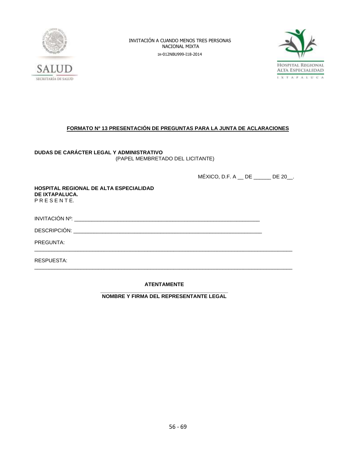



### **FORMATO Nº 13 PRESENTACIÓN DE PREGUNTAS PARA LA JUNTA DE ACLARACIONES**

**DUDAS DE CARÁCTER LEGAL Y ADMINISTRATIVO** (PAPEL MEMBRETADO DEL LICITANTE)

MÉXICO, D.F. A \_\_ DE \_\_\_\_\_\_ DE 20\_\_.

**HOSPITAL REGIONAL DE ALTA ESPECIALIDAD DE IXTAPALUCA.** P R E S E N T E.

| INVITACIÓN Nº·<br>.<br>_____ |  |
|------------------------------|--|
|                              |  |

DESCRIPCIÓN: \_\_\_\_\_\_\_\_\_\_\_\_\_\_\_\_\_\_\_\_\_\_\_\_\_\_\_\_\_\_\_\_\_\_\_\_\_\_\_\_\_\_\_\_\_\_\_\_\_\_\_\_\_\_\_\_\_\_\_\_\_\_\_\_\_

PREGUNTA:

RESPUESTA:

### **ATENTAMENTE**

\_\_\_\_\_\_\_\_\_\_\_\_\_\_\_\_\_\_\_\_\_\_\_\_\_\_\_\_\_\_\_\_\_\_\_\_\_\_\_\_\_\_\_\_\_\_\_\_\_\_\_\_\_\_\_\_\_\_\_\_\_\_\_\_\_\_\_\_\_\_\_\_\_\_\_\_\_\_\_\_\_\_\_\_\_\_\_\_\_

\_\_\_\_\_\_\_\_\_\_\_\_\_\_\_\_\_\_\_\_\_\_\_\_\_\_\_\_\_\_\_\_\_\_\_\_\_\_\_\_\_\_\_\_\_\_\_\_\_\_\_\_\_\_\_\_\_\_\_\_\_\_\_\_\_\_\_\_\_\_\_\_\_\_\_\_\_\_\_\_\_\_\_\_\_\_\_\_\_

**\_\_\_\_\_\_\_\_\_\_\_\_\_\_\_\_\_\_\_\_\_\_\_\_\_\_\_\_\_\_\_\_\_\_\_\_\_\_\_\_\_\_\_\_ NOMBRE Y FIRMA DEL REPRESENTANTE LEGAL**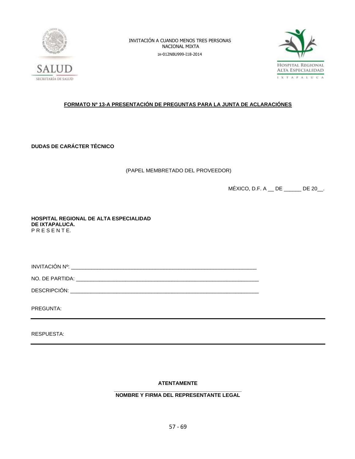



### **FORMATO Nº 13-A PRESENTACIÓN DE PREGUNTAS PARA LA JUNTA DE ACLARACIÓNES**

**DUDAS DE CARÁCTER TÉCNICO**

(PAPEL MEMBRETADO DEL PROVEEDOR)

MÉXICO, D.F. A \_\_ DE \_\_\_\_\_\_ DE 20\_\_.

**HOSPITAL REGIONAL DE ALTA ESPECIALIDAD DE IXTAPALUCA.** P R E S E N T E.

INVITACIÓN Nº: \_\_\_\_\_\_\_\_\_\_\_\_\_\_\_\_\_\_\_\_\_\_\_\_\_\_\_\_\_\_\_\_\_\_\_\_\_\_\_\_\_\_\_\_\_\_\_\_\_\_\_\_\_\_\_\_\_\_\_\_\_\_\_\_

NO. DE PARTIDA: \_\_\_\_\_\_\_\_\_\_\_\_\_\_\_\_\_\_\_\_\_\_\_\_\_\_\_\_\_\_\_\_\_\_\_\_\_\_\_\_\_\_\_\_\_\_\_\_\_\_\_\_\_\_\_\_\_\_\_\_\_\_\_

DESCRIPCIÓN: \_\_\_\_\_\_\_\_\_\_\_\_\_\_\_\_\_\_\_\_\_\_\_\_\_\_\_\_\_\_\_\_\_\_\_\_\_\_\_\_\_\_\_\_\_\_\_\_\_\_\_\_\_\_\_\_\_\_\_\_\_\_\_\_\_

PREGUNTA:

RESPUESTA:

**ATENTAMENTE**

#### **\_\_\_\_\_\_\_\_\_\_\_\_\_\_\_\_\_\_\_\_\_\_\_\_\_\_\_\_\_\_\_\_\_\_\_\_\_\_\_\_\_\_\_\_ NOMBRE Y FIRMA DEL REPRESENTANTE LEGAL**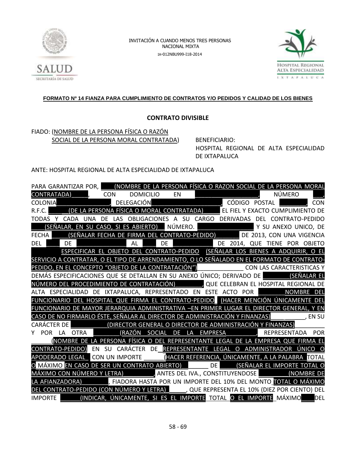



### **FORMATO Nº 14 FIANZA PARA CUMPLIMIENTO DE CONTRATOS Y/O PEDIDOS Y CALIDAD DE LOS BIENES**

### **CONTRATO DIVISIBLE**

### FIADO: (NOMBRE DE LA PERSONA FÍSICA O RAZÓN SOCIAL DE LA PERSONA MORAL CONTRATADA) BENEFICIARIO:

HOSPITAL REGIONAL DE ALTA ESPECIALIDAD DE IXTAPALUCA

### ANTE: HOSPITAL REGIONAL DE ALTA ESPECIALIDAD DE IXTAPALUCA

|                      |            | PARA GARANTIZAR POR, (NOMBRE DE LA PERSONA FÍSICA O RAZON SOCIAL DE LA PERSONA MORAL                                                           |            |           |              |    |                  |    |                                                                                |  |  |               |               |                        |
|----------------------|------------|------------------------------------------------------------------------------------------------------------------------------------------------|------------|-----------|--------------|----|------------------|----|--------------------------------------------------------------------------------|--|--|---------------|---------------|------------------------|
| CONTRATADA)          |            |                                                                                                                                                |            |           | <b>CON</b>   |    | <b>DOMICILIO</b> |    | <b>EN</b>                                                                      |  |  |               | <b>NÚMERO</b> |                        |
| <b>COLONIA</b>       |            |                                                                                                                                                |            |           | , DELEGACIÓN |    |                  |    | <u> Tanzania (h. 1888).</u><br>Naskiĝoj                                        |  |  | CÓDIGO POSTAL |               | <b>CON</b>             |
| R.F.C.               |            | (DE LA PERSONA FÍSICA O MORAL CONTRATADA) EL FIEL Y EXACTO CUMPLIMIENTO DE                                                                     |            |           |              |    |                  |    |                                                                                |  |  |               |               |                        |
| TODAS                |            | CADA                                                                                                                                           | <b>UNA</b> | <b>DE</b> |              |    |                  |    | LAS OBLIGACIONES A SU CARGO DERIVADAS DEL                                      |  |  |               |               | <b>CONTRATO-PEDIDO</b> |
|                      |            | <u>(SEÑALAR, EN SU CASO, SI ES ABIERTO) NÚMERO.</u><br>IA _____ (SEÑALAR FECHA DE FIRMA DEL CONTRATO-PEDIDO) _______ DE 2013, CON UNA VIGENCIA |            |           |              |    |                  |    |                                                                                |  |  |               |               |                        |
| <b>FECHA</b>         |            |                                                                                                                                                |            |           |              |    |                  |    |                                                                                |  |  |               |               |                        |
| DEL                  |            | DF                                                                                                                                             |            |           |              | AL |                  | DE | DE 2014, QUE TIENE                                                             |  |  |               |               | POR OBJETO             |
|                      |            |                                                                                                                                                |            |           |              |    |                  |    | ESPECIFICAR EL OBJETO DEL CONTRATO-PEDIDO (SEÑALAR LOS BIENES A ADQUIRIR, O EL |  |  |               |               |                        |
|                      |            | SERVICIO A CONTRATAR, O EL TIPO DE ARRENDAMIENTO, O LO SEÑALADO EN EL FORMATO DE CONTRATO-                                                     |            |           |              |    |                  |    |                                                                                |  |  |               |               |                        |
|                      |            | PEDIDO, EN EL CONCEPTO "OBJETO DE LA CONTRATACIÓN") CON LAS CARACTERISTICAS Y                                                                  |            |           |              |    |                  |    |                                                                                |  |  |               |               |                        |
|                      |            | DEMÁS ESPECIFICACIONES QUE SE DETALLAN EN SU ANEXO ÚNICO; DERIVADO DE SEÑALAR EL                                                               |            |           |              |    |                  |    |                                                                                |  |  |               |               |                        |
|                      |            | NÚMERO DEL PROCEDIMIENTO DE CONTRATACIÓN) (QUE CELEBRAN EL HOSPITAL REGIONAL DE                                                                |            |           |              |    |                  |    |                                                                                |  |  |               |               |                        |
|                      |            | ALTA ESPECIALIDAD DE IXTAPALUCA, REPRESENTADO EN ESTE ACTO POR                                                                                 |            |           |              |    |                  |    |                                                                                |  |  |               |               | NOMBRE DEL             |
|                      |            | FUNCIONARIO DEL HOSPITAL QUE FIRMA EL CONTRATO-PEDIDO (HACER MENCIÓN ÚNICAMENTE DEL                                                            |            |           |              |    |                  |    |                                                                                |  |  |               |               |                        |
|                      |            | FUNCIONARIO DE MAYOR JERARQUIA ADMINISTRATIVA ―EN PRIMER LUGAR EL DIRECTOR GENERAL, Y EN                                                       |            |           |              |    |                  |    |                                                                                |  |  |               |               |                        |
|                      |            | CASO DE NO FIRMARLO ÉSTE, SEÑALAR AL DIRECTOR DE ADMINISTRACIÓN Y FINANZAS) [1989] [5] [1989] EN SU                                            |            |           |              |    |                  |    |                                                                                |  |  |               |               |                        |
| <b>CARÁCTER DE I</b> |            |                                                                                                                                                |            |           |              |    |                  |    | (DIRECTOR GENERAL O DIRECTOR DE ADMINISTRACIÓN Y FINANZAS)                     |  |  |               |               |                        |
|                      | <b>POR</b> | LA OTRA                                                                                                                                        |            |           |              |    |                  |    | (RAZÓN SOCIAL DE LA EMPRESA      , REPRESENTADA POR                            |  |  |               |               |                        |
|                      |            | NOMBRE DE LA PERSONA FÍSICA O DEL REPRESENTANTE LEGAL DE LA EMPRESA QUE FIRMA EL                                                               |            |           |              |    |                  |    |                                                                                |  |  |               |               |                        |
|                      |            | CONTRATO-PEDIDO) EN                                                                                                                            |            | - SU      |              |    |                  |    | CARÁCTER DE REPRESENTANTE LEGAL O ADMINISTRADOR ÚNICO O                        |  |  |               |               |                        |
|                      |            | APODERADO LEGAL CON UN IMPORTE (HACER REFERENCIA, ÚNICAMENTE, A LA PALABRA TOTAL                                                               |            |           |              |    |                  |    |                                                                                |  |  |               |               |                        |
|                      |            | O MÁXIMO EN CASO DE SER UN CONTRATO ABIERTO) DE SEÑALAR EL IMPORTE TOTAL O                                                                     |            |           |              |    |                  |    |                                                                                |  |  |               |               |                        |
|                      |            | MÁXIMO CON NÚMERO Y LETRA) ANTES DEL IVA., CONSTITUYENDOSE (NOMBRE DE                                                                          |            |           |              |    |                  |    |                                                                                |  |  |               |               |                        |
|                      |            | LA AFIANZADORA)                                                                                                                                |            |           |              |    |                  |    | , FIADORA HASTA POR UN IMPORTE DEL 10% DEL MONTO TOTAL O MÁXIMO                |  |  |               |               |                        |
|                      |            | CONTRATO-PEDIDO (CON NÚMERO Y LETRA) (QUE REPRESENTA EL 10% (DIEZ POR CIENTO) DEL                                                              |            |           |              |    |                  |    |                                                                                |  |  |               |               |                        |
| <b>IMPORTE</b>       |            |                                                                                                                                                |            |           |              |    |                  |    | (INDICAR, ÚNICAMENTE, SI ES EL IMPORTE TOTAL O EL IMPORTE MÁXIMO               |  |  |               |               | DEL                    |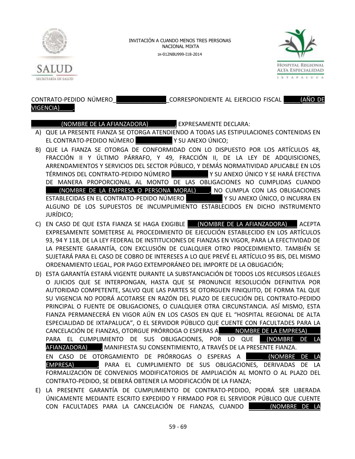



# VIGENCIA)\_\_\_\_.

### CONTRATO-PEDIDO NÚMERO\_\_\_\_\_\_\_\_\_\_\_\_\_\_\_\_\_CORRESPONDIENTE AL EJERCICIO FISCAL \_\_\_\_\_(AÑO DE

### \_\_\_\_\_\_\_\_\_(NOMBRE DE LA AFIANZADORA)\_\_\_\_\_\_\_\_, EXPRESAMENTE DECLARA:

- A) QUE LA PRESENTE FIANZA SE OTORGA ATENDIENDO A TODAS LAS ESTIPULACIONES CONTENIDAS EN EL CONTRATO-PEDIDO NÚMERO Y SU ANEXO ÚNICO;
- B) QUE LA FIANZA SE OTORGA DE CONFORMIDAD CON LO DISPUESTO POR LOS ARTÍCULOS 48, FRACCIÓN II Y ÚLTIMO PÁRRAFO, Y 49, FRACCIÓN II, DE LA LEY DE ADQUISICIONES, ARRENDAMIENTOS Y SERVICIOS DEL SECTOR PÚBLICO, Y DEMÁS NORMATIVIDAD APLICABLE EN LOS TÉRMINOS DEL CONTRATO-PEDIDO NÚMERO \_\_\_\_\_\_\_\_\_\_\_ Y SU ANEXO ÚNICO Y SE HARÁ EFECTIVA DE MANERA PROPORCIONAL AL MONTO DE LAS OBLIGACIONES NO CUMPLIDAS CUANDO \_\_\_\_(NOMBRE DE LA EMPRESA O PERSONA MORAL)\_\_\_\_, NO CUMPLA CON LAS OBLIGACIONES ESTABLECIDAS EN EL CONTRATO-PEDIDO NÚMERO \_\_\_\_\_\_\_\_\_\_\_ Y SU ANEXO ÚNICO, O INCURRA EN ALGUNO DE LOS SUPUESTOS DE INCUMPLIMIENTO ESTABLECIDOS EN DICHO INSTRUMENTO JURÍDICO;
- C) EN CASO DE QUE ESTA FIANZA SE HAGA EXIGIBLE \_\_\_(NOMBRE DE LA AFIANZADORA)\_\_\_ ACEPTA EXPRESAMENTE SOMETERSE AL PROCEDIMIENTO DE EJECUCIÓN ESTABLECIDO EN LOS ARTÍCULOS 93, 94 Y 118, DE LA LEY FEDERAL DE INSTITUCIONES DE FIANZAS EN VIGOR, PARA LA EFECTIVIDAD DE LA PRESENTE GARANTÍA, CON EXCLUSIÓN DE CUALQUIER OTRO PROCEDIMIENTO. TAMBIÉN SE SUJETARÁ PARA EL CASO DE COBRO DE INTERESES A LO QUE PREVÉ EL ARTÍCULO 95 BIS, DEL MISMO ORDENAMIENTO LEGAL, POR PAGO EXTEMPORÁNEO DEL IMPORTE DE LA OBLIGACIÓN;
- D) ESTA GARANTÍA ESTARÁ VIGENTE DURANTE LA SUBSTANCIACIÓN DE TODOS LOS RECURSOS LEGALES O JUICIOS QUE SE INTERPONGAN, HASTA QUE SE PRONUNCIE RESOLUCIÓN DEFINITIVA POR AUTORIDAD COMPETENTE, SALVO QUE LAS PARTES SE OTORGUEN FINIQUITO, DE FORMA TAL QUE SU VIGENCIA NO PODRÁ ACOTARSE EN RAZÓN DEL PLAZO DE EJECUCIÓN DEL CONTRATO-PEDIDO PRINCIPAL O FUENTE DE OBLIGACIONES, O CUALQUIER OTRA CIRCUNSTANCIA. ASÍ MISMO, ESTA FIANZA PERMANECERÁ EN VIGOR AÚN EN LOS CASOS EN QUE EL "HOSPITAL REGIONAL DE ALTA ESPECIALIDAD DE IXTAPALUCA", O EL SERVIDOR PÚBLICO QUE CUENTE CON FACULTADES PARA LA CANCELACIÓN DE FIANZAS, OTORGUE PRÓRROGA O ESPERAS A \_\_\_\_NOMBRE DE LA EMPRESA) PARA EL CUMPLIMIENTO DE SUS OBLIGACIONES, POR LO QUE (NOMBRE DE LA AFIANZADORA)\_\_\_\_, MANIFIESTA SU CONSENTIMIENTO, A TRAVÉS DE LA PRESENTE FIANZA. EN CASO DE OTORGAMIENTO DE PRÓRROGAS O ESPERAS A LA **INOMBRE DE** EMPRESA)\_\_\_\_\_\_\_, PARA EL CUMPLIMIENTO DE SUS OBLIGACIONES, DERIVADAS DE LA FORMALIZACIÓN DE CONVENIOS MODIFICATORIOS DE AMPLIACIÓN AL MONTO O AL PLAZO DEL CONTRATO-PEDIDO, SE DEBERÁ OBTENER LA MODIFICACIÓN DE LA FIANZA;
- E) LA PRESENTE GARANTÍA DE CUMPLIMIENTO DE CONTRATO-PEDIDO, PODRÁ SER LIBERADA ÚNICAMENTE MEDIANTE ESCRITO EXPEDIDO Y FIRMADO POR EL SERVIDOR PÚBLICO QUE CUENTE CON FACULTADES PARA LA CANCELACIÓN DE FIANZAS, CUANDO \_\_\_\_\_ (NOMBRE DE LA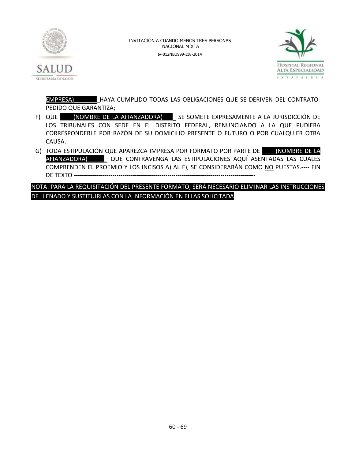



EMPRESA)\_\_\_\_\_\_\_ HAYA CUMPLIDO TODAS LAS OBLIGACIONES QUE SE DERIVEN DEL CONTRATO-PEDIDO QUE GARANTIZA;

- F) QUE (NOMBRE DE LA AFIANZADORA) SE SOMETE EXPRESAMENTE A LA JURISDICCIÓN DE LOS TRIBUNALES CON SEDE EN EL DISTRITO FEDERAL, RENUNCIANDO A LA QUE PUDIERA CORRESPONDERLE POR RAZÓN DE SU DOMICILIO PRESENTE O FUTURO O POR CUALQUIER OTRA CAUSA.
- G) TODA ESTIPULACIÓN QUE APAREZCA IMPRESA POR FORMATO POR PARTE DE \_\_\_\_(NOMBRE DE LA AFIANZADORA)\_\_\_\_\_\_ QUE CONTRAVENGA LAS ESTIPULACIONES AQUÍ ASENTADAS LAS CUALES COMPRENDEN EL PROEMIO Y LOS INCISOS A) AL F), SE CONSIDERARÁN COMO NO PUESTAS.---- FIN DE TEXTO -----------------------------------------------------------------------------------------

NOTA: PARA LA REQUISITACIÓN DEL PRESENTE FORMATO, SERÁ NECESARIO ELIMINAR LAS INSTRUCCIONES DE LLENADO Y SUSTITUIRLAS CON LA INFORMACIÓN EN ELLAS SOLICITADA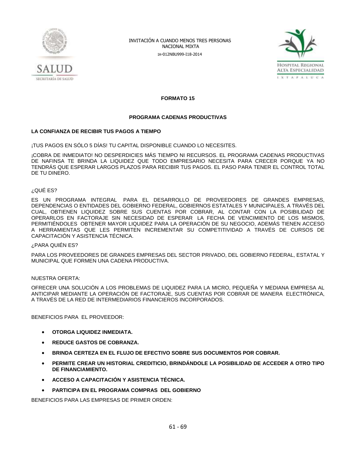



**FORMATO 15**

#### **PROGRAMA CADENAS PRODUCTIVAS**

### **LA CONFIANZA DE RECIBIR TUS PAGOS A TIEMPO**

¡TUS PAGOS EN SÓLO 5 DÍAS! TU CAPITAL DISPONIBLE CUANDO LO NECESITES.

¡COBRA DE INMEDIATO! NO DESPERDICIES MÁS TIEMPO NI RECURSOS. EL PROGRAMA CADENAS PRODUCTIVAS DE NAFINSA TE BRINDA LA LIQUIDEZ QUE TODO EMPRESARIO NECESITA PARA CRECER PORQUE YA NO TENDRÁS QUE ESPERAR LARGOS PLAZOS PARA RECIBIR TUS PAGOS. EL PASO PARA TENER EL CONTROL TOTAL DE TU DINERO.

#### ¿QUÉ ES?

ES UN PROGRAMA INTEGRAL PARA EL DESARROLLO DE PROVEEDORES DE GRANDES EMPRESAS, DEPENDENCIAS O ENTIDADES DEL GOBIERNO FEDERAL, GOBIERNOS ESTATALES Y MUNICIPALES, A TRAVÉS DEL CUAL, OBTIENEN LIQUIDEZ SOBRE SUS CUENTAS POR COBRAR, AL CONTAR CON LA POSIBILIDAD DE OPERARLOS EN FACTORAJE SIN NECESIDAD DE ESPERAR LA FECHA DE VENCIMIENTO DE LOS MISMOS, PERMITIÉNDOLES OBTENER MAYOR LIQUIDEZ PARA LA OPERACIÓN DE SU NEGOCIO, ADEMÁS TIENEN ACCESO A HERRAMIENTAS QUE LES PERMITEN INCREMENTAR SU COMPETITIVIDAD A TRAVÉS DE CURSOS DE CAPACITACIÓN Y ASISTENCIA TÉCNICA.

#### ¿PARA QUIÉN ES?

PARA LOS PROVEEDORES DE GRANDES EMPRESAS DEL SECTOR PRIVADO, DEL GOBIERNO FEDERAL, ESTATAL Y MUNICIPAL QUE FORMEN UNA CADENA PRODUCTIVA.

#### NUESTRA OFERTA:

OFRECER UNA SOLUCIÓN A LOS PROBLEMAS DE LIQUIDEZ PARA LA MICRO, PEQUEÑA Y MEDIANA EMPRESA AL ANTICIPAR MEDIANTE LA OPERACIÓN DE FACTORAJE, SUS CUENTAS POR COBRAR DE MANERA ELECTRÓNICA, A TRAVÉS DE LA RED DE INTERMEDIARIOS FINANCIEROS INCORPORADOS.

BENEFICIOS PARA EL PROVEEDOR:

- **OTORGA LIQUIDEZ INMEDIATA.**
- **REDUCE GASTOS DE COBRANZA.**
- **BRINDA CERTEZA EN EL FLUJO DE EFECTIVO SOBRE SUS DOCUMENTOS POR COBRAR.**
- **PERMITE CREAR UN HISTORIAL CREDITICIO, BRINDÁNDOLE LA POSIBILIDAD DE ACCEDER A OTRO TIPO DE FINANCIAMIENTO.**
- **ACCESO A CAPACITACIÓN Y ASISTENCIA TÉCNICA.**
- **PARTICIPA EN EL PROGRAMA COMPRAS DEL GOBIERNO**

BENEFICIOS PARA LAS EMPRESAS DE PRIMER ORDEN: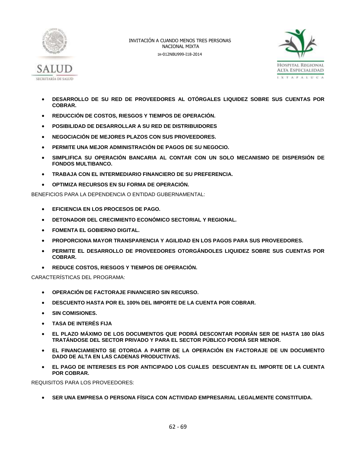



- **DESARROLLO DE SU RED DE PROVEEDORES AL OTÓRGALES LIQUIDEZ SOBRE SUS CUENTAS POR COBRAR.**
- **REDUCCIÓN DE COSTOS, RIESGOS Y TIEMPOS DE OPERACIÓN.**
- **POSIBILIDAD DE DESARROLLAR A SU RED DE DISTRIBUIDORES**
- **NEGOCIACIÓN DE MEJORES PLAZOS CON SUS PROVEEDORES.**
- **PERMITE UNA MEJOR ADMINISTRACIÓN DE PAGOS DE SU NEGOCIO.**
- **SIMPLIFICA SU OPERACIÓN BANCARIA AL CONTAR CON UN SOLO MECANISMO DE DISPERSIÓN DE FONDOS MULTIBANCO.**
- **TRABAJA CON EL INTERMEDIARIO FINANCIERO DE SU PREFERENCIA.**
- **OPTIMIZA RECURSOS EN SU FORMA DE OPERACIÓN.**

BENEFICIOS PARA LA DEPENDENCIA O ENTIDAD GUBERNAMENTAL:

- **EFICIENCIA EN LOS PROCESOS DE PAGO.**
- **DETONADOR DEL CRECIMIENTO ECONÓMICO SECTORIAL Y REGIONAL.**
- **FOMENTA EL GOBIERNO DIGITAL.**
- **PROPORCIONA MAYOR TRANSPARENCIA Y AGILIDAD EN LOS PAGOS PARA SUS PROVEEDORES.**
- **PERMITE EL DESARROLLO DE PROVEEDORES OTORGÁNDOLES LIQUIDEZ SOBRE SUS CUENTAS POR COBRAR.**
- **REDUCE COSTOS, RIESGOS Y TIEMPOS DE OPERACIÓN.**

CARACTERÍSTICAS DEL PROGRAMA:

- **OPERACIÓN DE FACTORAJE FINANCIERO SIN RECURSO.**
- **DESCUENTO HASTA POR EL 100% DEL IMPORTE DE LA CUENTA POR COBRAR.**
- **SIN COMISIONES.**
- **TASA DE INTERÉS FIJA**
- **EL PLAZO MÁXIMO DE LOS DOCUMENTOS QUE PODRÁ DESCONTAR PODRÁN SER DE HASTA 180 DÍAS TRATÁNDOSE DEL SECTOR PRIVADO Y PARA EL SECTOR PÚBLICO PODRÁ SER MENOR.**
- **EL FINANCIAMIENTO SE OTORGA A PARTIR DE LA OPERACIÓN EN FACTORAJE DE UN DOCUMENTO DADO DE ALTA EN LAS CADENAS PRODUCTIVAS.**
- **EL PAGO DE INTERESES ES POR ANTICIPADO LOS CUALES DESCUENTAN EL IMPORTE DE LA CUENTA POR COBRAR.**

REQUISITOS PARA LOS PROVEEDORES:

**SER UNA EMPRESA O PERSONA FÍSICA CON ACTIVIDAD EMPRESARIAL LEGALMENTE CONSTITUIDA.**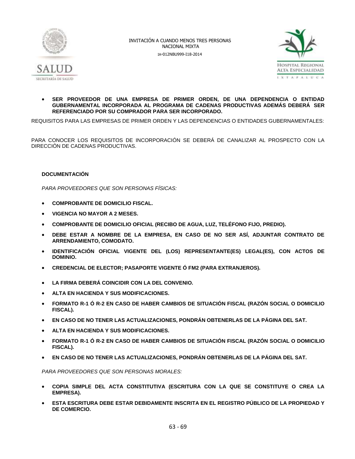



### **SER PROVEEDOR DE UNA EMPRESA DE PRIMER ORDEN, DE UNA DEPENDENCIA O ENTIDAD GUBERNAMENTAL INCORPORADA AL PROGRAMA DE CADENAS PRODUCTIVAS ADEMÁS DEBERÁ SER REFERENCIADO POR SU COMPRADOR PARA SER INCORPORADO.**

REQUISITOS PARA LAS EMPRESAS DE PRIMER ORDEN Y LAS DEPENDENCIAS O ENTIDADES GUBERNAMENTALES:

PARA CONOCER LOS REQUISITOS DE INCORPORACIÓN SE DEBERÁ DE CANALIZAR AL PROSPECTO CON LA DIRECCIÓN DE CADENAS PRODUCTIVAS.

### **DOCUMENTACIÓN**

*PARA PROVEEDORES QUE SON PERSONAS FÍSICAS:*

- **COMPROBANTE DE DOMICILIO FISCAL.**
- **VIGENCIA NO MAYOR A 2 MESES.**
- **COMPROBANTE DE DOMICILIO OFICIAL (RECIBO DE AGUA, LUZ, TELÉFONO FIJO, PREDIO).**
- **DEBE ESTAR A NOMBRE DE LA EMPRESA, EN CASO DE NO SER ASÍ, ADJUNTAR CONTRATO DE ARRENDAMIENTO, COMODATO.**
- **IDENTIFICACIÓN OFICIAL VIGENTE DEL (LOS) REPRESENTANTE(ES) LEGAL(ES), CON ACTOS DE DOMINIO.**
- **CREDENCIAL DE ELECTOR; PASAPORTE VIGENTE Ó FM2 (PARA EXTRANJEROS).**
- **LA FIRMA DEBERÁ COINCIDIR CON LA DEL CONVENIO.**
- **ALTA EN HACIENDA Y SUS MODIFICACIONES.**
- **FORMATO R-1 Ó R-2 EN CASO DE HABER CAMBIOS DE SITUACIÓN FISCAL (RAZÓN SOCIAL O DOMICILIO FISCAL).**
- **EN CASO DE NO TENER LAS ACTUALIZACIONES, PONDRÁN OBTENERLAS DE LA PÁGINA DEL SAT.**
- **ALTA EN HACIENDA Y SUS MODIFICACIONES.**
- **FORMATO R-1 Ó R-2 EN CASO DE HABER CAMBIOS DE SITUACIÓN FISCAL (RAZÓN SOCIAL O DOMICILIO FISCAL).**
- **EN CASO DE NO TENER LAS ACTUALIZACIONES, PONDRÁN OBTENERLAS DE LA PÁGINA DEL SAT.**

*PARA PROVEEDORES QUE SON PERSONAS MORALES:*

- **COPIA SIMPLE DEL ACTA CONSTITUTIVA (ESCRITURA CON LA QUE SE CONSTITUYE O CREA LA EMPRESA).**
- **ESTA ESCRITURA DEBE ESTAR DEBIDAMENTE INSCRITA EN EL REGISTRO PÚBLICO DE LA PROPIEDAD Y DE COMERCIO.**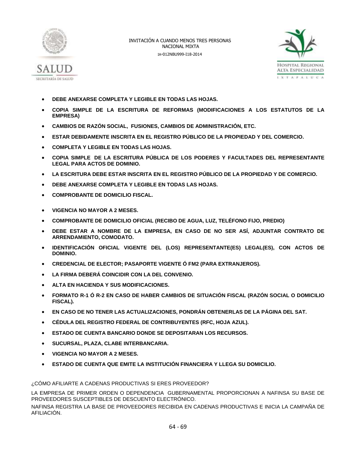



- **DEBE ANEXARSE COMPLETA Y LEGIBLE EN TODAS LAS HOJAS.**
- **COPIA SIMPLE DE LA ESCRITURA DE REFORMAS (MODIFICACIONES A LOS ESTATUTOS DE LA EMPRESA)**
- **CAMBIOS DE RAZÓN SOCIAL, FUSIONES, CAMBIOS DE ADMINISTRACIÓN, ETC.**
- **ESTAR DEBIDAMENTE INSCRITA EN EL REGISTRO PÚBLICO DE LA PROPIEDAD Y DEL COMERCIO.**
- **COMPLETA Y LEGIBLE EN TODAS LAS HOJAS.**
- **COPIA SIMPLE DE LA ESCRITURA PÚBLICA DE LOS PODERES Y FACULTADES DEL REPRESENTANTE LEGAL PARA ACTOS DE DOMINIO.**
- **LA ESCRITURA DEBE ESTAR INSCRITA EN EL REGISTRO PÚBLICO DE LA PROPIEDAD Y DE COMERCIO.**
- **DEBE ANEXARSE COMPLETA Y LEGIBLE EN TODAS LAS HOJAS.**
- **COMPROBANTE DE DOMICILIO FISCAL.**
- **VIGENCIA NO MAYOR A 2 MESES.**
- **COMPROBANTE DE DOMICILIO OFICIAL (RECIBO DE AGUA, LUZ, TELÉFONO FIJO, PREDIO)**
- **DEBE ESTAR A NOMBRE DE LA EMPRESA, EN CASO DE NO SER ASÍ, ADJUNTAR CONTRATO DE ARRENDAMIENTO, COMODATO.**
- **IDENTIFICACIÓN OFICIAL VIGENTE DEL (LOS) REPRESENTANTE(ES) LEGAL(ES), CON ACTOS DE DOMINIO.**
- **CREDENCIAL DE ELECTOR; PASAPORTE VIGENTE Ó FM2 (PARA EXTRANJEROS).**
- **LA FIRMA DEBERÁ COINCIDIR CON LA DEL CONVENIO.**
- **ALTA EN HACIENDA Y SUS MODIFICACIONES.**
- **FORMATO R-1 Ó R-2 EN CASO DE HABER CAMBIOS DE SITUACIÓN FISCAL (RAZÓN SOCIAL O DOMICILIO FISCAL).**
- **EN CASO DE NO TENER LAS ACTUALIZACIONES, PONDRÁN OBTENERLAS DE LA PÁGINA DEL SAT.**
- **CÉDULA DEL REGISTRO FEDERAL DE CONTRIBUYENTES (RFC, HOJA AZUL).**
- **ESTADO DE CUENTA BANCARIO DONDE SE DEPOSITARAN LOS RECURSOS.**
- **SUCURSAL, PLAZA, CLABE INTERBANCARIA.**
- **VIGENCIA NO MAYOR A 2 MESES.**
- **ESTADO DE CUENTA QUE EMITE LA INSTITUCIÓN FINANCIERA Y LLEGA SU DOMICILIO.**

¿CÓMO AFILIARTE A CADENAS PRODUCTIVAS SI ERES PROVEEDOR?

LA EMPRESA DE PRIMER ORDEN O DEPENDENCIA GUBERNAMENTAL PROPORCIONAN A NAFINSA SU BASE DE PROVEEDORES SUSCEPTIBLES DE DESCUENTO ELECTRÓNICO.

NAFINSA REGISTRA LA BASE DE PROVEEDORES RECIBIDA EN CADENAS PRODUCTIVAS E INICIA LA CAMPAÑA DE AFILIACIÓN.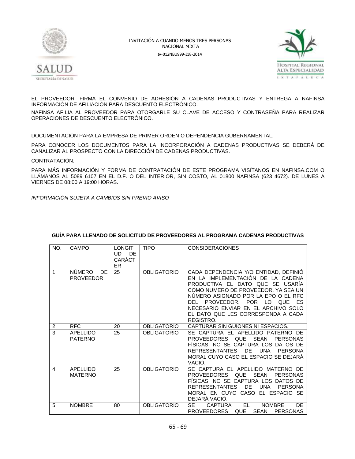



EL PROVEEDOR FIRMA EL CONVENIO DE ADHESIÓN A CADENAS PRODUCTIVAS Y ENTREGA A NAFINSA INFORMACIÓN DE AFILIACIÓN PARA DESCUENTO ELECTRÓNICO.

NAFINSA AFILIA AL PROVEEDOR PARA OTORGARLE SU CLAVE DE ACCESO Y CONTRASEÑA PARA REALIZAR OPERACIONES DE DESCUENTO ELECTRÓNICO.

DOCUMENTACIÓN PARA LA EMPRESA DE PRIMER ORDEN O DEPENDENCIA GUBERNAMENTAL.

PARA CONOCER LOS DOCUMENTOS PARA LA INCORPORACIÓN A CADENAS PRODUCTIVAS SE DEBERÁ DE CANALIZAR AL PROSPECTO CON LA DIRECCIÓN DE CADENAS PRODUCTIVAS.

CONTRATACIÓN:

PARA MÁS INFORMACIÓN Y FORMA DE CONTRATACIÓN DE ESTE PROGRAMA VISÍTANOS EN NAFINSA.COM O LLÁMANOS AL 5089 6107 EN EL D.F. O DEL INTERIOR, SIN COSTO, AL 01800 NAFINSA (623 4672). DE LUNES A VIERNES DE 08:00 A 19:00 HORAS.

*INFORMACIÓN SUJETA A CAMBIOS SIN PREVIO AVISO*

| NO.            | <b>CAMPO</b>                            | <b>LONGIT</b><br>DE<br>UD<br>CARÁCT<br>ER. | <b>TIPO</b>        | <b>CONSIDERACIONES</b>                                                                                                                                                                                                                                                                                                    |
|----------------|-----------------------------------------|--------------------------------------------|--------------------|---------------------------------------------------------------------------------------------------------------------------------------------------------------------------------------------------------------------------------------------------------------------------------------------------------------------------|
| $\mathbf{1}$   | <b>NUMERO</b><br>DF<br><b>PROVEEDOR</b> | 25                                         | <b>OBLIGATORIO</b> | CADA DEPENDENCIA Y/O ENTIDAD, DEFINIO<br>EN LA IMPLEMENTACIÓN DE LA CADENA<br>PRODUCTIVA EL DATO QUE SE USARÍA<br>COMO NUMERO DE PROVEEDOR, YA SEA UN<br>NUMERO ASIGNADO POR LA EPO O EL RFC<br>DEL PROVEEDOR, POR LO<br>QUE ES<br>NECESARIO ENVIAR EN EL ARCHIVO SOLO<br>EL DATO QUE LES CORRESPONDA A CADA<br>REGISTRO. |
| $\overline{c}$ | <b>RFC</b>                              | 20                                         | <b>OBLIGATORIO</b> | CAPTURAR SIN GUIONES NI ESPACIOS.                                                                                                                                                                                                                                                                                         |
| 3              | APELLIDO<br><b>PATERNO</b>              | 25                                         | <b>OBLIGATORIO</b> | SE CAPTURA EL APELLIDO PATERNO DE<br>PROVEEDORES<br>QUE SEAN<br><b>PERSONAS</b><br>FÍSICAS. NO SE CAPTURA LOS DATOS DE<br>REPRESENTANTES DE UNA PERSONA<br>MORAL CUYO CASO EL ESPACIO SE DEJARÁ<br>VACIÓ.                                                                                                                 |
| 4              | APELLIDO<br><b>MATERNO</b>              | 25                                         | <b>OBLIGATORIO</b> | SE CAPTURA EL APELLIDO MATERNO DE<br>PROVEEDORES<br>QUE SEAN<br><b>PERSONAS</b><br>FÍSICAS. NO SE CAPTURA LOS DATOS DE<br>REPRESENTANTES DE<br>UNA<br>PERSONA<br>MORAL EN CUYO CASO EL ESPACIO SE<br>DEJARA VACIÓ.                                                                                                        |
| 5              | <b>NOMBRE</b>                           | 80                                         | <b>OBLIGATORIO</b> | <b>SE</b><br>DE.<br><b>CAPTURA</b><br>EL.<br><b>NOMBRE</b><br>PROVEEDORES<br>QUE<br>SEAN<br><b>PERSONAS</b>                                                                                                                                                                                                               |

### **GUÍA PARA LLENADO DE SOLICITUD DE PROVEEDORES AL PROGRAMA CADENAS PRODUCTIVAS**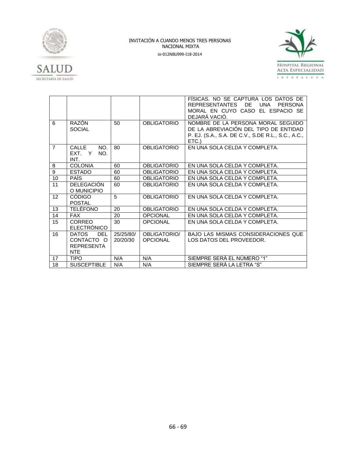



|                |                                                               |                       |                                 | FISICAS. NO SE CAPTURA LOS DATOS DE<br><b>REPRESENTANTES</b><br>DE.<br>UNA<br><b>PERSONA</b><br>MORAL EN CUYO CASO EL ESPACIO SE<br>DEJARÁ VACIO. |
|----------------|---------------------------------------------------------------|-----------------------|---------------------------------|---------------------------------------------------------------------------------------------------------------------------------------------------|
| 6              | RAZÓN<br><b>SOCIAL</b>                                        | 50 <sub>2</sub>       | <b>OBLIGATORIO</b>              | NOMBRE DE LA PERSONA MORAL SEGUIDO<br>DE LA ABREVIACIÓN DEL TIPO DE ENTIDAD<br>P. EJ. (S.A., S.A. DE C.V., S.DE R.L., S.C., A.C.,<br>ETC.)        |
| $\overline{7}$ | CALLE<br>NO.<br>EXT. Y<br>NO.<br>INT.                         | 80                    | <b>OBLIGATORIO</b>              | EN UNA SOLA CELDA Y COMPLETA.                                                                                                                     |
| 8              | <b>COLONIA</b>                                                | 60                    | <b>OBLIGATORIO</b>              | EN UNA SOLA CELDA Y COMPLETA.                                                                                                                     |
| 9              | <b>ESTADO</b>                                                 | 60                    | <b>OBLIGATORIO</b>              | EN UNA SOLA CELDA Y COMPLETA.                                                                                                                     |
| 10             | <b>PAÍS</b>                                                   | 60                    | <b>OBLIGATORIO</b>              | EN UNA SOLA CELDA Y COMPLETA.                                                                                                                     |
| 11             | <b>DELEGACIÓN</b><br>O MUNICIPIO                              | 60                    | <b>OBLIGATORIO</b>              | EN UNA SOLA CELDA Y COMPLETA.                                                                                                                     |
| 12             | <b>CÓDIGO</b><br><b>POSTAL</b>                                | 5                     | <b>OBLIGATORIO</b>              | EN UNA SOLA CELDA Y COMPLETA.                                                                                                                     |
| 13             | <b>TELÉFONO</b>                                               | 20                    | <b>OBLIGATORIO</b>              | EN UNA SOLA CELDA Y COMPLETA.                                                                                                                     |
| 14             | <b>FAX</b>                                                    | 20                    | <b>OPCIONAL</b>                 | EN UNA SOLA CELDA Y COMPLETA.                                                                                                                     |
| 15             | <b>CORREO</b><br><b>ELECTRONICO</b>                           | 30                    | <b>OPCIONAL</b>                 | EN UNA SOLA CELDA Y COMPLETA.                                                                                                                     |
| 16             | <b>DATOS</b><br>DEL<br>CONTACTO O<br><b>REPRESENTA</b><br>NTE | 25/25/80/<br>20/20/30 | OBLIGATORIO/<br><b>OPCIONAL</b> | <b>BAJO LAS MISMAS CONSIDERACIONES QUE</b><br>LOS DATOS DEL PROVEEDOR.                                                                            |
| 17             | <b>TIPO</b>                                                   | N/A                   | N/A                             | SIEMPRE SERÁ EL NÚMERO "1"                                                                                                                        |
| 18             | <b>SUSCEPTIBLE</b>                                            | N/A                   | N/A                             | SIEMPRE SERÁ LA LETRA "S"                                                                                                                         |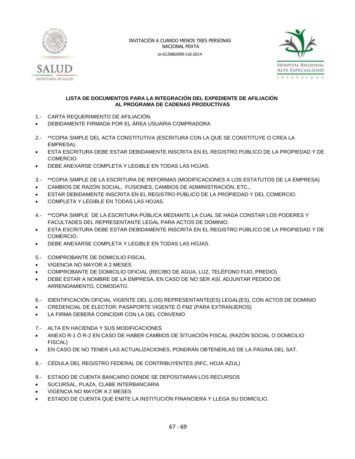



### **LISTA DE DOCUMENTOS PARA LA INTEGRACIÓN DEL EXPEDIENTE DE AFILIACIÓN AL PROGRAMA DE CADENAS PRODUCTIVAS**

- 1.- CARTA REQUERIMIENTO DE AFILIACIÓN.
- DEBIDAMENTE FIRMADA POR EL ÁREA USUARIA COMPRADORA
- 2.- \*\*COPIA SIMPLE DEL ACTA CONSTITUTIVA (ESCRITURA CON LA QUE SE CONSTITUYE O CREA LA EMPRESA).
- ESTA ESCRITURA DEBE ESTAR DEBIDAMENTE INSCRITA EN EL REGISTRO PÚBLICO DE LA PROPIEDAD Y DE COMERCIO.
- DEBE ANEXARSE COMPLETA Y LEGIBLE EN TODAS LAS HOJAS.
- 3.- \*\*COPIA SIMPLE DE LA ESCRITURA DE REFORMAS (MODIFICACIONES A LOS ESTATUTOS DE LA EMPRESA)
- CAMBIOS DE RAZÓN SOCIAL, FUSIONES, CAMBIOS DE ADMINISTRACIÓN, ETC.,
- ESTAR DEBIDAMENTE INSCRITA EN EL REGISTRO PÚBLICO DE LA PROPIEDAD Y DEL COMERCIO.
- COMPLETA Y LEGIBLE EN TODAS LAS HOJAS.
- 4.- \*\*COPIA SIMPLE DE LA ESCRITURA PÚBLICA MEDIANTE LA CUAL SE HAGA CONSTAR LOS PODERES Y FACULTADES DEL REPRESENTANTE LEGAL PARA ACTOS DE DOMINIO.
- ESTA ESCRITURA DEBE ESTAR DEBIDAMENTE INSCRITA EN EL REGISTRO PÚBLICO DE LA PROPIEDAD Y DE COMERCIO.
- DEBE ANEXARSE COMPLETA Y LEGIBLE EN TODAS LAS HOJAS.
- 5.- COMPROBANTE DE DOMICILIO FISCAL
- VIGENCIA NO MAYOR A 2 MESES
- COMPROBANTE DE DOMICILIO OFICIAL (RECIBO DE AGUA, LUZ, TELÉFONO FIJO, PREDIO)
- DEBE ESTAR A NOMBRE DE LA EMPRESA, EN CASO DE NO SER ASÍ, ADJUNTAR PEDIDO DE ARRENDAMIENTO, COMODATO.
- 6.- IDENTIFICACIÓN OFICIAL VIGENTE DEL (LOS) REPRESENTANTE(ES) LEGAL(ES), CON ACTOS DE DOMINIO
- CREDENCIAL DE ELECTOR; PASAPORTE VIGENTE Ó FM2 (PARA EXTRANJEROS)
- LA FIRMA DEBERÁ COINCIDIR CON LA DEL CONVENIO
- 7.- ALTA EN HACIENDA Y SUS MODIFICACIONES
- ANEXO R-1 Ó R-2 EN CASO DE HABER CAMBIOS DE SITUACIÓN FISCAL (RAZÓN SOCIAL O DOMICILIO FISCAL)
- EN CASO DE NO TENER LAS ACTUALIZACIONES, PONDRÁN OBTENERLAS DE LA PÁGINA DEL SAT.
- 8.- CÉDULA DEL REGISTRO FEDERAL DE CONTRIBUYENTES (RFC, HOJA AZUL)
- 9.- ESTADO DE CUENTA BANCARIO DONDE SE DEPOSITARAN LOS RECURSOS
- SUCURSAL, PLAZA, CLABE INTERBANCARIA
- VIGENCIA NO MAYOR A 2 MESES
- ESTADO DE CUENTA QUE EMITE LA INSTITUCIÓN FINANCIERA Y LLEGA SU DOMICILIO.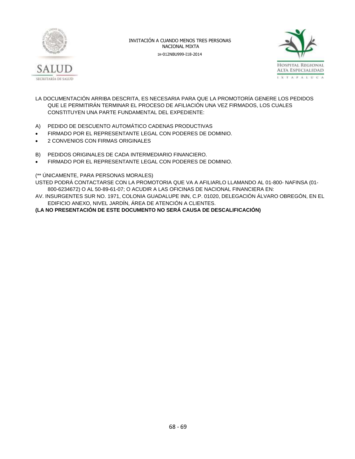



- LA DOCUMENTACIÓN ARRIBA DESCRITA, ES NECESARIA PARA QUE LA PROMOTORÍA GENERE LOS PEDIDOS QUE LE PERMITIRÁN TERMINAR EL PROCESO DE AFILIACIÓN UNA VEZ FIRMADOS, LOS CUALES CONSTITUYEN UNA PARTE FUNDAMENTAL DEL EXPEDIENTE:
- A) PEDIDO DE DESCUENTO AUTOMÁTICO CADENAS PRODUCTIVAS
- FIRMADO POR EL REPRESENTANTE LEGAL CON PODERES DE DOMINIO.
- 2 CONVENIOS CON FIRMAS ORIGINALES
- B) PEDIDOS ORIGINALES DE CADA INTERMEDIARIO FINANCIERO.
- FIRMADO POR EL REPRESENTANTE LEGAL CON PODERES DE DOMINIO.

### (\*\* ÚNICAMENTE, PARA PERSONAS MORALES)

USTED PODRÁ CONTACTARSE CON LA PROMOTORIA QUE VA A AFILIARLO LLAMANDO AL 01-800- NAFINSA (01- 800-6234672) O AL 50-89-61-07; O ACUDIR A LAS OFICINAS DE NACIONAL FINANCIERA EN:

AV. INSURGENTES SUR NO. 1971, COLONIA GUADALUPE INN, C.P. 01020, DELEGACIÓN ÁLVARO OBREGÓN, EN EL EDIFICIO ANEXO, NIVEL JARDÍN, ÁREA DE ATENCIÓN A CLIENTES.

**(LA NO PRESENTACIÓN DE ESTE DOCUMENTO NO SERÁ CAUSA DE DESCALIFICACIÓN)**